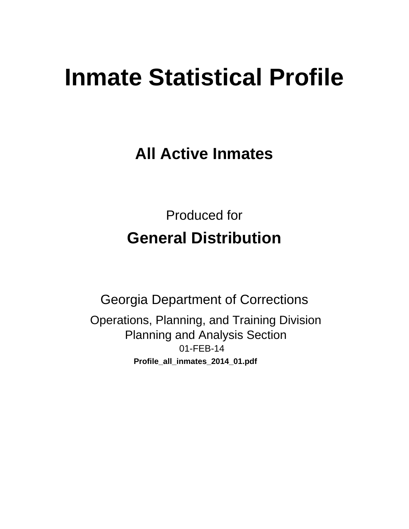# **Inmate Statistical Profile**

**All Active Inmates** 

**Produced for General Distribution** 

**Georgia Department of Corrections** Operations, Planning, and Training Division **Planning and Analysis Section** 01-FEB-14 Profile\_all\_inmates\_2014\_01.pdf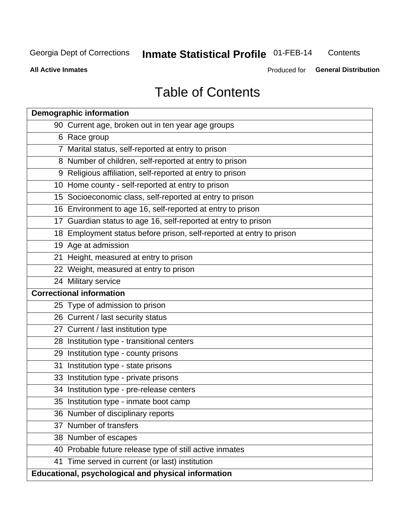### **Inmate Statistical Profile 01-FEB-14** Contents

**All Active Inmates** 

Produced for General Distribution

# **Table of Contents**

|    | <b>Demographic information</b>                                       |
|----|----------------------------------------------------------------------|
|    | 90 Current age, broken out in ten year age groups                    |
|    | 6 Race group                                                         |
|    | 7 Marital status, self-reported at entry to prison                   |
|    | 8 Number of children, self-reported at entry to prison               |
|    | 9 Religious affiliation, self-reported at entry to prison            |
|    | 10 Home county - self-reported at entry to prison                    |
|    | 15 Socioeconomic class, self-reported at entry to prison             |
|    | 16 Environment to age 16, self-reported at entry to prison           |
|    | 17 Guardian status to age 16, self-reported at entry to prison       |
|    | 18 Employment status before prison, self-reported at entry to prison |
|    | 19 Age at admission                                                  |
|    | 21 Height, measured at entry to prison                               |
|    | 22 Weight, measured at entry to prison                               |
|    | 24 Military service                                                  |
|    | <b>Correctional information</b>                                      |
|    | 25 Type of admission to prison                                       |
|    | 26 Current / last security status                                    |
|    | 27 Current / last institution type                                   |
|    | 28 Institution type - transitional centers                           |
|    | 29 Institution type - county prisons                                 |
| 31 | Institution type - state prisons                                     |
|    | 33 Institution type - private prisons                                |
|    | 34 Institution type - pre-release centers                            |
|    | 35 Institution type - inmate boot camp                               |
|    | 36 Number of disciplinary reports                                    |
|    | 37 Number of transfers                                               |
|    | 38 Number of escapes                                                 |
|    | 40 Probable future release type of still active inmates              |
|    | 41 Time served in current (or last) institution                      |
|    | Educational, psychological and physical information                  |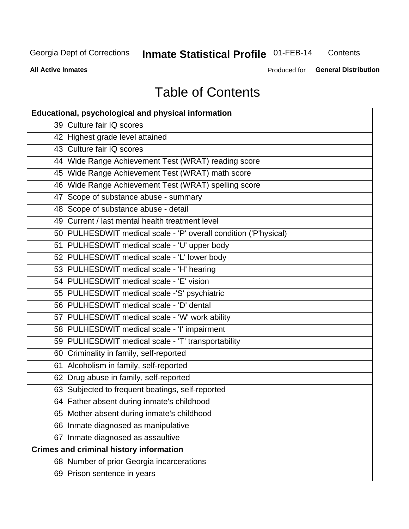# Inmate Statistical Profile 01-FEB-14

Contents

**All Active Inmates** 

Produced for General Distribution

# **Table of Contents**

| Educational, psychological and physical information              |
|------------------------------------------------------------------|
| 39 Culture fair IQ scores                                        |
| 42 Highest grade level attained                                  |
| 43 Culture fair IQ scores                                        |
| 44 Wide Range Achievement Test (WRAT) reading score              |
| 45 Wide Range Achievement Test (WRAT) math score                 |
| 46 Wide Range Achievement Test (WRAT) spelling score             |
| 47 Scope of substance abuse - summary                            |
| 48 Scope of substance abuse - detail                             |
| 49 Current / last mental health treatment level                  |
| 50 PULHESDWIT medical scale - 'P' overall condition ('P'hysical) |
| 51 PULHESDWIT medical scale - 'U' upper body                     |
| 52 PULHESDWIT medical scale - 'L' lower body                     |
| 53 PULHESDWIT medical scale - 'H' hearing                        |
| 54 PULHESDWIT medical scale - 'E' vision                         |
| 55 PULHESDWIT medical scale -'S' psychiatric                     |
| 56 PULHESDWIT medical scale - 'D' dental                         |
| 57 PULHESDWIT medical scale - 'W' work ability                   |
| 58 PULHESDWIT medical scale - 'I' impairment                     |
| 59 PULHESDWIT medical scale - 'T' transportability               |
| 60 Criminality in family, self-reported                          |
| 61 Alcoholism in family, self-reported                           |
| 62 Drug abuse in family, self-reported                           |
| 63 Subjected to frequent beatings, self-reported                 |
| 64 Father absent during inmate's childhood                       |
| 65 Mother absent during inmate's childhood                       |
| 66 Inmate diagnosed as manipulative                              |
| 67 Inmate diagnosed as assaultive                                |
| <b>Crimes and criminal history information</b>                   |
| 68 Number of prior Georgia incarcerations                        |
| 69 Prison sentence in years                                      |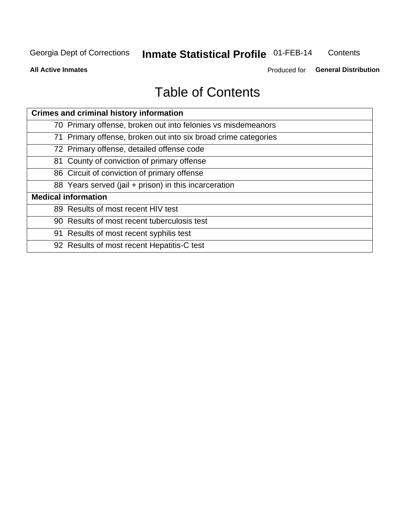### **Inmate Statistical Profile 01-FEB-14** Contents

**All Active Inmates** 

Produced for General Distribution

# **Table of Contents**

| <b>Crimes and criminal history information</b>                 |
|----------------------------------------------------------------|
| 70 Primary offense, broken out into felonies vs misdemeanors   |
| 71 Primary offense, broken out into six broad crime categories |
| 72 Primary offense, detailed offense code                      |
| 81 County of conviction of primary offense                     |
| 86 Circuit of conviction of primary offense                    |
| 88 Years served (jail + prison) in this incarceration          |
| <b>Medical information</b>                                     |
| 89 Results of most recent HIV test                             |
| 90 Results of most recent tuberculosis test                    |
| 91 Results of most recent syphilis test                        |
| 92 Results of most recent Hepatitis-C test                     |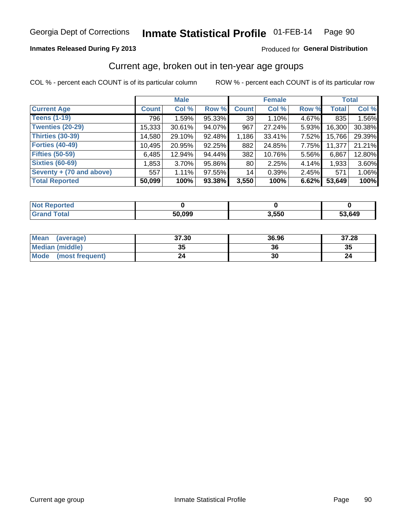#### Inmate Statistical Profile 01-FEB-14 Page 90

# **Inmates Released During Fy 2013**

# Produced for General Distribution

# Current age, broken out in ten-year age groups

COL % - percent each COUNT is of its particular column

|                          |              | <b>Male</b> |        |              | <b>Female</b> |       |        | <b>Total</b> |
|--------------------------|--------------|-------------|--------|--------------|---------------|-------|--------|--------------|
| <b>Current Age</b>       | <b>Count</b> | Col %       | Row %  | <b>Count</b> | Col %         | Row % | Total  | Col %        |
| <b>Teens (1-19)</b>      | 796          | 1.59%       | 95.33% | 39           | 1.10%         | 4.67% | 835    | 1.56%        |
| <b>Twenties (20-29)</b>  | 15,333       | 30.61%      | 94.07% | 967          | 27.24%        | 5.93% | 16,300 | 30.38%       |
| <b>Thirties (30-39)</b>  | 14,580       | 29.10%      | 92.48% | 1,186        | 33.41%        | 7.52% | 15,766 | 29.39%       |
| <b>Forties (40-49)</b>   | 10,495       | 20.95%      | 92.25% | 882          | 24.85%        | 7.75% | 11,377 | 21.21%       |
| <b>Fifties (50-59)</b>   | 6,485        | 12.94%      | 94.44% | 382          | 10.76%        | 5.56% | 6,867  | 12.80%       |
| <b>Sixties (60-69)</b>   | 1,853        | $3.70\%$    | 95.86% | 80           | 2.25%         | 4.14% | 1,933  | 3.60%        |
| Seventy + (70 and above) | 557          | 1.11%       | 97.55% | 14           | 0.39%         | 2.45% | 571    | 1.06%        |
| <b>Total Reported</b>    | 50,099       | 100%        | 93.38% | 3,550        | 100%          | 6.62% | 53,649 | 100%         |

| <b>Not Repo</b><br><b>Enorted</b> |        |       |        |
|-----------------------------------|--------|-------|--------|
| Total                             | 50,099 | 3,550 | 53,649 |

| <b>Mean</b><br>(average) | 37.30     | 36.96 | 37.28 |
|--------------------------|-----------|-------|-------|
| Median (middle)          | -25<br>vu | 36    | 35    |
| Mode<br>(most frequent)  | 24        | 30    |       |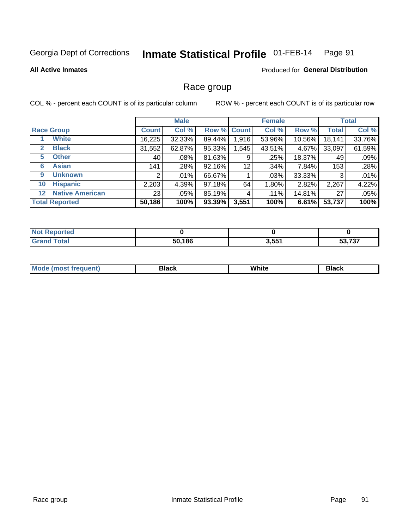### Inmate Statistical Profile 01-FEB-14 Page 91

### **All Active Inmates**

# **Produced for General Distribution**

# Race group

COL % - percent each COUNT is of its particular column

|                                   |                 | <b>Male</b> |                    |       | <b>Female</b> |        |              | <b>Total</b> |
|-----------------------------------|-----------------|-------------|--------------------|-------|---------------|--------|--------------|--------------|
| <b>Race Group</b>                 | <b>Count</b>    | Col %       | <b>Row % Count</b> |       | Col %         | Row %  | <b>Total</b> | Col %        |
| <b>White</b>                      | 16,225          | 32.33%      | 89.44%             | 1,916 | 53.96%        | 10.56% | 18,141       | 33.76%       |
| <b>Black</b><br>$\mathbf{2}$      | 31,552          | 62.87%      | 95.33%             | .545  | 43.51%        | 4.67%  | 33,097       | 61.59%       |
| <b>Other</b><br>5.                | 40              | $.08\%$     | 81.63%             | 9     | .25%          | 18.37% | 49           | .09%         |
| <b>Asian</b><br>6                 | 141             | .28%        | 92.16%             | 12    | .34%          | 7.84%  | 153          | .28%         |
| <b>Unknown</b><br>9               | 2               | $.01\%$     | 66.67%             |       | .03%          | 33.33% | 3            | .01%         |
| <b>Hispanic</b><br>10             | 2,203           | 4.39%       | 97.18%             | 64    | 1.80%         | 2.82%  | 2,267        | 4.22%        |
| <b>Native American</b><br>$12 \,$ | 23 <sub>1</sub> | $.05\%$     | 85.19%             | 4     | .11%          | 14.81% | 27           | .05%         |
| <b>Total Reported</b>             | 50,186          | 100%        | 93.39%             | 3,551 | 100%          | 6.61%  | 53,737       | 100%         |

| <b>Not Reported</b> |        |       |        |
|---------------------|--------|-------|--------|
| <b>Total</b><br>Grs | 50,186 | 3,551 | 53,737 |

| M |  | ------- |
|---|--|---------|
|   |  |         |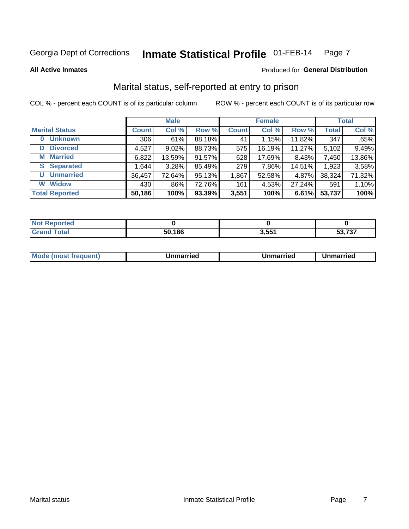### Inmate Statistical Profile 01-FEB-14 Page 7

**All Active Inmates** 

# Produced for General Distribution

# Marital status, self-reported at entry to prison

COL % - percent each COUNT is of its particular column

|                            |              | <b>Male</b> |        |              | <b>Female</b> |        |              | <b>Total</b> |
|----------------------------|--------------|-------------|--------|--------------|---------------|--------|--------------|--------------|
| <b>Marital Status</b>      | <b>Count</b> | Col %       | Row %  | <b>Count</b> | Col %         | Row %  | <b>Total</b> | Col %        |
| <b>Unknown</b><br>$\bf{0}$ | 306          | $.61\%$     | 88.18% | 41           | 1.15%         | 11.82% | 347          | .65%         |
| <b>Divorced</b><br>D       | 4,527        | 9.02%       | 88.73% | 575          | 16.19%        | 11.27% | 5,102        | 9.49%        |
| <b>Married</b><br>M        | 6,822        | 13.59%      | 91.57% | 628          | 17.69%        | 8.43%  | 7,450        | 13.86%       |
| <b>S</b> Separated         | 1,644        | 3.28%       | 85.49% | 279          | 7.86%         | 14.51% | 1,923        | 3.58%        |
| <b>Unmarried</b><br>U      | 36,457       | 72.64%      | 95.13% | 1,867        | 52.58%        | 4.87%  | 38,324       | 71.32%       |
| <b>Widow</b><br>W          | 430          | $.86\%$     | 72.76% | 161          | 4.53%         | 27.24% | 591          | 1.10%        |
| <b>Total Reported</b>      | 50,186       | 100%        | 93.39% | 3,551        | 100%          | 6.61%  | 53,737       | 100%         |

| orted<br>NO |      |                 |                                     |
|-------------|------|-----------------|-------------------------------------|
| $\sim$ 100  | ,186 | 2.551<br>. טטוע | $F^{\alpha}$ $\rightarrow$ $\gamma$ |

|--|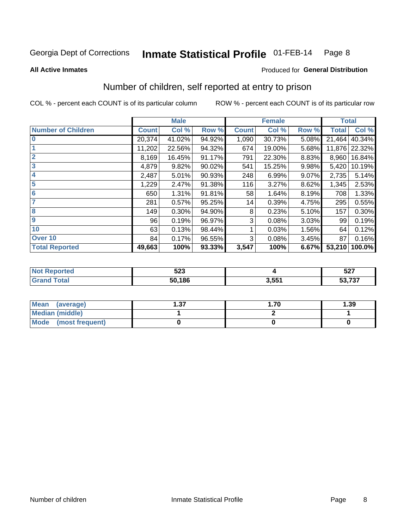### Inmate Statistical Profile 01-FEB-14 Page 8

### **All Active Inmates**

# **Produced for General Distribution**

# Number of children, self reported at entry to prison

COL % - percent each COUNT is of its particular column

|                           |              | <b>Male</b> |        |              | <b>Female</b> |       | <b>Total</b> |               |
|---------------------------|--------------|-------------|--------|--------------|---------------|-------|--------------|---------------|
| <b>Number of Children</b> | <b>Count</b> | Col %       | Row %  | <b>Count</b> | Col %         | Row % | <b>Total</b> | Col %         |
| $\overline{\mathbf{0}}$   | 20,374       | 41.02%      | 94.92% | 1,090        | 30.73%        | 5.08% | 21,464       | 40.34%        |
|                           | 11,202       | 22.56%      | 94.32% | 674          | 19.00%        | 5.68% |              | 11,876 22.32% |
| $\overline{2}$            | 8,169        | 16.45%      | 91.17% | 791          | 22.30%        | 8.83% | 8,960        | 16.84%        |
| $\overline{\mathbf{3}}$   | 4,879        | 9.82%       | 90.02% | 541          | 15.25%        | 9.98% | 5,420        | 10.19%        |
| 4                         | 2,487        | 5.01%       | 90.93% | 248          | 6.99%         | 9.07% | 2,735        | 5.14%         |
| 5                         | 1,229        | 2.47%       | 91.38% | 116          | 3.27%         | 8.62% | 1,345        | 2.53%         |
| $\overline{6}$            | 650          | 1.31%       | 91.81% | 58           | 1.64%         | 8.19% | 708          | 1.33%         |
| 7                         | 281          | 0.57%       | 95.25% | 14           | 0.39%         | 4.75% | 295          | 0.55%         |
| 8                         | 149          | 0.30%       | 94.90% | 8            | 0.23%         | 5.10% | 157          | 0.30%         |
| $\boldsymbol{9}$          | 96           | 0.19%       | 96.97% | 3            | 0.08%         | 3.03% | 99           | 0.19%         |
| 10                        | 63           | 0.13%       | 98.44% |              | 0.03%         | 1.56% | 64           | 0.12%         |
| Over 10                   | 84           | 0.17%       | 96.55% | 3            | 0.08%         | 3.45% | 87           | 0.16%         |
| <b>Total Reported</b>     | 49,663       | 100%        | 93.33% | 3,547        | 100%          | 6.67% | 53,210       | 100.0%        |

| <b>ran</b><br>◡▴◡ |              | $F^{\sim}$<br>32 I       |
|-------------------|--------------|--------------------------|
| 50.186            | O EEA<br>. . | $-22$<br>гл.<br>ວວ, / ວາ |

| <b>Mean</b><br>(average)       | דפ<br>I J J | .70 | 1.39 |
|--------------------------------|-------------|-----|------|
| <b>Median (middle)</b>         |             |     |      |
| <b>Mode</b><br>(most frequent) |             |     |      |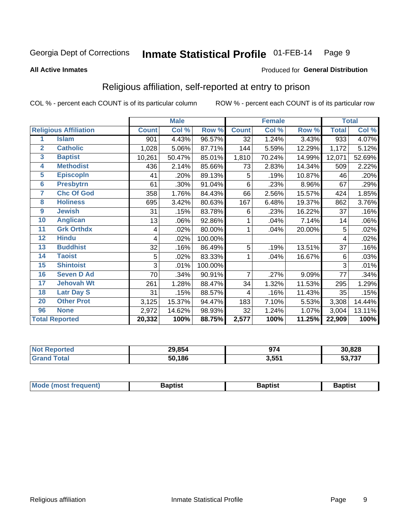### Inmate Statistical Profile 01-FEB-14 Page 9

### **All Active Inmates**

### Produced for General Distribution

# Religious affiliation, self-reported at entry to prison

COL % - percent each COUNT is of its particular column

|                         |                              |              | <b>Male</b> |         |                | <b>Female</b> |        |              | <b>Total</b> |
|-------------------------|------------------------------|--------------|-------------|---------|----------------|---------------|--------|--------------|--------------|
|                         | <b>Religious Affiliation</b> | <b>Count</b> | Col %       | Row %   | <b>Count</b>   | Col %         | Row %  | <b>Total</b> | Col %        |
| 1                       | <b>Islam</b>                 | 901          | 4.43%       | 96.57%  | 32             | 1.24%         | 3.43%  | 933          | 4.07%        |
| $\overline{2}$          | <b>Catholic</b>              | 1,028        | 5.06%       | 87.71%  | 144            | 5.59%         | 12.29% | 1,172        | 5.12%        |
| $\overline{\mathbf{3}}$ | <b>Baptist</b>               | 10,261       | 50.47%      | 85.01%  | 1,810          | 70.24%        | 14.99% | 12,071       | 52.69%       |
| $\overline{\mathbf{4}}$ | <b>Methodist</b>             | 436          | 2.14%       | 85.66%  | 73             | 2.83%         | 14.34% | 509          | 2.22%        |
| $\overline{5}$          | <b>EpiscopIn</b>             | 41           | .20%        | 89.13%  | 5              | .19%          | 10.87% | 46           | .20%         |
| $6\phantom{1}6$         | <b>Presbytrn</b>             | 61           | .30%        | 91.04%  | 6              | .23%          | 8.96%  | 67           | .29%         |
| 7                       | <b>Chc Of God</b>            | 358          | 1.76%       | 84.43%  | 66             | 2.56%         | 15.57% | 424          | 1.85%        |
| 8                       | <b>Holiness</b>              | 695          | 3.42%       | 80.63%  | 167            | 6.48%         | 19.37% | 862          | 3.76%        |
| 9                       | <b>Jewish</b>                | 31           | .15%        | 83.78%  | 6              | .23%          | 16.22% | 37           | .16%         |
| 10                      | <b>Anglican</b>              | 13           | .06%        | 92.86%  |                | .04%          | 7.14%  | 14           | .06%         |
| 11                      | <b>Grk Orthdx</b>            | 4            | .02%        | 80.00%  | 1              | .04%          | 20.00% | 5            | .02%         |
| 12                      | <b>Hindu</b>                 | 4            | .02%        | 100.00% |                |               |        | 4            | .02%         |
| 13                      | <b>Buddhist</b>              | 32           | .16%        | 86.49%  | 5              | .19%          | 13.51% | 37           | .16%         |
| 14                      | <b>Taoist</b>                | 5            | .02%        | 83.33%  | 1              | .04%          | 16.67% | 6            | .03%         |
| 15                      | <b>Shintoist</b>             | 3            | .01%        | 100.00% |                |               |        | 3            | .01%         |
| 16                      | <b>Seven D Ad</b>            | 70           | .34%        | 90.91%  | $\overline{7}$ | .27%          | 9.09%  | 77           | .34%         |
| $\overline{17}$         | <b>Jehovah Wt</b>            | 261          | 1.28%       | 88.47%  | 34             | 1.32%         | 11.53% | 295          | 1.29%        |
| 18                      | <b>Latr Day S</b>            | 31           | .15%        | 88.57%  | 4              | .16%          | 11.43% | 35           | .15%         |
| 20                      | <b>Other Prot</b>            | 3,125        | 15.37%      | 94.47%  | 183            | 7.10%         | 5.53%  | 3,308        | 14.44%       |
| 96                      | <b>None</b>                  | 2,972        | 14.62%      | 98.93%  | 32             | 1.24%         | 1.07%  | 3,004        | 13.11%       |
|                         | <b>Total Reported</b>        | 20,332       | 100%        | 88.75%  | 2,577          | 100%          | 11.25% | 22,909       | 100%         |

| 29,854     | ~-    | 30,828             |
|------------|-------|--------------------|
| .186<br>50 | 3,551 | こつ フクフ<br>.<br>--- |

|  | Mode (most frequent) | 3aptist | 3aptist | Baptist |
|--|----------------------|---------|---------|---------|
|--|----------------------|---------|---------|---------|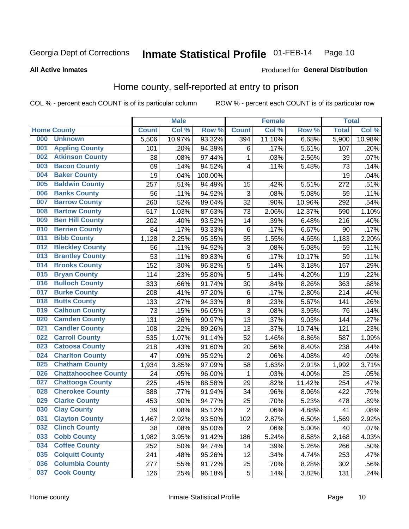### Inmate Statistical Profile 01-FEB-14 Page 10

**All Active Inmates** 

### Produced for General Distribution

# Home county, self-reported at entry to prison

COL % - percent each COUNT is of its particular column

|     |                             |              | <b>Male</b> |                  |                | <b>Female</b> |        | <b>Total</b> |        |
|-----|-----------------------------|--------------|-------------|------------------|----------------|---------------|--------|--------------|--------|
|     | <b>Home County</b>          | <b>Count</b> | Col %       | Row <sup>%</sup> | <b>Count</b>   | Col %         | Row %  | <b>Total</b> | Col %  |
| 000 | <b>Unknown</b>              | 5,506        | 10.97%      | 93.32%           | 394            | 11.10%        | 6.68%  | 5,900        | 10.98% |
| 001 | <b>Appling County</b>       | 101          | .20%        | 94.39%           | 6              | .17%          | 5.61%  | 107          | .20%   |
| 002 | <b>Atkinson County</b>      | 38           | .08%        | 97.44%           | 1              | .03%          | 2.56%  | 39           | .07%   |
| 003 | <b>Bacon County</b>         | 69           | .14%        | 94.52%           | 4              | .11%          | 5.48%  | 73           | .14%   |
| 004 | <b>Baker County</b>         | 19           | .04%        | 100.00%          |                |               |        | 19           | .04%   |
| 005 | <b>Baldwin County</b>       | 257          | .51%        | 94.49%           | 15             | .42%          | 5.51%  | 272          | .51%   |
| 006 | <b>Banks County</b>         | 56           | .11%        | 94.92%           | $\mathbf{3}$   | .08%          | 5.08%  | 59           | .11%   |
| 007 | <b>Barrow County</b>        | 260          | .52%        | 89.04%           | 32             | .90%          | 10.96% | 292          | .54%   |
| 008 | <b>Bartow County</b>        | 517          | 1.03%       | 87.63%           | 73             | 2.06%         | 12.37% | 590          | 1.10%  |
| 009 | <b>Ben Hill County</b>      | 202          | .40%        | 93.52%           | 14             | .39%          | 6.48%  | 216          | .40%   |
| 010 | <b>Berrien County</b>       | 84           | .17%        | 93.33%           | $\,6$          | .17%          | 6.67%  | 90           | .17%   |
| 011 | <b>Bibb County</b>          | 1,128        | 2.25%       | 95.35%           | 55             | 1.55%         | 4.65%  | 1,183        | 2.20%  |
| 012 | <b>Bleckley County</b>      | 56           | .11%        | 94.92%           | 3              | .08%          | 5.08%  | 59           | .11%   |
| 013 | <b>Brantley County</b>      | 53           | .11%        | 89.83%           | $\,6$          | .17%          | 10.17% | 59           | .11%   |
| 014 | <b>Brooks County</b>        | 152          | .30%        | 96.82%           | 5              | .14%          | 3.18%  | 157          | .29%   |
| 015 | <b>Bryan County</b>         | 114          | .23%        | 95.80%           | 5              | .14%          | 4.20%  | 119          | .22%   |
| 016 | <b>Bulloch County</b>       | 333          | .66%        | 91.74%           | 30             | .84%          | 8.26%  | 363          | .68%   |
| 017 | <b>Burke County</b>         | 208          | .41%        | 97.20%           | $\,6$          | .17%          | 2.80%  | 214          | .40%   |
| 018 | <b>Butts County</b>         | 133          | .27%        | 94.33%           | $\bf 8$        | .23%          | 5.67%  | 141          | .26%   |
| 019 | <b>Calhoun County</b>       | 73           | .15%        | 96.05%           | 3              | .08%          | 3.95%  | 76           | .14%   |
| 020 | <b>Camden County</b>        | 131          | .26%        | 90.97%           | 13             | .37%          | 9.03%  | 144          | .27%   |
| 021 | <b>Candler County</b>       | 108          | .22%        | 89.26%           | 13             | .37%          | 10.74% | 121          | .23%   |
| 022 | <b>Carroll County</b>       | 535          | 1.07%       | 91.14%           | 52             | 1.46%         | 8.86%  | 587          | 1.09%  |
| 023 | <b>Catoosa County</b>       | 218          | .43%        | 91.60%           | 20             | .56%          | 8.40%  | 238          | .44%   |
| 024 | <b>Charlton County</b>      | 47           | .09%        | 95.92%           | 2              | .06%          | 4.08%  | 49           | .09%   |
| 025 | <b>Chatham County</b>       | 1,934        | 3.85%       | 97.09%           | 58             | 1.63%         | 2.91%  | 1,992        | 3.71%  |
| 026 | <b>Chattahoochee County</b> | 24           | .05%        | 96.00%           | 1              | .03%          | 4.00%  | 25           | .05%   |
| 027 | <b>Chattooga County</b>     | 225          | .45%        | 88.58%           | 29             | .82%          | 11.42% | 254          | .47%   |
| 028 | <b>Cherokee County</b>      | 388          | .77%        | 91.94%           | 34             | .96%          | 8.06%  | 422          | .79%   |
| 029 | <b>Clarke County</b>        | 453          | .90%        | 94.77%           | 25             | .70%          | 5.23%  | 478          | .89%   |
| 030 | <b>Clay County</b>          | 39           | .08%        | 95.12%           | $\overline{2}$ | .06%          | 4.88%  | 41           | .08%   |
| 031 | <b>Clayton County</b>       | 1,467        | 2.92%       | 93.50%           | 102            | 2.87%         | 6.50%  | 1,569        | 2.92%  |
| 032 | <b>Clinch County</b>        | 38           | .08%        | 95.00%           | $\overline{2}$ | .06%          | 5.00%  | 40           | .07%   |
| 033 | <b>Cobb County</b>          | 1,982        | 3.95%       | 91.42%           | 186            | 5.24%         | 8.58%  | 2,168        | 4.03%  |
| 034 | <b>Coffee County</b>        | 252          | .50%        | 94.74%           | 14             | .39%          | 5.26%  | 266          | .50%   |
| 035 | <b>Colquitt County</b>      | 241          | .48%        | 95.26%           | 12             | .34%          | 4.74%  | 253          | .47%   |
| 036 | <b>Columbia County</b>      | 277          | .55%        | 91.72%           | 25             | .70%          | 8.28%  | 302          | .56%   |
| 037 | <b>Cook County</b>          | 126          | .25%        | 96.18%           | 5              | .14%          | 3.82%  | 131          | .24%   |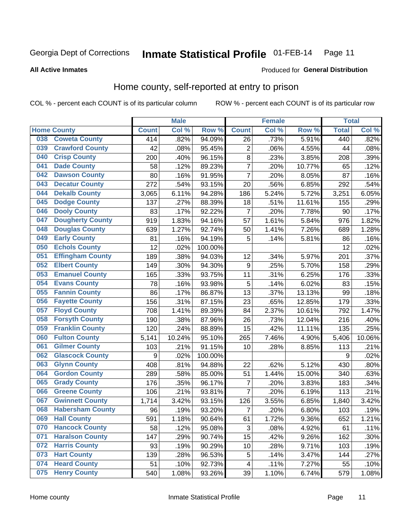### **Inmate Statistical Profile 01-FEB-14** Page 11

**All Active Inmates** 

### Produced for General Distribution

# Home county, self-reported at entry to prison

COL % - percent each COUNT is of its particular column

|     |                         |              | <b>Male</b> |                  |                  | <b>Female</b> |        | <b>Total</b> |        |
|-----|-------------------------|--------------|-------------|------------------|------------------|---------------|--------|--------------|--------|
|     | <b>Home County</b>      | <b>Count</b> | Col %       | Row <sup>%</sup> | <b>Count</b>     | Col %         | Row %  | <b>Total</b> | Col %  |
| 038 | <b>Coweta County</b>    | 414          | .82%        | 94.09%           | 26               | .73%          | 5.91%  | 440          | .82%   |
| 039 | <b>Crawford County</b>  | 42           | .08%        | 95.45%           | $\overline{2}$   | .06%          | 4.55%  | 44           | .08%   |
| 040 | <b>Crisp County</b>     | 200          | .40%        | 96.15%           | $\overline{8}$   | .23%          | 3.85%  | 208          | .39%   |
| 041 | <b>Dade County</b>      | 58           | .12%        | 89.23%           | $\overline{7}$   | .20%          | 10.77% | 65           | .12%   |
| 042 | <b>Dawson County</b>    | 80           | .16%        | 91.95%           | $\overline{7}$   | .20%          | 8.05%  | 87           | .16%   |
| 043 | <b>Decatur County</b>   | 272          | .54%        | 93.15%           | 20               | .56%          | 6.85%  | 292          | .54%   |
| 044 | <b>Dekalb County</b>    | 3,065        | 6.11%       | 94.28%           | 186              | 5.24%         | 5.72%  | 3,251        | 6.05%  |
| 045 | <b>Dodge County</b>     | 137          | .27%        | 88.39%           | 18               | .51%          | 11.61% | 155          | .29%   |
| 046 | <b>Dooly County</b>     | 83           | .17%        | 92.22%           | $\overline{7}$   | .20%          | 7.78%  | 90           | .17%   |
| 047 | <b>Dougherty County</b> | 919          | 1.83%       | 94.16%           | 57               | 1.61%         | 5.84%  | 976          | 1.82%  |
| 048 | <b>Douglas County</b>   | 639          | 1.27%       | 92.74%           | 50               | 1.41%         | 7.26%  | 689          | 1.28%  |
| 049 | <b>Early County</b>     | 81           | .16%        | 94.19%           | 5                | .14%          | 5.81%  | 86           | .16%   |
| 050 | <b>Echols County</b>    | 12           | .02%        | 100.00%          |                  |               |        | 12           | .02%   |
| 051 | <b>Effingham County</b> | 189          | .38%        | 94.03%           | 12               | .34%          | 5.97%  | 201          | .37%   |
| 052 | <b>Elbert County</b>    | 149          | .30%        | 94.30%           | $\boldsymbol{9}$ | .25%          | 5.70%  | 158          | .29%   |
| 053 | <b>Emanuel County</b>   | 165          | .33%        | 93.75%           | 11               | .31%          | 6.25%  | 176          | .33%   |
| 054 | <b>Evans County</b>     | 78           | .16%        | 93.98%           | 5                | .14%          | 6.02%  | 83           | .15%   |
| 055 | <b>Fannin County</b>    | 86           | .17%        | 86.87%           | 13               | .37%          | 13.13% | 99           | .18%   |
| 056 | <b>Fayette County</b>   | 156          | .31%        | 87.15%           | 23               | .65%          | 12.85% | 179          | .33%   |
| 057 | <b>Floyd County</b>     | 708          | 1.41%       | 89.39%           | 84               | 2.37%         | 10.61% | 792          | 1.47%  |
| 058 | <b>Forsyth County</b>   | 190          | .38%        | 87.96%           | 26               | .73%          | 12.04% | 216          | .40%   |
| 059 | <b>Franklin County</b>  | 120          | .24%        | 88.89%           | 15               | .42%          | 11.11% | 135          | .25%   |
| 060 | <b>Fulton County</b>    | 5,141        | 10.24%      | 95.10%           | 265              | 7.46%         | 4.90%  | 5,406        | 10.06% |
| 061 | <b>Gilmer County</b>    | 103          | .21%        | 91.15%           | 10               | .28%          | 8.85%  | 113          | .21%   |
| 062 | <b>Glascock County</b>  | 9            | .02%        | 100.00%          |                  |               |        | 9            | .02%   |
| 063 | <b>Glynn County</b>     | 408          | .81%        | 94.88%           | 22               | .62%          | 5.12%  | 430          | .80%   |
| 064 | <b>Gordon County</b>    | 289          | .58%        | 85.00%           | 51               | 1.44%         | 15.00% | 340          | .63%   |
| 065 | <b>Grady County</b>     | 176          | .35%        | 96.17%           | $\overline{7}$   | .20%          | 3.83%  | 183          | .34%   |
| 066 | <b>Greene County</b>    | 106          | .21%        | 93.81%           | $\overline{7}$   | .20%          | 6.19%  | 113          | .21%   |
| 067 | <b>Gwinnett County</b>  | 1,714        | 3.42%       | 93.15%           | 126              | 3.55%         | 6.85%  | 1,840        | 3.42%  |
| 068 | <b>Habersham County</b> | 96           | .19%        | 93.20%           | 7                | .20%          | 6.80%  | 103          | .19%   |
| 069 | <b>Hall County</b>      | 591          | 1.18%       | 90.64%           | 61               | 1.72%         | 9.36%  | 652          | 1.21%  |
| 070 | <b>Hancock County</b>   | 58           | .12%        | 95.08%           | 3                | .08%          | 4.92%  | 61           | .11%   |
| 071 | <b>Haralson County</b>  | 147          | .29%        | 90.74%           | 15               | .42%          | 9.26%  | 162          | .30%   |
| 072 | <b>Harris County</b>    | 93           | .19%        | 90.29%           | 10               | .28%          | 9.71%  | 103          | .19%   |
| 073 | <b>Hart County</b>      | 139          | .28%        | 96.53%           | 5                | .14%          | 3.47%  | 144          | .27%   |
| 074 | <b>Heard County</b>     | 51           | .10%        | 92.73%           | 4                | .11%          | 7.27%  | 55           | .10%   |
| 075 | <b>Henry County</b>     | 540          | 1.08%       | 93.26%           | 39               | 1.10%         | 6.74%  | 579          | 1.08%  |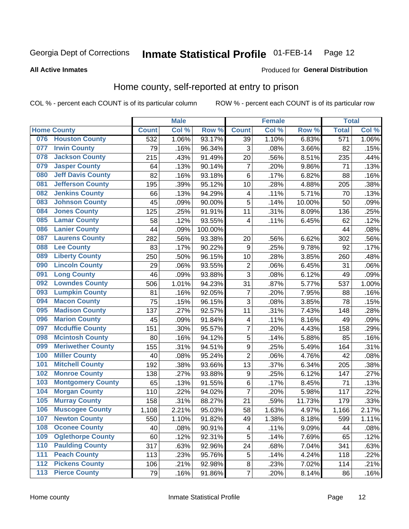### Inmate Statistical Profile 01-FEB-14 Page 12

**All Active Inmates** 

# Produced for General Distribution

# Home county, self-reported at entry to prison

COL % - percent each COUNT is of its particular column

|     |                          |              | <b>Male</b> |                  |                         | <b>Female</b> |        | <b>Total</b> |       |
|-----|--------------------------|--------------|-------------|------------------|-------------------------|---------------|--------|--------------|-------|
|     | <b>Home County</b>       | <b>Count</b> | Col %       | Row <sup>%</sup> | <b>Count</b>            | Col %         | Row %  | <b>Total</b> | Col % |
|     | 076 Houston County       | 532          | 1.06%       | 93.17%           | 39                      | 1.10%         | 6.83%  | 571          | 1.06% |
| 077 | <b>Irwin County</b>      | 79           | .16%        | 96.34%           | 3                       | .08%          | 3.66%  | 82           | .15%  |
| 078 | <b>Jackson County</b>    | 215          | .43%        | 91.49%           | 20                      | .56%          | 8.51%  | 235          | .44%  |
| 079 | <b>Jasper County</b>     | 64           | .13%        | 90.14%           | $\overline{7}$          | .20%          | 9.86%  | 71           | .13%  |
| 080 | <b>Jeff Davis County</b> | 82           | .16%        | 93.18%           | $\,6$                   | .17%          | 6.82%  | 88           | .16%  |
| 081 | <b>Jefferson County</b>  | 195          | .39%        | 95.12%           | 10                      | .28%          | 4.88%  | 205          | .38%  |
| 082 | <b>Jenkins County</b>    | 66           | .13%        | 94.29%           | 4                       | .11%          | 5.71%  | 70           | .13%  |
| 083 | <b>Johnson County</b>    | 45           | .09%        | 90.00%           | 5                       | .14%          | 10.00% | 50           | .09%  |
| 084 | <b>Jones County</b>      | 125          | .25%        | 91.91%           | 11                      | .31%          | 8.09%  | 136          | .25%  |
| 085 | <b>Lamar County</b>      | 58           | .12%        | 93.55%           | $\overline{4}$          | .11%          | 6.45%  | 62           | .12%  |
| 086 | <b>Lanier County</b>     | 44           | .09%        | 100.00%          |                         |               |        | 44           | .08%  |
| 087 | <b>Laurens County</b>    | 282          | .56%        | 93.38%           | 20                      | .56%          | 6.62%  | 302          | .56%  |
| 088 | <b>Lee County</b>        | 83           | .17%        | 90.22%           | $\boldsymbol{9}$        | .25%          | 9.78%  | 92           | .17%  |
| 089 | <b>Liberty County</b>    | 250          | .50%        | 96.15%           | 10                      | .28%          | 3.85%  | 260          | .48%  |
| 090 | <b>Lincoln County</b>    | 29           | .06%        | 93.55%           | $\overline{2}$          | .06%          | 6.45%  | 31           | .06%  |
| 091 | <b>Long County</b>       | 46           | .09%        | 93.88%           | 3                       | .08%          | 6.12%  | 49           | .09%  |
| 092 | <b>Lowndes County</b>    | 506          | 1.01%       | 94.23%           | 31                      | .87%          | 5.77%  | 537          | 1.00% |
| 093 | <b>Lumpkin County</b>    | 81           | .16%        | 92.05%           | $\overline{7}$          | .20%          | 7.95%  | 88           | .16%  |
| 094 | <b>Macon County</b>      | 75           | .15%        | 96.15%           | 3                       | .08%          | 3.85%  | 78           | .15%  |
| 095 | <b>Madison County</b>    | 137          | .27%        | 92.57%           | 11                      | .31%          | 7.43%  | 148          | .28%  |
| 096 | <b>Marion County</b>     | 45           | .09%        | 91.84%           | 4                       | .11%          | 8.16%  | 49           | .09%  |
| 097 | <b>Mcduffie County</b>   | 151          | .30%        | 95.57%           | $\overline{7}$          | .20%          | 4.43%  | 158          | .29%  |
| 098 | <b>Mcintosh County</b>   | 80           | .16%        | 94.12%           | 5                       | .14%          | 5.88%  | 85           | .16%  |
| 099 | <b>Meriwether County</b> | 155          | .31%        | 94.51%           | $\boldsymbol{9}$        | .25%          | 5.49%  | 164          | .31%  |
| 100 | <b>Miller County</b>     | 40           | .08%        | 95.24%           | $\overline{2}$          | .06%          | 4.76%  | 42           | .08%  |
| 101 | <b>Mitchell County</b>   | 192          | .38%        | 93.66%           | 13                      | .37%          | 6.34%  | 205          | .38%  |
| 102 | <b>Monroe County</b>     | 138          | .27%        | 93.88%           | $\boldsymbol{9}$        | .25%          | 6.12%  | 147          | .27%  |
| 103 | <b>Montgomery County</b> | 65           | .13%        | 91.55%           | $\,6$                   | .17%          | 8.45%  | 71           | .13%  |
| 104 | <b>Morgan County</b>     | 110          | .22%        | 94.02%           | $\overline{7}$          | .20%          | 5.98%  | 117          | .22%  |
| 105 | <b>Murray County</b>     | 158          | .31%        | 88.27%           | 21                      | .59%          | 11.73% | 179          | .33%  |
| 106 | <b>Muscogee County</b>   | 1,108        | 2.21%       | 95.03%           | 58                      | 1.63%         | 4.97%  | 1,166        | 2.17% |
| 107 | <b>Newton County</b>     | 550          | 1.10%       | 91.82%           | 49                      | 1.38%         | 8.18%  | 599          | 1.11% |
| 108 | <b>Oconee County</b>     | 40           | .08%        | 90.91%           | 4                       | .11%          | 9.09%  | 44           | .08%  |
| 109 | <b>Oglethorpe County</b> | 60           | .12%        | 92.31%           | 5                       | .14%          | 7.69%  | 65           | .12%  |
| 110 | <b>Paulding County</b>   | 317          | .63%        | 92.96%           | 24                      | .68%          | 7.04%  | 341          | .63%  |
| 111 | <b>Peach County</b>      | 113          | .23%        | 95.76%           | 5                       | .14%          | 4.24%  | 118          | .22%  |
| 112 | <b>Pickens County</b>    | 106          | .21%        | 92.98%           | $\bf 8$                 | .23%          | 7.02%  | 114          | .21%  |
| 113 | <b>Pierce County</b>     | 79           | .16%        | 91.86%           | $\overline{\mathbf{7}}$ | .20%          | 8.14%  | 86           | .16%  |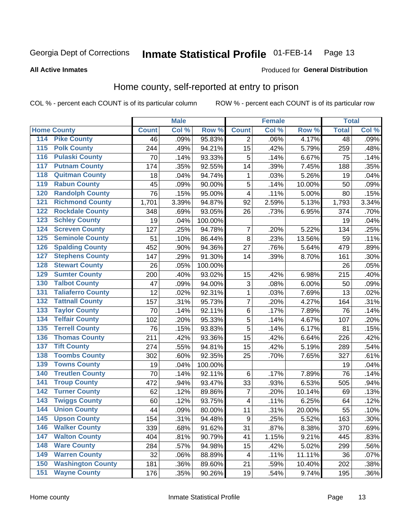### Inmate Statistical Profile 01-FEB-14 Page 13

# **All Active Inmates**

# Produced for General Distribution

# Home county, self-reported at entry to prison

COL % - percent each COUNT is of its particular column

|                                          |                          |              | <b>Male</b> |                  |                | <b>Female</b> |        | <b>Total</b>    |         |
|------------------------------------------|--------------------------|--------------|-------------|------------------|----------------|---------------|--------|-----------------|---------|
| <b>Home County</b>                       |                          | <b>Count</b> | Col %       | Row <sup>%</sup> | <b>Count</b>   | Col %         | Row %  | <b>Total</b>    | Col %   |
| 114<br><b>Pike County</b>                |                          | 46           | .09%        | 95.83%           | 2              | .06%          | 4.17%  | $\overline{48}$ | .09%    |
| <b>Polk County</b><br>115                |                          | 244          | .49%        | 94.21%           | 15             | .42%          | 5.79%  | 259             | .48%    |
| <b>Pulaski County</b><br>116             |                          | 70           | .14%        | 93.33%           | 5              | .14%          | 6.67%  | 75              | .14%    |
| 117                                      | <b>Putnam County</b>     | 174          | .35%        | 92.55%           | 14             | .39%          | 7.45%  | 188             | .35%    |
| 118                                      | <b>Quitman County</b>    | 18           | .04%        | 94.74%           | 1              | .03%          | 5.26%  | 19              | .04%    |
| <b>Rabun County</b><br>119               |                          | 45           | .09%        | 90.00%           | 5              | .14%          | 10.00% | 50              | .09%    |
| 120                                      | <b>Randolph County</b>   | 76           | .15%        | 95.00%           | $\overline{4}$ | .11%          | 5.00%  | 80              | .15%    |
| 121                                      | <b>Richmond County</b>   | 1,701        | 3.39%       | 94.87%           | 92             | 2.59%         | 5.13%  | 1,793           | 3.34%   |
| 122                                      | <b>Rockdale County</b>   | 348          | .69%        | 93.05%           | 26             | .73%          | 6.95%  | 374             | .70%    |
| <b>Schley County</b><br>123              |                          | 19           | .04%        | 100.00%          |                |               |        | 19              | .04%    |
| 124                                      | <b>Screven County</b>    | 127          | .25%        | 94.78%           | 7              | .20%          | 5.22%  | 134             | .25%    |
| 125                                      | <b>Seminole County</b>   | 51           | .10%        | 86.44%           | 8              | .23%          | 13.56% | 59              | .11%    |
| 126                                      | <b>Spalding County</b>   | 452          | .90%        | 94.36%           | 27             | .76%          | 5.64%  | 479             | .89%    |
| 127                                      | <b>Stephens County</b>   | 147          | .29%        | 91.30%           | 14             | .39%          | 8.70%  | 161             | .30%    |
| 128                                      | <b>Stewart County</b>    | 26           | .05%        | 100.00%          |                |               |        | 26              | .05%    |
| <b>Sumter County</b><br>129              |                          | 200          | .40%        | 93.02%           | 15             | .42%          | 6.98%  | 215             | .40%    |
| <b>Talbot County</b><br>130              |                          | 47           | .09%        | 94.00%           | 3              | .08%          | 6.00%  | 50              | .09%    |
| 131                                      | <b>Taliaferro County</b> | 12           | .02%        | 92.31%           | 1              | .03%          | 7.69%  | 13              | .02%    |
| <b>Tattnall County</b><br>132            |                          | 157          | .31%        | 95.73%           | $\overline{7}$ | .20%          | 4.27%  | 164             | .31%    |
| <b>Taylor County</b><br>133              |                          | 70           | .14%        | 92.11%           | $\,6$          | .17%          | 7.89%  | 76              | .14%    |
| <b>Telfair County</b><br>134             |                          | 102          | .20%        | 95.33%           | 5              | .14%          | 4.67%  | 107             | .20%    |
| <b>Terrell County</b><br>135             |                          | 76           | .15%        | 93.83%           | 5              | .14%          | 6.17%  | 81              | .15%    |
| 136                                      | <b>Thomas County</b>     | 211          | .42%        | 93.36%           | 15             | .42%          | 6.64%  | 226             | .42%    |
| <b>Tift County</b><br>137                |                          | 274          | .55%        | 94.81%           | 15             | .42%          | 5.19%  | 289             | .54%    |
| 138                                      | <b>Toombs County</b>     | 302          | .60%        | 92.35%           | 25             | .70%          | 7.65%  | 327             | .61%    |
| <b>Towns County</b><br>139               |                          | 19           | .04%        | 100.00%          |                |               |        | 19              | .04%    |
| 140                                      | <b>Treutlen County</b>   | 70           | .14%        | 92.11%           | $\,6$          | .17%          | 7.89%  | 76              | .14%    |
| <b>Troup County</b><br>141               |                          | 472          | .94%        | 93.47%           | 33             | .93%          | 6.53%  | 505             | .94%    |
| <b>Turner County</b><br>$\overline{142}$ |                          | 62           | .12%        | 89.86%           | 7              | .20%          | 10.14% | 69              | .13%    |
| <b>Twiggs County</b><br>143              |                          | 60           | .12%        | 93.75%           | 4              | .11%          | 6.25%  | 64              | .12%    |
| <b>Union County</b><br>144               |                          | 44           | .09%        | 80.00%           | 11             | .31%          | 20.00% | 55              | .10%    |
| 145<br><b>Upson County</b>               |                          | 154          | .31%        | 94.48%           | 9              | .25%          | 5.52%  | 163             | .30%    |
| <b>Walker County</b><br>146              |                          | 339          | .68%        | 91.62%           | 31             | .87%          | 8.38%  | 370             | .69%    |
| <b>Walton County</b><br>147              |                          | 404          | .81%        | 90.79%           | 41             | 1.15%         | 9.21%  | 445             | .83%    |
| <b>Ware County</b><br>148                |                          | 284          | .57%        | 94.98%           | 15             | .42%          | 5.02%  | 299             | .56%    |
| <b>Warren County</b><br>149              |                          | 32           | .06%        | 88.89%           | 4              | .11%          | 11.11% | 36              | .07%    |
| 150                                      | <b>Washington County</b> | 181          | .36%        | 89.60%           | 21             | .59%          | 10.40% | 202             | .38%    |
| <b>Wayne County</b><br>151               |                          | 176          | .35%        | 90.26%           | 19             | .54%          | 9.74%  | 195             | $.36\%$ |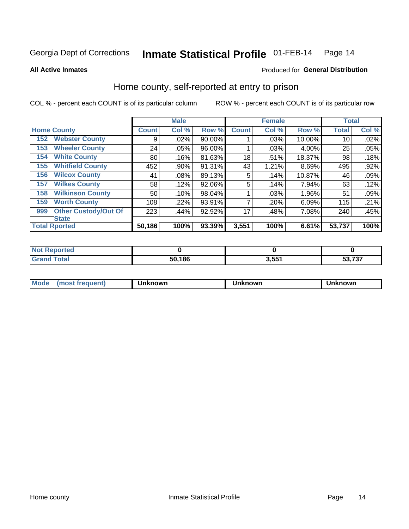### Inmate Statistical Profile 01-FEB-14 Page 14

**All Active Inmates** 

# Produced for General Distribution

# Home county, self-reported at entry to prison

COL % - percent each COUNT is of its particular column

|     |                             |              | <b>Male</b> |        |              | <b>Female</b> |          | <b>Total</b>    |       |
|-----|-----------------------------|--------------|-------------|--------|--------------|---------------|----------|-----------------|-------|
|     | <b>Home County</b>          | <b>Count</b> | Col %       | Row %  | <b>Count</b> | Col %         | Row %    | <b>Total</b>    | Col % |
| 152 | <b>Webster County</b>       | 9            | .02%        | 90.00% |              | .03%          | 10.00%   | 10 <sub>1</sub> | .02%  |
| 153 | <b>Wheeler County</b>       | 24           | .05%        | 96.00% |              | .03%          | 4.00%    | 25              | .05%  |
| 154 | <b>White County</b>         | 80           | .16%        | 81.63% | 18           | .51%          | 18.37%   | 98              | .18%  |
| 155 | <b>Whitfield County</b>     | 452          | .90%        | 91.31% | 43           | 1.21%         | 8.69%    | 495             | .92%  |
| 156 | <b>Wilcox County</b>        | 41           | .08%        | 89.13% | 5            | .14%          | 10.87%   | 46              | .09%  |
| 157 | <b>Wilkes County</b>        | 58           | .12%        | 92.06% | 5            | .14%          | 7.94%    | 63              | .12%  |
| 158 | <b>Wilkinson County</b>     | 50           | .10%        | 98.04% |              | .03%          | $1.96\%$ | 51              | .09%  |
| 159 | <b>Worth County</b>         | 108          | .22%        | 93.91% |              | .20%          | 6.09%    | 115             | .21%  |
| 999 | <b>Other Custody/Out Of</b> | 223          | .44%        | 92.92% | 17           | .48%          | 7.08%    | 240             | .45%  |
|     | <b>State</b>                |              |             |        |              |               |          |                 |       |
|     | <b>Total Rported</b>        | 50,186       | 100%        | 93.39% | 3,551        | 100%          | 6.61%    | 53,737          | 100%  |

| ાલવ |        |                  |                               |
|-----|--------|------------------|-------------------------------|
|     | 50,186 | 2 <sub>E</sub> 4 | $F^{\alpha}$ 707<br>، پ<br>-- |

| Mode<br><b>Tequent)</b><br>ns | nown | mown | เทown |
|-------------------------------|------|------|-------|
|                               |      |      |       |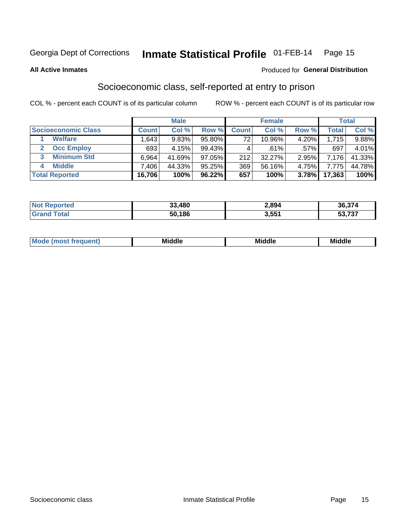#### Inmate Statistical Profile 01-FEB-14 Page 15

**All Active Inmates** 

# **Produced for General Distribution**

# Socioeconomic class, self-reported at entry to prison

COL % - percent each COUNT is of its particular column

|                            |                | <b>Male</b> |        |              | <b>Female</b> |          |        | <b>Total</b> |
|----------------------------|----------------|-------------|--------|--------------|---------------|----------|--------|--------------|
| <b>Socioeconomic Class</b> | <b>Count</b> l | Col %       | Row %  | <b>Count</b> | Col %         | Row %    | Total  | Col %        |
| <b>Welfare</b>             | .643           | 9.83%       | 95.80% | 72           | 10.96%        | $4.20\%$ | 1,715  | $9.88\%$     |
| <b>Occ Employ</b>          | 693            | 4.15%       | 99.43% |              | .61%          | $.57\%$  | 697    | 4.01%        |
| <b>Minimum Std</b>         | 6,964          | 41.69%      | 97.05% | 212          | 32.27%        | 2.95%    | 7,176  | 41.33%       |
| <b>Middle</b>              | .406           | 44.33%      | 95.25% | 369          | 56.16%        | 4.75%    | 7.775  | 44.78%       |
| <b>Total Reported</b>      | 16,706         | 100%        | 96.22% | 657          | 100%          | 3.78%    | 17,363 | 100%         |

| <b>Not Reported</b> | 33,480 | 2,894 | 36,374 |
|---------------------|--------|-------|--------|
| <b>Total</b>        | 50,186 | 3.551 | 53,737 |

| Mi<br>____<br>____ |
|--------------------|
|--------------------|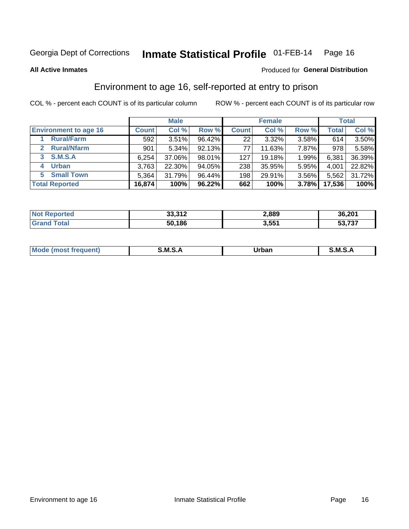# Inmate Statistical Profile 01-FEB-14 Page 16

**All Active Inmates** 

# Produced for General Distribution

# Environment to age 16, self-reported at entry to prison

COL % - percent each COUNT is of its particular column

|                                    |              | <b>Male</b> |        |              | <b>Female</b> |       |              | <b>Total</b> |
|------------------------------------|--------------|-------------|--------|--------------|---------------|-------|--------------|--------------|
| <b>Environment to age 16</b>       | <b>Count</b> | Col %       | Row %  | <b>Count</b> | Col %         | Row % | <b>Total</b> | Col %        |
| <b>Rural/Farm</b>                  | 592          | 3.51%       | 96.42% | 221          | 3.32%         | 3.58% | 614          | 3.50%        |
| <b>Rural/Nfarm</b><br>$\mathbf{2}$ | 901          | $5.34\%$    | 92.13% | 77           | 11.63%        | 7.87% | 978          | 5.58%        |
| 3 S.M.S.A                          | 6,254        | 37.06%      | 98.01% | 127          | 19.18%        | 1.99% | 6,381        | 36.39%       |
| <b>Urban</b><br>4                  | 3,763        | 22.30%      | 94.05% | 238          | 35.95%        | 5.95% | 4,001        | 22.82%       |
| <b>Small Town</b><br>5.            | 5,364        | 31.79%      | 96.44% | 198          | 29.91%        | 3.56% | 5,562        | 31.72%       |
| <b>Total Reported</b>              | 16,874       | 100%        | 96.22% | 662          | 100%          | 3.78% | 17,536       | 100%         |

| <b>Not Reported</b> | 22.212<br>ے ∟د. دد | 2,889 | 36,201 |
|---------------------|--------------------|-------|--------|
| <b>Grand Total</b>  | 50,186             | 3,551 | 53,737 |

| Mo | M<br>______ | Irhan<br>rva<br>_____ | M<br>______ |
|----|-------------|-----------------------|-------------|
|    |             |                       |             |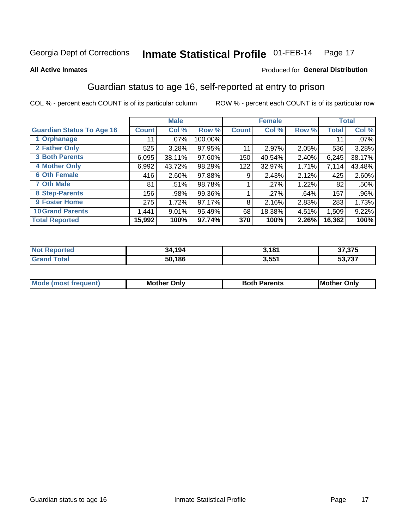#### Inmate Statistical Profile 01-FEB-14 Page 17

### **All Active Inmates**

# Produced for General Distribution

# Guardian status to age 16, self-reported at entry to prison

COL % - percent each COUNT is of its particular column

|                                  |              | <b>Male</b> |         |              | <b>Female</b> |       |        | <b>Total</b> |
|----------------------------------|--------------|-------------|---------|--------------|---------------|-------|--------|--------------|
| <b>Guardian Status To Age 16</b> | <b>Count</b> | Col %       | Row %   | <b>Count</b> | Col %         | Row % | Total  | Col %        |
| 1 Orphanage                      | 11           | $.07\%$     | 100.00% |              |               |       | 11     | $.07\%$      |
| 2 Father Only                    | 525          | 3.28%       | 97.95%  | 11           | 2.97%         | 2.05% | 536    | 3.28%        |
| <b>3 Both Parents</b>            | 6,095        | 38.11%      | 97.60%  | 150          | 40.54%        | 2.40% | 6,245  | 38.17%       |
| <b>4 Mother Only</b>             | 6,992        | 43.72%      | 98.29%  | 122          | 32.97%        | 1.71% | 7,114  | 43.48%       |
| <b>6 Oth Female</b>              | 416          | 2.60%       | 97.88%  | 9            | 2.43%         | 2.12% | 425    | 2.60%        |
| <b>7 Oth Male</b>                | 81           | .51%        | 98.78%  |              | .27%          | 1.22% | 82     | .50%         |
| 8 Step-Parents                   | 156          | .98%        | 99.36%  |              | .27%          | .64%  | 157    | $.96\%$      |
| 9 Foster Home                    | 275          | 1.72%       | 97.17%  | 8            | 2.16%         | 2.83% | 283    | 1.73%        |
| <b>10 Grand Parents</b>          | 1,441        | 9.01%       | 95.49%  | 68           | 18.38%        | 4.51% | 1,509  | 9.22%        |
| <b>Total Reported</b>            | 15,992       | 100%        | 97.74%  | 370          | 100%          | 2.26% | 16,362 | 100%         |

| <b>rreo</b> | 4.194  | 3,181 | クフ クフロ              |
|-------------|--------|-------|---------------------|
| NO.         | 34     |       | 31.JD               |
| Gr:         | 50.186 | 3,551 | につ フクフ<br>53<br>791 |

| Mode | วทIv<br>Mot | <b>Both Parents</b><br>Parents | lM.<br>Only<br>. |
|------|-------------|--------------------------------|------------------|
|      |             |                                |                  |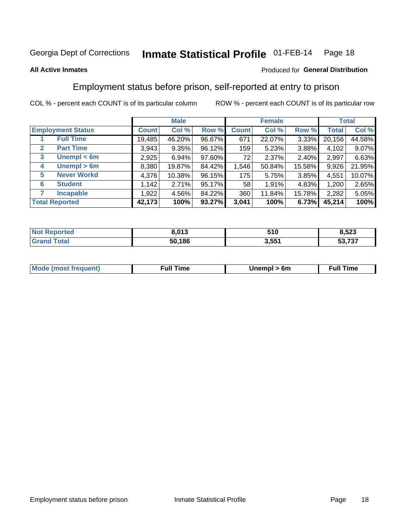#### Inmate Statistical Profile 01-FEB-14 Page 18

# **All Active Inmates**

# Produced for General Distribution

# Employment status before prison, self-reported at entry to prison

COL % - percent each COUNT is of its particular column

|                                  |         | <b>Male</b> |        |              | <b>Female</b> |        |        | <b>Total</b> |
|----------------------------------|---------|-------------|--------|--------------|---------------|--------|--------|--------------|
| <b>Employment Status</b>         | Count l | Col %       | Row %  | <b>Count</b> | Col %         | Row %  | Total  | Col %        |
| <b>Full Time</b>                 | 19,485  | 46.20%      | 96.67% | 671          | 22.07%        | 3.33%  | 20,156 | 44.58%       |
| <b>Part Time</b><br>$\mathbf{2}$ | 3,943   | 9.35%       | 96.12% | 159          | 5.23%         | 3.88%  | 4,102  | 9.07%        |
| Unempl $<$ 6m<br>3               | 2,925   | 6.94%       | 97.60% | 72           | 2.37%         | 2.40%  | 2,997  | 6.63%        |
| Unempl > 6m<br>4                 | 8,380   | 19.87%      | 84.42% | 1,546        | 50.84%        | 15.58% | 9,926  | 21.95%       |
| <b>Never Workd</b><br>5          | 4,376   | 10.38%      | 96.15% | 175          | 5.75%         | 3.85%  | 4,551  | 10.07%       |
| <b>Student</b><br>6              | 1,142   | 2.71%       | 95.17% | 58           | 1.91%         | 4.83%  | 1,200  | 2.65%        |
| <b>Incapable</b>                 | 1,922   | 4.56%       | 84.22% | 360          | 11.84%        | 15.78% | 2,282  | 5.05%        |
| <b>Total Reported</b>            | 42,173  | 100%        | 93.27% | 3,041        | 100%          | 6.73%  | 45,214 | 100%         |

| NΩ<br>$\cdots$ $\cdots$ $\cdots$ $\cdots$ | 8.013  | 510   | E00<br>כ∡כ, |
|-------------------------------------------|--------|-------|-------------|
| <b>ota</b>                                | 50.186 | 3,551 | 53,737      |

| <b>Moo.</b><br><b>THOST</b> | the contract of the contract of the contract of the contract of the contract of the contract of the contract of the contract of the contract of the contract of the contract of the contract of the contract of the contract o | 6m | ıme |
|-----------------------------|--------------------------------------------------------------------------------------------------------------------------------------------------------------------------------------------------------------------------------|----|-----|
|                             |                                                                                                                                                                                                                                |    |     |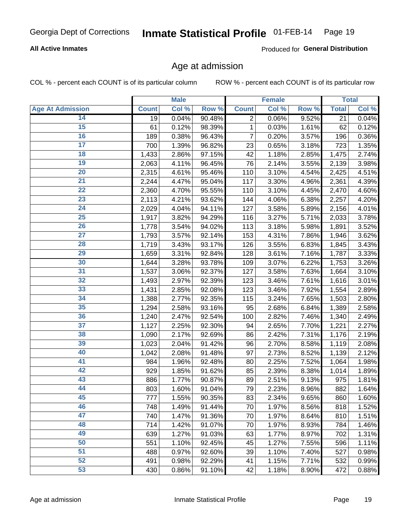#### Inmate Statistical Profile 01-FEB-14 Page 19

# **All Active Inmates**

Produced for General Distribution

# Age at admission

COL % - percent each COUNT is of its particular column

|                         |              | <b>Male</b> |        |                | <b>Female</b> |       |              | <b>Total</b> |
|-------------------------|--------------|-------------|--------|----------------|---------------|-------|--------------|--------------|
| <b>Age At Admission</b> | <b>Count</b> | Col %       | Row %  | <b>Count</b>   | Col %         | Row % | <b>Total</b> | Col %        |
| 14                      | 19           | 0.04%       | 90.48% | $\overline{2}$ | 0.06%         | 9.52% | 21           | 0.04%        |
| $\overline{15}$         | 61           | 0.12%       | 98.39% | 1              | 0.03%         | 1.61% | 62           | 0.12%        |
| 16                      | 189          | 0.38%       | 96.43% | 7              | 0.20%         | 3.57% | 196          | 0.36%        |
| $\overline{17}$         | 700          | 1.39%       | 96.82% | 23             | 0.65%         | 3.18% | 723          | 1.35%        |
| $\overline{18}$         | 1,433        | 2.86%       | 97.15% | 42             | 1.18%         | 2.85% | 1,475        | 2.74%        |
| 19                      | 2,063        | 4.11%       | 96.45% | 76             | 2.14%         | 3.55% | 2,139        | 3.98%        |
| 20                      | 2,315        | 4.61%       | 95.46% | 110            | 3.10%         | 4.54% | 2,425        | 4.51%        |
| $\overline{21}$         | 2,244        | 4.47%       | 95.04% | 117            | 3.30%         | 4.96% | 2,361        | 4.39%        |
| $\overline{22}$         | 2,360        | 4.70%       | 95.55% | 110            | 3.10%         | 4.45% | 2,470        | 4.60%        |
| 23                      | 2,113        | 4.21%       | 93.62% | 144            | 4.06%         | 6.38% | 2,257        | 4.20%        |
| 24                      | 2,029        | 4.04%       | 94.11% | 127            | 3.58%         | 5.89% | 2,156        | 4.01%        |
| $\overline{25}$         | 1,917        | 3.82%       | 94.29% | 116            | 3.27%         | 5.71% | 2,033        | 3.78%        |
| $\overline{26}$         | 1,778        | 3.54%       | 94.02% | 113            | 3.18%         | 5.98% | 1,891        | 3.52%        |
| $\overline{27}$         | 1,793        | 3.57%       | 92.14% | 153            | 4.31%         | 7.86% | 1,946        | 3.62%        |
| 28                      | 1,719        | 3.43%       | 93.17% | 126            | 3.55%         | 6.83% | 1,845        | 3.43%        |
| 29                      | 1,659        | 3.31%       | 92.84% | 128            | 3.61%         | 7.16% | 1,787        | 3.33%        |
| 30                      | 1,644        | 3.28%       | 93.78% | 109            | 3.07%         | 6.22% | 1,753        | 3.26%        |
| 31                      | 1,537        | 3.06%       | 92.37% | 127            | 3.58%         | 7.63% | 1,664        | 3.10%        |
| 32                      | 1,493        | 2.97%       | 92.39% | 123            | 3.46%         | 7.61% | 1,616        | 3.01%        |
| 33                      | 1,431        | 2.85%       | 92.08% | 123            | 3.46%         | 7.92% | 1,554        | 2.89%        |
| 34                      | 1,388        | 2.77%       | 92.35% | 115            | 3.24%         | 7.65% | 1,503        | 2.80%        |
| 35                      | 1,294        | 2.58%       | 93.16% | 95             | 2.68%         | 6.84% | 1,389        | 2.58%        |
| 36                      | 1,240        | 2.47%       | 92.54% | 100            | 2.82%         | 7.46% | 1,340        | 2.49%        |
| $\overline{37}$         | 1,127        | 2.25%       | 92.30% | 94             | 2.65%         | 7.70% | 1,221        | 2.27%        |
| 38                      | 1,090        | 2.17%       | 92.69% | 86             | 2.42%         | 7.31% | 1,176        | 2.19%        |
| 39                      | 1,023        | 2.04%       | 91.42% | 96             | 2.70%         | 8.58% | 1,119        | 2.08%        |
| 40                      | 1,042        | 2.08%       | 91.48% | 97             | 2.73%         | 8.52% | 1,139        | 2.12%        |
| 41                      | 984          | 1.96%       | 92.48% | 80             | 2.25%         | 7.52% | 1,064        | 1.98%        |
| 42                      | 929          | 1.85%       | 91.62% | 85             | 2.39%         | 8.38% | 1,014        | 1.89%        |
| 43                      | 886          | 1.77%       | 90.87% | 89             | 2.51%         | 9.13% | 975          | 1.81%        |
| 44                      | 803          | 1.60%       | 91.04% | 79             | 2.23%         | 8.96% | 882          | 1.64%        |
| 45                      | 777          | 1.55%       | 90.35% | 83             | 2.34%         | 9.65% | 860          | 1.60%        |
| 46                      | 748          | 1.49%       | 91.44% | 70             | 1.97%         | 8.56% | 818          | 1.52%        |
| 47                      | 740          | 1.47%       | 91.36% | 70             | 1.97%         | 8.64% | 810          | 1.51%        |
| 48                      | 714          | 1.42%       | 91.07% | 70             | 1.97%         | 8.93% | 784          | 1.46%        |
| 49                      | 639          | 1.27%       | 91.03% | 63             | 1.77%         | 8.97% | 702          | 1.31%        |
| 50                      | 551          | 1.10%       | 92.45% | 45             | 1.27%         | 7.55% | 596          | 1.11%        |
| 51                      | 488          | 0.97%       | 92.60% | 39             | 1.10%         | 7.40% | 527          | 0.98%        |
| 52                      | 491          | 0.98%       | 92.29% | 41             | 1.15%         | 7.71% | 532          | 0.99%        |
| 53                      | 430          | 0.86%       | 91.10% | 42             | 1.18%         | 8.90% | 472          | 0.88%        |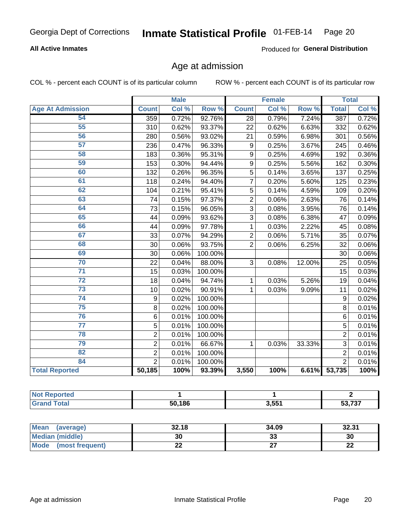#### Inmate Statistical Profile 01-FEB-14 Page 20

# **All Active Inmates**

Produced for General Distribution

# Age at admission

COL % - percent each COUNT is of its particular column

|                         | <b>Male</b>      |       | <b>Female</b> |                 |       | <b>Total</b> |                |       |
|-------------------------|------------------|-------|---------------|-----------------|-------|--------------|----------------|-------|
| <b>Age At Admission</b> | <b>Count</b>     | Col % | Row %         | <b>Count</b>    | Col % | Row %        | <b>Total</b>   | Col % |
| 54                      | 359              | 0.72% | 92.76%        | 28              | 0.79% | 7.24%        | 387            | 0.72% |
| 55                      | $\overline{3}10$ | 0.62% | 93.37%        | 22              | 0.62% | 6.63%        | 332            | 0.62% |
| 56                      | 280              | 0.56% | 93.02%        | $\overline{21}$ | 0.59% | 6.98%        | 301            | 0.56% |
| 57                      | 236              | 0.47% | 96.33%        | 9               | 0.25% | 3.67%        | 245            | 0.46% |
| 58                      | 183              | 0.36% | 95.31%        | 9               | 0.25% | 4.69%        | 192            | 0.36% |
| 59                      | 153              | 0.30% | 94.44%        | 9               | 0.25% | 5.56%        | 162            | 0.30% |
| 60                      | 132              | 0.26% | 96.35%        | 5               | 0.14% | 3.65%        | 137            | 0.25% |
| 61                      | 118              | 0.24% | 94.40%        | 7               | 0.20% | 5.60%        | 125            | 0.23% |
| 62                      | 104              | 0.21% | 95.41%        | 5               | 0.14% | 4.59%        | 109            | 0.20% |
| 63                      | 74               | 0.15% | 97.37%        | $\overline{2}$  | 0.06% | 2.63%        | 76             | 0.14% |
| 64                      | 73               | 0.15% | 96.05%        | $\overline{3}$  | 0.08% | 3.95%        | 76             | 0.14% |
| 65                      | 44               | 0.09% | 93.62%        | 3               | 0.08% | 6.38%        | 47             | 0.09% |
| 66                      | 44               | 0.09% | 97.78%        | 1               | 0.03% | 2.22%        | 45             | 0.08% |
| 67                      | 33               | 0.07% | 94.29%        | $\overline{2}$  | 0.06% | 5.71%        | 35             | 0.07% |
| 68                      | 30               | 0.06% | 93.75%        | $\overline{2}$  | 0.06% | 6.25%        | 32             | 0.06% |
| 69                      | 30               | 0.06% | 100.00%       |                 |       |              | 30             | 0.06% |
| 70                      | 22               | 0.04% | 88.00%        | 3               | 0.08% | 12.00%       | 25             | 0.05% |
| $\overline{71}$         | 15               | 0.03% | 100.00%       |                 |       |              | 15             | 0.03% |
| $\overline{72}$         | 18               | 0.04% | 94.74%        | 1               | 0.03% | 5.26%        | 19             | 0.04% |
| $\overline{73}$         | 10               | 0.02% | 90.91%        | 1               | 0.03% | 9.09%        | 11             | 0.02% |
| $\overline{74}$         | 9                | 0.02% | 100.00%       |                 |       |              | $\mathsf g$    | 0.02% |
| 75                      | 8                | 0.02% | 100.00%       |                 |       |              | 8              | 0.01% |
| 76                      | 6                | 0.01% | 100.00%       |                 |       |              | 6              | 0.01% |
| $\overline{77}$         | $\overline{5}$   | 0.01% | 100.00%       |                 |       |              | 5              | 0.01% |
| 78                      | $\overline{2}$   | 0.01% | 100.00%       |                 |       |              | $\overline{2}$ | 0.01% |
| 79                      | $\overline{2}$   | 0.01% | 66.67%        | 1               | 0.03% | 33.33%       | $\overline{3}$ | 0.01% |
| 82                      | $\overline{2}$   | 0.01% | 100.00%       |                 |       |              | $\overline{2}$ | 0.01% |
| 84                      | $\overline{2}$   | 0.01% | 100.00%       |                 |       |              | $\overline{2}$ | 0.01% |
| <b>Total Reported</b>   | 50,185           | 100%  | 93.39%        | 3,550           | 100%  | 6.61%        | 53,735         | 100%  |

| тео<br>N    |        |       |                   |
|-------------|--------|-------|-------------------|
| <b>otal</b> | 50,186 | 3,551 | よっ フッフ<br>.<br>ວວ |

| Mean<br>(average)       | 32.18 | 34.09   | 32.31     |
|-------------------------|-------|---------|-----------|
| Median (middle)         | 30    | ົ<br>აა | 30        |
| Mode<br>(most frequent) | ∸∸    |         | ne.<br>LL |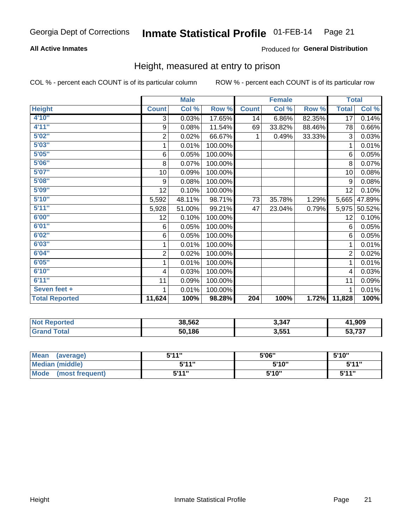# Inmate Statistical Profile 01-FEB-14 Page 21

# **All Active Inmates**

# Produced for General Distribution

# Height, measured at entry to prison

COL % - percent each COUNT is of its particular column

|                       | <b>Male</b>             |        |         | <b>Female</b> |        |        | <b>Total</b>   |        |
|-----------------------|-------------------------|--------|---------|---------------|--------|--------|----------------|--------|
| <b>Height</b>         | <b>Count</b>            | Col %  | Row %   | <b>Count</b>  | Col %  | Row %  | <b>Total</b>   | Col %  |
| 4'10"                 | 3                       | 0.03%  | 17.65%  | 14            | 6.86%  | 82.35% | 17             | 0.14%  |
| 4'11''                | 9                       | 0.08%  | 11.54%  | 69            | 33.82% | 88.46% | 78             | 0.66%  |
| 5'02"                 | $\mathbf 2$             | 0.02%  | 66.67%  | 1             | 0.49%  | 33.33% | 3              | 0.03%  |
| 5'03''                | 1                       | 0.01%  | 100.00% |               |        |        | 1              | 0.01%  |
| 5'05''                | 6                       | 0.05%  | 100.00% |               |        |        | 6              | 0.05%  |
| 5'06''                | 8                       | 0.07%  | 100.00% |               |        |        | 8              | 0.07%  |
| 5'07''                | 10                      | 0.09%  | 100.00% |               |        |        | 10             | 0.08%  |
| 5'08''                | 9                       | 0.08%  | 100.00% |               |        |        | 9              | 0.08%  |
| 5'09''                | 12                      | 0.10%  | 100.00% |               |        |        | 12             | 0.10%  |
| 5'10''                | 5,592                   | 48.11% | 98.71%  | 73            | 35.78% | 1.29%  | 5,665          | 47.89% |
| 5'11''                | 5,928                   | 51.00% | 99.21%  | 47            | 23.04% | 0.79%  | 5,975          | 50.52% |
| 6'00''                | 12                      | 0.10%  | 100.00% |               |        |        | 12             | 0.10%  |
| 6'01''                | 6                       | 0.05%  | 100.00% |               |        |        | 6              | 0.05%  |
| 6'02''                | 6                       | 0.05%  | 100.00% |               |        |        | 6              | 0.05%  |
| 6'03''                | 1                       | 0.01%  | 100.00% |               |        |        | 1              | 0.01%  |
| 6'04''                | $\overline{2}$          | 0.02%  | 100.00% |               |        |        | $\overline{2}$ | 0.02%  |
| 6'05''                | 1                       | 0.01%  | 100.00% |               |        |        | 1              | 0.01%  |
| 6'10''                | $\overline{\mathbf{4}}$ | 0.03%  | 100.00% |               |        |        | 4              | 0.03%  |
| 6'11''                | 11                      | 0.09%  | 100.00% |               |        |        | 11             | 0.09%  |
| Seven feet +          | 1                       | 0.01%  | 100.00% |               |        |        | 1              | 0.01%  |
| <b>Total Reported</b> | 11,624                  | 100%   | 98.28%  | 204           | 100%   | 1.72%  | 11,828         | 100%   |

| <b>NOT</b><br><b>Reported</b> | 38,562 | 3,347 | 41,909            |
|-------------------------------|--------|-------|-------------------|
|                               | 50,186 | 3.551 | こへ フヘフ<br>งง, เ ง |

| <b>Mean</b><br>(average) | 544" | 5'06" | 5'10" |
|--------------------------|------|-------|-------|
| <b>Median (middle)</b>   | 544" | 5'10" | 5'11" |
| Mode<br>(most frequent)  | 544" | 5'10" | 544"  |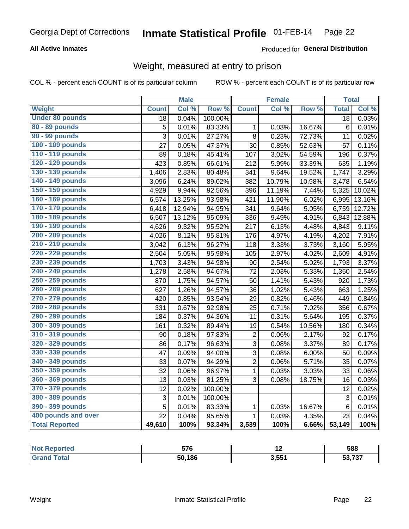### Inmate Statistical Profile 01-FEB-14 Page 22

# **All Active Inmates**

# Produced for General Distribution

# Weight, measured at entry to prison

COL % - percent each COUNT is of its particular column

|                        |              | <b>Male</b> |                  |                | <b>Female</b> |        | <b>Total</b>    |        |
|------------------------|--------------|-------------|------------------|----------------|---------------|--------|-----------------|--------|
| Weight                 | <b>Count</b> | Col %       | Row <sup>%</sup> | <b>Count</b>   | Col %         | Row %  | <b>Total</b>    | Col %  |
| <b>Under 80 pounds</b> | 18           | 0.04%       | 100.00%          |                |               |        | 18              | 0.03%  |
| 80 - 89 pounds         | 5            | 0.01%       | 83.33%           | 1              | 0.03%         | 16.67% | 6               | 0.01%  |
| 90 - 99 pounds         | 3            | 0.01%       | 27.27%           | 8              | 0.23%         | 72.73% | 11              | 0.02%  |
| 100 - 109 pounds       | 27           | 0.05%       | 47.37%           | 30             | 0.85%         | 52.63% | 57              | 0.11%  |
| 110 - 119 pounds       | 89           | 0.18%       | 45.41%           | 107            | 3.02%         | 54.59% | 196             | 0.37%  |
| 120 - 129 pounds       | 423          | 0.85%       | 66.61%           | 212            | 5.99%         | 33.39% | 635             | 1.19%  |
| 130 - 139 pounds       | 1,406        | 2.83%       | 80.48%           | 341            | 9.64%         | 19.52% | 1,747           | 3.29%  |
| 140 - 149 pounds       | 3,096        | 6.24%       | 89.02%           | 382            | 10.79%        | 10.98% | 3,478           | 6.54%  |
| 150 - 159 pounds       | 4,929        | 9.94%       | 92.56%           | 396            | 11.19%        | 7.44%  | 5,325           | 10.02% |
| 160 - 169 pounds       | 6,574        | 13.25%      | 93.98%           | 421            | 11.90%        | 6.02%  | 6,995           | 13.16% |
| 170 - 179 pounds       | 6,418        | 12.94%      | 94.95%           | 341            | 9.64%         | 5.05%  | 6,759           | 12.72% |
| 180 - 189 pounds       | 6,507        | 13.12%      | 95.09%           | 336            | 9.49%         | 4.91%  | 6,843           | 12.88% |
| 190 - 199 pounds       | 4,626        | 9.32%       | 95.52%           | 217            | 6.13%         | 4.48%  | 4,843           | 9.11%  |
| 200 - 209 pounds       | 4,026        | 8.12%       | 95.81%           | 176            | 4.97%         | 4.19%  | 4,202           | 7.91%  |
| 210 - 219 pounds       | 3,042        | 6.13%       | 96.27%           | 118            | 3.33%         | 3.73%  | 3,160           | 5.95%  |
| 220 - 229 pounds       | 2,504        | 5.05%       | 95.98%           | 105            | 2.97%         | 4.02%  | 2,609           | 4.91%  |
| 230 - 239 pounds       | 1,703        | 3.43%       | 94.98%           | 90             | 2.54%         | 5.02%  | 1,793           | 3.37%  |
| 240 - 249 pounds       | 1,278        | 2.58%       | 94.67%           | 72             | 2.03%         | 5.33%  | 1,350           | 2.54%  |
| 250 - 259 pounds       | 870          | 1.75%       | 94.57%           | 50             | 1.41%         | 5.43%  | 920             | 1.73%  |
| 260 - 269 pounds       | 627          | 1.26%       | 94.57%           | 36             | 1.02%         | 5.43%  | 663             | 1.25%  |
| 270 - 279 pounds       | 420          | 0.85%       | 93.54%           | 29             | 0.82%         | 6.46%  | 449             | 0.84%  |
| 280 - 289 pounds       | 331          | 0.67%       | 92.98%           | 25             | 0.71%         | 7.02%  | 356             | 0.67%  |
| 290 - 299 pounds       | 184          | 0.37%       | 94.36%           | 11             | 0.31%         | 5.64%  | 195             | 0.37%  |
| 300 - 309 pounds       | 161          | 0.32%       | 89.44%           | 19             | 0.54%         | 10.56% | 180             | 0.34%  |
| 310 - 319 pounds       | 90           | 0.18%       | 97.83%           | $\overline{c}$ | 0.06%         | 2.17%  | 92              | 0.17%  |
| 320 - 329 pounds       | 86           | 0.17%       | 96.63%           | $\overline{3}$ | 0.08%         | 3.37%  | 89              | 0.17%  |
| 330 - 339 pounds       | 47           | 0.09%       | 94.00%           | $\overline{3}$ | 0.08%         | 6.00%  | 50              | 0.09%  |
| 340 - 349 pounds       | 33           | 0.07%       | 94.29%           | $\overline{2}$ | 0.06%         | 5.71%  | 35              | 0.07%  |
| 350 - 359 pounds       | 32           | 0.06%       | 96.97%           | $\mathbf{1}$   | 0.03%         | 3.03%  | 33              | 0.06%  |
| 360 - 369 pounds       | 13           | 0.03%       | 81.25%           | 3              | 0.08%         | 18.75% | 16              | 0.03%  |
| 370 - 379 pounds       | 12           | 0.02%       | 100.00%          |                |               |        | 12              | 0.02%  |
| 380 - 389 pounds       | 3            | 0.01%       | 100.00%          |                |               |        | 3               | 0.01%  |
| 390 - 399 pounds       | 5            | 0.01%       | 83.33%           | $\mathbf{1}$   | 0.03%         | 16.67% | $6\phantom{1}6$ | 0.01%  |
| 400 pounds and over    | 22           | 0.04%       | 95.65%           | $\mathbf 1$    | 0.03%         | 4.35%  | 23              | 0.04%  |
| <b>Total Reported</b>  | 49,610       | 100%        | 93.34%           | 3,539          | 100%          | 6.66%  | 53,149          | 100%   |

| N<br>neo | <b>F70</b><br>JI U |                | 588            |
|----------|--------------------|----------------|----------------|
|          | 50,186             | 3551<br>ו טעוט | -707<br>33,737 |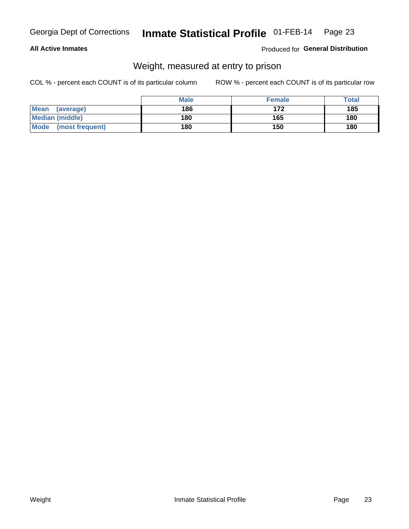### Inmate Statistical Profile 01-FEB-14 Page 23

# **All Active Inmates**

# Produced for General Distribution

# Weight, measured at entry to prison

COL % - percent each COUNT is of its particular column

|                                | <b>Male</b> | <b>Female</b> | Total |
|--------------------------------|-------------|---------------|-------|
| Mean<br>(average)              | 186         | 172           | 185   |
| <b>Median (middle)</b>         | 180         | 165           | 180   |
| <b>Mode</b><br>(most frequent) | 180         | 150           | 180   |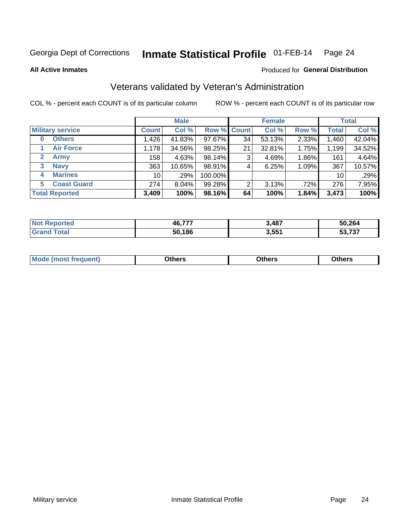### Inmate Statistical Profile 01-FEB-14 Page 24

**All Active Inmates** 

# Produced for General Distribution

# Veterans validated by Veteran's Administration

COL % - percent each COUNT is of its particular column

|                             | <b>Male</b>     |        |             | <b>Female</b> |        |         | <b>Total</b> |        |
|-----------------------------|-----------------|--------|-------------|---------------|--------|---------|--------------|--------|
| <b>Military service</b>     | <b>Count</b>    | Col %  | Row % Count |               | Col %  | Row %   | <b>Total</b> | Col %  |
| <b>Others</b><br>0          | .426            | 41.83% | 97.67%      | 34            | 53.13% | 2.33%   | 1,460        | 42.04% |
| <b>Air Force</b>            | 1,178           | 34.56% | 98.25%      | 21            | 32.81% | 1.75%   | 1,199        | 34.52% |
| <b>Army</b><br>$\mathbf{2}$ | 158             | 4.63%  | 98.14%      | 3             | 4.69%  | 1.86%   | 161          | 4.64%  |
| <b>Navy</b><br>3            | 363             | 10.65% | 98.91%      | 4             | 6.25%  | 1.09%   | 367          | 10.57% |
| <b>Marines</b><br>4         | 10 <sup>1</sup> | .29%   | 100.00%     |               |        |         | 10           | .29%   |
| <b>Coast Guard</b><br>5     | 274             | 8.04%  | 99.28%      | 2             | 3.13%  | $.72\%$ | 276          | 7.95%  |
| <b>Total Reported</b>       | 3,409           | 100%   | 98.16%      | 64            | 100%   | 1.84%   | 3,473        | 100%   |

| orted<br><b>NOT</b> | 46,777 | 3,487 | 50,264                   |
|---------------------|--------|-------|--------------------------|
| $\sim$              | 50,186 | 3,551 | $E_2 = 727$<br>,791<br>. |

|  |  | <b>Mode</b><br>quent)<br>most trea | <b>Dthers</b> | Others | Others |
|--|--|------------------------------------|---------------|--------|--------|
|--|--|------------------------------------|---------------|--------|--------|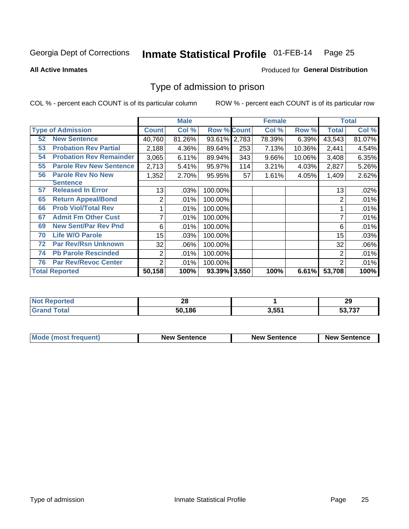### Inmate Statistical Profile 01-FEB-14 Page 25

**All Active Inmates** 

# Produced for General Distribution

# Type of admission to prison

COL % - percent each COUNT is of its particular column

|    |                                |                | <b>Male</b> |                    |       | <b>Female</b> |        |        | <b>Total</b> |
|----|--------------------------------|----------------|-------------|--------------------|-------|---------------|--------|--------|--------------|
|    | <b>Type of Admission</b>       | <b>Count</b>   | Col %       | <b>Row % Count</b> |       | Col %         | Row %  | Total  | Col %        |
| 52 | <b>New Sentence</b>            | 40,760         | 81.26%      | 93.61% 2,783       |       | 78.39%        | 6.39%  | 43,543 | 81.07%       |
| 53 | <b>Probation Rev Partial</b>   | 2,188          | 4.36%       | 89.64%             | 253   | 7.13%         | 10.36% | 2,441  | 4.54%        |
| 54 | <b>Probation Rev Remainder</b> | 3,065          | 6.11%       | 89.94%             | 343   | 9.66%         | 10.06% | 3,408  | 6.35%        |
| 55 | <b>Parole Rev New Sentence</b> | 2,713          | 5.41%       | 95.97%             | 114   | 3.21%         | 4.03%  | 2,827  | 5.26%        |
| 56 | <b>Parole Rev No New</b>       | 1,352          | 2.70%       | 95.95%             | 57    | 1.61%         | 4.05%  | 1,409  | 2.62%        |
|    | <b>Sentence</b>                |                |             |                    |       |               |        |        |              |
| 57 | <b>Released In Error</b>       | 13             | .03%        | 100.00%            |       |               |        | 13     | .02%         |
| 65 | <b>Return Appeal/Bond</b>      | 2              | .01%        | 100.00%            |       |               |        | 2      | .01%         |
| 66 | <b>Prob Viol/Total Rev</b>     |                | .01%        | 100.00%            |       |               |        |        | .01%         |
| 67 | <b>Admit Fm Other Cust</b>     | 7              | .01%        | 100.00%            |       |               |        | 7      | .01%         |
| 69 | <b>New Sent/Par Rev Pnd</b>    | 6              | .01%        | 100.00%            |       |               |        | 6      | .01%         |
| 70 | <b>Life W/O Parole</b>         | 15             | .03%        | 100.00%            |       |               |        | 15     | .03%         |
| 72 | <b>Par Rev/Rsn Unknown</b>     | 32             | .06%        | 100.00%            |       |               |        | 32     | .06%         |
| 74 | <b>Pb Parole Rescinded</b>     | 2              | .01%        | 100.00%            |       |               |        | 2      | .01%         |
| 76 | <b>Par Rev/Revoc Center</b>    | $\overline{2}$ | .01%        | 100.00%            |       |               |        | 2      | .01%         |
|    | <b>Total Reported</b>          | 50,158         | 100%        | 93.39%             | 3,550 | 100%          | 6.61%  | 53,708 | 100%         |

| neo<br>' NO)            | ŽΩ     |       | າເ<br>29         |
|-------------------------|--------|-------|------------------|
| $f$ $f \circ f \circ f$ | 50,186 | 3,551 | E272<br>.<br>JJ. |

| Mode (most frequent) | <b>New Sentence</b> | <b>New Sentence</b> | <b>New Sentence</b> |
|----------------------|---------------------|---------------------|---------------------|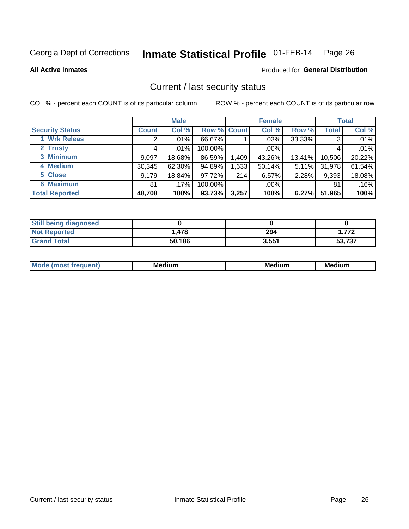### Inmate Statistical Profile 01-FEB-14 Page 26

**All Active Inmates** 

# Produced for General Distribution

# Current / last security status

COL % - percent each COUNT is of its particular column

|                        |              | <b>Male</b> |             |       | <b>Female</b> |          |              | <b>Total</b> |
|------------------------|--------------|-------------|-------------|-------|---------------|----------|--------------|--------------|
| <b>Security Status</b> | <b>Count</b> | Col %       | Row % Count |       | Col %         | Row %    | <b>Total</b> | Col %        |
| 1 Wrk Releas           | ⌒            | $.01\%$     | 66.67%      |       | .03%          | 33.33%   | 3            | .01%         |
| 2 Trusty               |              | $.01\%$     | 100.00%     |       | .00%          |          |              | .01%         |
| 3 Minimum              | 9,097        | 18.68%      | 86.59%      | 1,409 | 43.26%        | 13.41%   | 10,506       | 20.22%       |
| 4 Medium               | 30,345       | 62.30%      | 94.89%      | 1,633 | 50.14%        | $5.11\%$ | 31,978       | 61.54%       |
| 5 Close                | 9,179        | 18.84%      | 97.72%      | 214   | 6.57%         | 2.28%    | 9,393        | 18.08%       |
| <b>6 Maximum</b>       | 81           | .17%        | 100.00%     |       | $.00\%$       |          | 81           | .16%         |
| <b>Total Reported</b>  | 48,708       | 100%        | 93.73%      | 3,257 | 100%          | 6.27%    | 51,965       | 100%         |

| <b>Still being diagnosed</b> |        |       |        |
|------------------------------|--------|-------|--------|
| <b>Not Reported</b>          | .478   | 294   | 1.772  |
| <b>Grand Total</b>           | 50,186 | 3,551 | 53,737 |

| <b>Mo</b><br>ети | M.<br>. .<br>dium | M٢<br>. | <br><b>Medium</b> |
|------------------|-------------------|---------|-------------------|
|                  |                   |         |                   |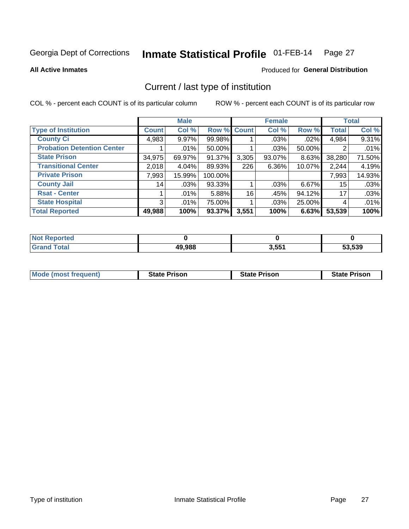### Inmate Statistical Profile 01-FEB-14 Page 27

**All Active Inmates** 

# Produced for General Distribution

# Current / last type of institution

COL % - percent each COUNT is of its particular column

|                                   |                 | <b>Male</b> |             |       | <b>Female</b> |          |              | <b>Total</b> |
|-----------------------------------|-----------------|-------------|-------------|-------|---------------|----------|--------------|--------------|
| <b>Type of Institution</b>        | <b>Count</b>    | Col %       | Row % Count |       | Col %         | Row %    | <b>Total</b> | Col %        |
| <b>County Ci</b>                  | 4,983           | 9.97%       | 99.98%      |       | $.03\%$       | $.02\%$  | 4,984        | 9.31%        |
| <b>Probation Detention Center</b> |                 | $.01\%$     | 50.00%      |       | $.03\%$       | 50.00%   | 2            | .01%         |
| <b>State Prison</b>               | 34,975          | 69.97%      | $91.37\%$   | 3,305 | $93.07\%$     | $8.63\%$ | 38,280       | 71.50%       |
| <b>Transitional Center</b>        | 2,018           | 4.04%       | 89.93%      | 226   | $6.36\%$      | 10.07%   | 2,244        | 4.19%        |
| <b>Private Prison</b>             | 7,993           | 15.99%      | 100.00%     |       |               |          | 7,993        | 14.93%       |
| <b>County Jail</b>                | 14 <sub>1</sub> | .03%        | 93.33%      |       | $.03\%$       | $6.67\%$ | 15           | .03%         |
| <b>Rsat - Center</b>              |                 | .01%        | 5.88%       | 16    | .45%          | 94.12%   | 17           | .03%         |
| <b>State Hospital</b>             | 3               | .01%        | 75.00%      |       | .03%          | 25.00%   | 4            | .01%         |
| <b>Total Reported</b>             | 49,988          | 100%        | 93.37%      | 3,551 | 100%          | 6.63%    | 53,539       | 100%         |

| orted<br><b>NOT</b> |        |       |        |
|---------------------|--------|-------|--------|
| `otal               | 49,988 | 3,551 | 53,539 |

| Mode (most frequent) | <b>State Prison</b> | <b>State Prison</b> | <b>State Prison</b> |
|----------------------|---------------------|---------------------|---------------------|
|                      |                     |                     |                     |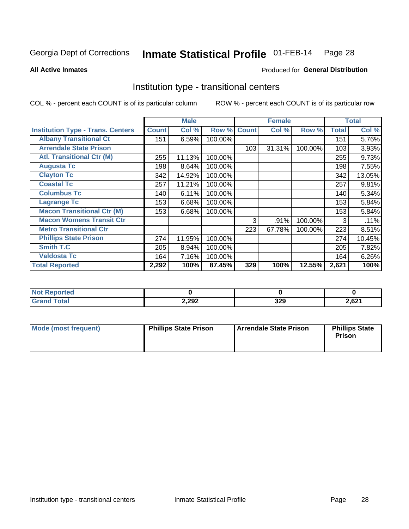### Inmate Statistical Profile 01-FEB-14 Page 28

Produced for General Distribution

### **All Active Inmates**

# Institution type - transitional centers

COL % - percent each COUNT is of its particular column

|                                          |              | <b>Male</b> |         |              | <b>Female</b> |         |              | <b>Total</b> |
|------------------------------------------|--------------|-------------|---------|--------------|---------------|---------|--------------|--------------|
| <b>Institution Type - Trans. Centers</b> | <b>Count</b> | Col %       | Row %   | <b>Count</b> | Col %         | Row %   | <b>Total</b> | Col %        |
| <b>Albany Transitional Ct</b>            | 151          | 6.59%       | 100.00% |              |               |         | 151          | 5.76%        |
| <b>Arrendale State Prison</b>            |              |             |         | 103          | 31.31%        | 100.00% | 103          | 3.93%        |
| <b>Atl. Transitional Ctr (M)</b>         | 255          | 11.13%      | 100.00% |              |               |         | 255          | 9.73%        |
| <b>Augusta Tc</b>                        | 198          | 8.64%       | 100.00% |              |               |         | 198          | 7.55%        |
| <b>Clayton Tc</b>                        | 342          | 14.92%      | 100.00% |              |               |         | 342          | 13.05%       |
| <b>Coastal Tc</b>                        | 257          | 11.21%      | 100.00% |              |               |         | 257          | 9.81%        |
| <b>Columbus Tc</b>                       | 140          | 6.11%       | 100.00% |              |               |         | 140          | 5.34%        |
| <b>Lagrange Tc</b>                       | 153          | 6.68%       | 100.00% |              |               |         | 153          | 5.84%        |
| <b>Macon Transitional Ctr (M)</b>        | 153          | 6.68%       | 100.00% |              |               |         | 153          | 5.84%        |
| <b>Macon Womens Transit Ctr</b>          |              |             |         | 3            | .91%          | 100.00% | 3            | .11%         |
| <b>Metro Transitional Ctr</b>            |              |             |         | 223          | 67.78%        | 100.00% | 223          | 8.51%        |
| <b>Phillips State Prison</b>             | 274          | 11.95%      | 100.00% |              |               |         | 274          | 10.45%       |
| Smith T.C                                | 205          | 8.94%       | 100.00% |              |               |         | 205          | 7.82%        |
| <b>Valdosta Tc</b>                       | 164          | 7.16%       | 100.00% |              |               |         | 164          | 6.26%        |
| <b>Total Reported</b>                    | 2,292        | 100%        | 87.45%  | 329          | 100%          | 12.55%  | 2,621        | 100%         |

| orted<br>$\sim$ |       |            |               |
|-----------------|-------|------------|---------------|
| <b>ota</b>      | 2,292 | 220<br>JLJ | 621<br>2,02 I |

| Mode (most frequent) | <b>Phillips State Prison</b> | Arrendale State Prison | <b>Phillips State</b><br>Prison |
|----------------------|------------------------------|------------------------|---------------------------------|
|                      |                              |                        |                                 |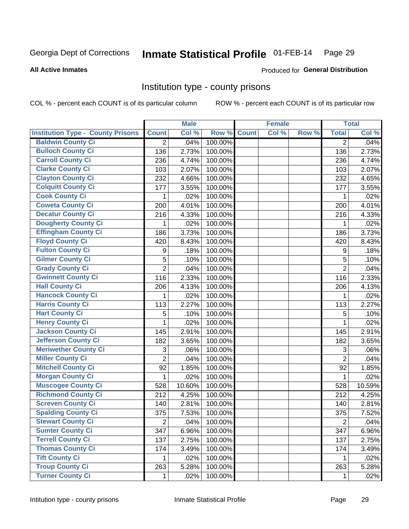# Inmate Statistical Profile 01-FEB-14 Page 29

**Produced for General Distribution** 

### **All Active Inmates**

# Institution type - county prisons

COL % - percent each COUNT is of its particular column

|                                          |                | <b>Male</b> |         |              | <b>Female</b> |       |                  | <b>Total</b> |
|------------------------------------------|----------------|-------------|---------|--------------|---------------|-------|------------------|--------------|
| <b>Institution Type - County Prisons</b> | <b>Count</b>   | Col %       | Row %   | <b>Count</b> | Col %         | Row % | <b>Total</b>     | Col %        |
| <b>Baldwin County Ci</b>                 | $\overline{2}$ | .04%        | 100.00% |              |               |       | $\overline{2}$   | .04%         |
| <b>Bulloch County Ci</b>                 | 136            | 2.73%       | 100.00% |              |               |       | 136              | 2.73%        |
| <b>Carroll County Ci</b>                 | 236            | 4.74%       | 100.00% |              |               |       | 236              | 4.74%        |
| <b>Clarke County Ci</b>                  | 103            | 2.07%       | 100.00% |              |               |       | 103              | 2.07%        |
| <b>Clayton County Ci</b>                 | 232            | 4.66%       | 100.00% |              |               |       | 232              | 4.65%        |
| <b>Colquitt County Ci</b>                | 177            | 3.55%       | 100.00% |              |               |       | 177              | 3.55%        |
| <b>Cook County Ci</b>                    | 1              | .02%        | 100.00% |              |               |       | 1                | .02%         |
| <b>Coweta County Ci</b>                  | 200            | 4.01%       | 100.00% |              |               |       | 200              | 4.01%        |
| <b>Decatur County Ci</b>                 | 216            | 4.33%       | 100.00% |              |               |       | 216              | 4.33%        |
| <b>Dougherty County Ci</b>               | 1              | .02%        | 100.00% |              |               |       | 1                | .02%         |
| <b>Effingham County Ci</b>               | 186            | 3.73%       | 100.00% |              |               |       | 186              | 3.73%        |
| <b>Floyd County Ci</b>                   | 420            | 8.43%       | 100.00% |              |               |       | 420              | 8.43%        |
| <b>Fulton County Ci</b>                  | 9              | .18%        | 100.00% |              |               |       | $\boldsymbol{9}$ | .18%         |
| <b>Gilmer County Ci</b>                  | 5              | .10%        | 100.00% |              |               |       | 5                | .10%         |
| <b>Grady County Ci</b>                   | $\overline{2}$ | .04%        | 100.00% |              |               |       | $\overline{2}$   | .04%         |
| <b>Gwinnett County Ci</b>                | 116            | 2.33%       | 100.00% |              |               |       | 116              | 2.33%        |
| <b>Hall County Ci</b>                    | 206            | 4.13%       | 100.00% |              |               |       | 206              | 4.13%        |
| <b>Hancock County Ci</b>                 | 1              | .02%        | 100.00% |              |               |       | 1                | .02%         |
| <b>Harris County Ci</b>                  | 113            | 2.27%       | 100.00% |              |               |       | 113              | 2.27%        |
| <b>Hart County Ci</b>                    | 5              | .10%        | 100.00% |              |               |       | 5                | .10%         |
| <b>Henry County Ci</b>                   | 1              | .02%        | 100.00% |              |               |       | $\mathbf{1}$     | .02%         |
| <b>Jackson County Ci</b>                 | 145            | 2.91%       | 100.00% |              |               |       | 145              | 2.91%        |
| <b>Jefferson County Ci</b>               | 182            | 3.65%       | 100.00% |              |               |       | 182              | 3.65%        |
| <b>Meriwether County Ci</b>              | 3              | .06%        | 100.00% |              |               |       | 3                | .06%         |
| <b>Miller County Ci</b>                  | $\overline{2}$ | .04%        | 100.00% |              |               |       | $\overline{2}$   | .04%         |
| <b>Mitchell County Ci</b>                | 92             | 1.85%       | 100.00% |              |               |       | 92               | 1.85%        |
| <b>Morgan County Ci</b>                  | 1              | .02%        | 100.00% |              |               |       | 1                | .02%         |
| <b>Muscogee County Ci</b>                | 528            | 10.60%      | 100.00% |              |               |       | 528              | 10.59%       |
| <b>Richmond County Ci</b>                | 212            | 4.25%       | 100.00% |              |               |       | 212              | 4.25%        |
| <b>Screven County Ci</b>                 | 140            | 2.81%       | 100.00% |              |               |       | 140              | 2.81%        |
| <b>Spalding County Ci</b>                | 375            | 7.53%       | 100.00% |              |               |       | 375              | 7.52%        |
| <b>Stewart County Ci</b>                 | $\overline{2}$ | .04%        | 100.00% |              |               |       | $\overline{2}$   | .04%         |
| <b>Sumter County Ci</b>                  | 347            | 6.96%       | 100.00% |              |               |       | 347              | 6.96%        |
| <b>Terrell County Ci</b>                 | 137            | 2.75%       | 100.00% |              |               |       | 137              | 2.75%        |
| <b>Thomas County Ci</b>                  | 174            | 3.49%       | 100.00% |              |               |       | 174              | 3.49%        |
| <b>Tift County Ci</b>                    | 1              | .02%        | 100.00% |              |               |       | 1                | .02%         |
| <b>Troup County Ci</b>                   | 263            | 5.28%       | 100.00% |              |               |       | 263              | 5.28%        |
| <b>Turner County Ci</b>                  | 1              | .02%        | 100.00% |              |               |       | 1                | .02%         |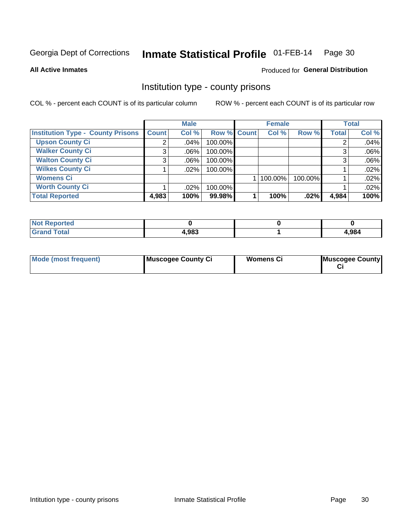### Inmate Statistical Profile 01-FEB-14 Page 30

**All Active Inmates** 

# **Produced for General Distribution**

# Institution type - county prisons

COL % - percent each COUNT is of its particular column

|                                          |              | <b>Male</b> |             | <b>Female</b> |         |         |              | <b>Total</b> |  |
|------------------------------------------|--------------|-------------|-------------|---------------|---------|---------|--------------|--------------|--|
| <b>Institution Type - County Prisons</b> | <b>Count</b> | Col %       | Row % Count |               | Col %   | Row %   | <b>Total</b> | Col %        |  |
| <b>Upson County Ci</b>                   | 2            | $.04\%$     | 100.00%     |               |         |         |              | .04%         |  |
| <b>Walker County Ci</b>                  | 3            | $.06\%$     | 100.00%     |               |         |         |              | .06%         |  |
| <b>Walton County Ci</b>                  | 3            | $.06\%$     | 100.00%     |               |         |         |              | .06%         |  |
| <b>Wilkes County Ci</b>                  |              | .02%        | 100.00%     |               |         |         |              | .02%         |  |
| <b>Womens Ci</b>                         |              |             |             |               | 100.00% | 100.00% |              | .02%         |  |
| <b>Worth County Ci</b>                   |              | $.02\%$     | 100.00%     |               |         |         |              | .02%         |  |
| <b>Total Reported</b>                    | 4,983        | 100%        | 99.98%      |               | 100%    | $.02\%$ | 4,984        | 100%         |  |

| <b>Not</b><br><b>Reported</b> |       |       |
|-------------------------------|-------|-------|
| <b>Total</b>                  | 4,983 | 1,984 |

| <b>Mode (most frequent)</b> | Muscogee County Ci | <b>Womens Ci</b> | Muscogee County |
|-----------------------------|--------------------|------------------|-----------------|
|-----------------------------|--------------------|------------------|-----------------|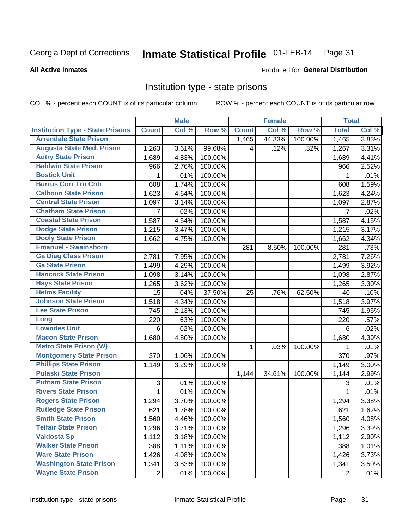### Inmate Statistical Profile 01-FEB-14 Page 31

**All Active Inmates** 

### Produced for General Distribution

# Institution type - state prisons

COL % - percent each COUNT is of its particular column

|                                         |                | <b>Male</b> |         |              | <b>Female</b> |         | <b>Total</b>   |       |
|-----------------------------------------|----------------|-------------|---------|--------------|---------------|---------|----------------|-------|
| <b>Institution Type - State Prisons</b> | <b>Count</b>   | Col %       | Row %   | <b>Count</b> | Col %         | Row %   | <b>Total</b>   | Col % |
| <b>Arrendale State Prison</b>           |                |             |         | 1,465        | 44.33%        | 100.00% | 1,465          | 3.83% |
| <b>Augusta State Med. Prison</b>        | 1,263          | 3.61%       | 99.68%  | 4            | .12%          | .32%    | 1,267          | 3.31% |
| <b>Autry State Prison</b>               | 1,689          | 4.83%       | 100.00% |              |               |         | 1,689          | 4.41% |
| <b>Baldwin State Prison</b>             | 966            | 2.76%       | 100.00% |              |               |         | 966            | 2.52% |
| <b>Bostick Unit</b>                     | 1              | .01%        | 100.00% |              |               |         | 1              | .01%  |
| <b>Burrus Corr Trn Cntr</b>             | 608            | 1.74%       | 100.00% |              |               |         | 608            | 1.59% |
| <b>Calhoun State Prison</b>             | 1,623          | 4.64%       | 100.00% |              |               |         | 1,623          | 4.24% |
| <b>Central State Prison</b>             | 1,097          | 3.14%       | 100.00% |              |               |         | 1,097          | 2.87% |
| <b>Chatham State Prison</b>             | $\overline{7}$ | .02%        | 100.00% |              |               |         | 7              | .02%  |
| <b>Coastal State Prison</b>             | 1,587          | 4.54%       | 100.00% |              |               |         | 1,587          | 4.15% |
| <b>Dodge State Prison</b>               | 1,215          | 3.47%       | 100.00% |              |               |         | 1,215          | 3.17% |
| <b>Dooly State Prison</b>               | 1,662          | 4.75%       | 100.00% |              |               |         | 1,662          | 4.34% |
| <b>Emanuel - Swainsboro</b>             |                |             |         | 281          | 8.50%         | 100.00% | 281            | .73%  |
| <b>Ga Diag Class Prison</b>             | 2,781          | 7.95%       | 100.00% |              |               |         | 2,781          | 7.26% |
| <b>Ga State Prison</b>                  | 1,499          | 4.29%       | 100.00% |              |               |         | 1,499          | 3.92% |
| <b>Hancock State Prison</b>             | 1,098          | 3.14%       | 100.00% |              |               |         | 1,098          | 2.87% |
| <b>Hays State Prison</b>                | 1,265          | 3.62%       | 100.00% |              |               |         | 1,265          | 3.30% |
| <b>Helms Facility</b>                   | 15             | .04%        | 37.50%  | 25           | .76%          | 62.50%  | 40             | .10%  |
| <b>Johnson State Prison</b>             | 1,518          | 4.34%       | 100.00% |              |               |         | 1,518          | 3.97% |
| <b>Lee State Prison</b>                 | 745            | 2.13%       | 100.00% |              |               |         | 745            | 1.95% |
| Long                                    | 220            | .63%        | 100.00% |              |               |         | 220            | .57%  |
| <b>Lowndes Unit</b>                     | 6              | .02%        | 100.00% |              |               |         | 6              | .02%  |
| <b>Macon State Prison</b>               | 1,680          | 4.80%       | 100.00% |              |               |         | 1,680          | 4.39% |
| <b>Metro State Prison (W)</b>           |                |             |         | $\mathbf{1}$ | .03%          | 100.00% | 1              | .01%  |
| <b>Montgomery State Prison</b>          | 370            | 1.06%       | 100.00% |              |               |         | 370            | .97%  |
| <b>Phillips State Prison</b>            | 1,149          | 3.29%       | 100.00% |              |               |         | 1,149          | 3.00% |
| <b>Pulaski State Prison</b>             |                |             |         | 1,144        | 34.61%        | 100.00% | 1,144          | 2.99% |
| <b>Putnam State Prison</b>              | 3              | .01%        | 100.00% |              |               |         | 3              | .01%  |
| <b>Rivers State Prison</b>              | $\mathbf{1}$   | .01%        | 100.00% |              |               |         | 1              | .01%  |
| <b>Rogers State Prison</b>              | 1,294          | 3.70%       | 100.00% |              |               |         | 1,294          | 3.38% |
| <b>Rutledge State Prison</b>            | 621            | 1.78%       | 100.00% |              |               |         | 621            | 1.62% |
| <b>Smith State Prison</b>               | 1,560          | 4.46%       | 100.00% |              |               |         | 1,560          | 4.08% |
| <b>Telfair State Prison</b>             | 1,296          | 3.71%       | 100.00% |              |               |         | 1,296          | 3.39% |
| <b>Valdosta Sp</b>                      | 1,112          | 3.18%       | 100.00% |              |               |         | 1,112          | 2.90% |
| <b>Walker State Prison</b>              | 388            | 1.11%       | 100.00% |              |               |         | 388            | 1.01% |
| <b>Ware State Prison</b>                | 1,426          | 4.08%       | 100.00% |              |               |         | 1,426          | 3.73% |
| <b>Washington State Prison</b>          | 1,341          | 3.83%       | 100.00% |              |               |         | 1,341          | 3.50% |
| <b>Wayne State Prison</b>               | $\overline{2}$ | .01%        | 100.00% |              |               |         | $\overline{2}$ | .01%  |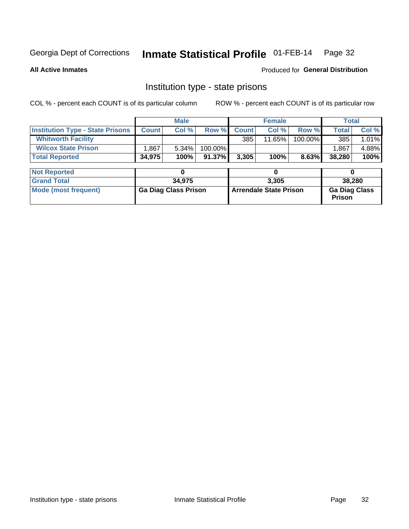# Inmate Statistical Profile 01-FEB-14 Page 32

**All Active Inmates** 

Produced for General Distribution

# Institution type - state prisons

COL % - percent each COUNT is of its particular column

|                                         |                             | <b>Male</b> |                               |              | <b>Female</b> |                                       | <b>Total</b> |        |  |
|-----------------------------------------|-----------------------------|-------------|-------------------------------|--------------|---------------|---------------------------------------|--------------|--------|--|
| <b>Institution Type - State Prisons</b> | <b>Count</b>                | Col %       | Row %                         | <b>Count</b> | Col %         | Row %                                 | Total        | Col %  |  |
| <b>Whitworth Facility</b>               |                             |             |                               | 385          | 11.65%        | 100.00%                               | 385          | 1.01%  |  |
| <b>Wilcox State Prison</b>              | .867                        | 5.34%       | 100.00%                       |              |               |                                       | 1.867        | 4.88%  |  |
| <b>Total Reported</b>                   | 34,975                      | 100%        | 91.37%                        | 3,305        | 100%          | 8.63%                                 | 38,280       | 100%   |  |
|                                         |                             |             |                               |              |               |                                       |              |        |  |
| <b>Not Reported</b>                     |                             | 0           |                               |              | 0             |                                       | 0            |        |  |
| <b>Grand Total</b>                      |                             | 34,975      |                               |              | 3,305         |                                       |              | 38,280 |  |
| <b>Mode (most frequent)</b>             | <b>Ga Diag Class Prison</b> |             | <b>Arrendale State Prison</b> |              |               | <b>Ga Diag Class</b><br><b>Prison</b> |              |        |  |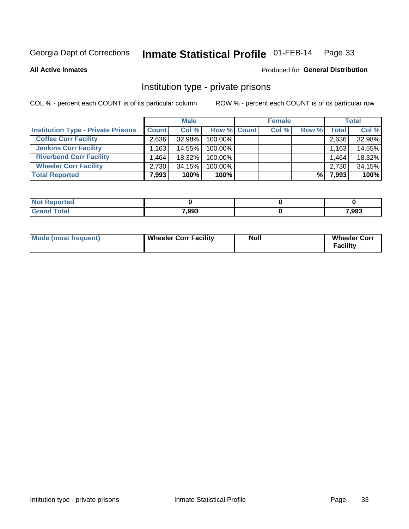### Inmate Statistical Profile 01-FEB-14 Page 33

**All Active Inmates** 

# Produced for General Distribution

# Institution type - private prisons

COL % - percent each COUNT is of its particular column

|                                           | <b>Male</b>                       |           | <b>Female</b> |  |       | <b>Total</b> |              |        |
|-------------------------------------------|-----------------------------------|-----------|---------------|--|-------|--------------|--------------|--------|
| <b>Institution Type - Private Prisons</b> | <b>Count</b>                      | Col %     | Row % Count   |  | Col % | Row %        | <b>Total</b> | Col %  |
| <b>Coffee Corr Facility</b>               | 2,636                             | 32.98%    | 100.00%       |  |       |              | 2,636        | 32.98% |
| <b>Jenkins Corr Facility</b>              | $1,163$ <sup><math>+</math></sup> | 14.55%    | 100.00%       |  |       |              | 1,163        | 14.55% |
| <b>Riverbend Corr Facility</b>            | .464 <sub>1</sub>                 | $18.32\%$ | 100.00%       |  |       |              | 1,464        | 18.32% |
| <b>Wheeler Corr Facility</b>              | 2.730                             | 34.15%    | 100.00%       |  |       |              | 2,730        | 34.15% |
| <b>Total Reported</b>                     | 7,993                             | 100%      | $100\%$       |  |       | %।           | 7,993        | 100%   |

| Reported |       |       |
|----------|-------|-------|
| `otal    | 7,993 | 7,993 |

| <b>Mode (most frequent)</b> | <b>Wheeler Corr Facility</b> | Null | <b>Wheeler Corr</b><br><b>Facility</b> |
|-----------------------------|------------------------------|------|----------------------------------------|
|-----------------------------|------------------------------|------|----------------------------------------|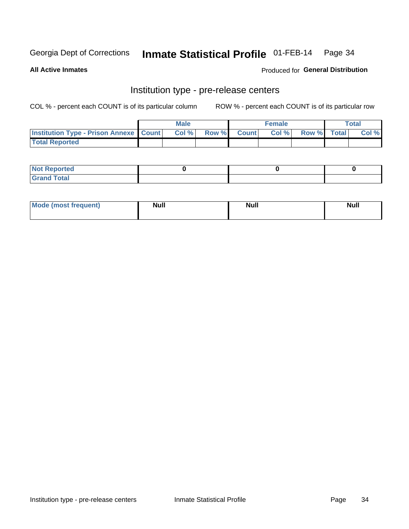# Inmate Statistical Profile 01-FEB-14 Page 34

**All Active Inmates** 

Produced for General Distribution

# Institution type - pre-release centers

COL % - percent each COUNT is of its particular column

|                                                   | <b>Male</b> |       |  | <b>Female</b> |       |             | <b>Total</b> |       |
|---------------------------------------------------|-------------|-------|--|---------------|-------|-------------|--------------|-------|
| <b>Institution Type - Prison Annexe   Count  </b> |             | Col % |  | Row % Count   | Col % | Row % Total |              | Col % |
| <b>Total Reported</b>                             |             |       |  |               |       |             |              |       |

| <b>Reported</b><br>I NOT |  |  |
|--------------------------|--|--|
| <b>Total</b><br>$C$ ren  |  |  |

| Mor<br><b>ruent</b> )<br>rea<br>nos | <b>Null</b> | <b>Moll</b><br>_____ | . .<br><b>Null</b> |
|-------------------------------------|-------------|----------------------|--------------------|
|                                     |             |                      |                    |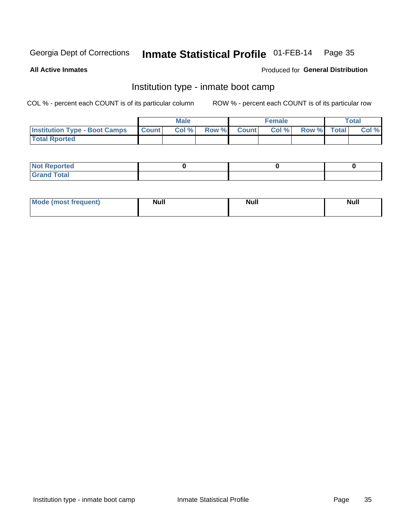#### Inmate Statistical Profile 01-FEB-14 Page 35

**All Active Inmates** 

# Produced for General Distribution

# Institution type - inmate boot camp

COL % - percent each COUNT is of its particular column

|                                      |                  | <b>Male</b> |              |              | <b>Female</b> |             | <b>Total</b> |
|--------------------------------------|------------------|-------------|--------------|--------------|---------------|-------------|--------------|
| <b>Institution Type - Boot Camps</b> | <b>I</b> Count I | Col %       | <b>Row %</b> | <b>Count</b> | Col %         | Row % Total | Col %        |
| <b>Total Rported</b>                 |                  |             |              |              |               |             |              |

| <b>Not Reported</b>            |  |  |
|--------------------------------|--|--|
| <b>Total</b><br>C <sub>r</sub> |  |  |

| Mode (most<br>Treauent) | <b>Null</b> | . .<br><b>Nu</b> |  |
|-------------------------|-------------|------------------|--|
|                         |             |                  |  |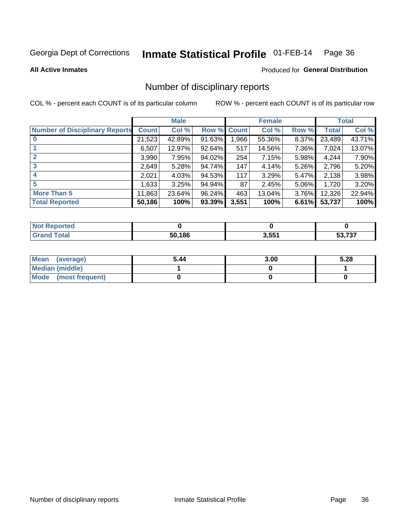### Inmate Statistical Profile 01-FEB-14 Page 36

### **All Active Inmates**

# Produced for General Distribution

# Number of disciplinary reports

COL % - percent each COUNT is of its particular column

|                                       |              | <b>Male</b> |        |              | <b>Female</b> |          |              | <b>Total</b> |
|---------------------------------------|--------------|-------------|--------|--------------|---------------|----------|--------------|--------------|
| <b>Number of Disciplinary Reports</b> | <b>Count</b> | Col %       | Row %  | <b>Count</b> | Col %         | Row %    | <b>Total</b> | Col %        |
|                                       | 21,523       | 42.89%      | 91.63% | 1,966        | 55.36%        | $8.37\%$ | 23,489       | 43.71%       |
|                                       | 6,507        | 12.97%      | 92.64% | 517          | 14.56%        | 7.36%    | 7,024        | 13.07%       |
| $\mathbf{2}$                          | 3,990        | 7.95%       | 94.02% | 254          | 7.15%         | $5.98\%$ | 4,244        | 7.90%        |
| 3                                     | 2,649        | 5.28%       | 94.74% | 147          | 4.14%         | $5.26\%$ | 2,796        | 5.20%        |
|                                       | 2,021        | 4.03%       | 94.53% | 117          | 3.29%         | $5.47\%$ | 2,138        | 3.98%        |
| 5                                     | 1,633        | 3.25%       | 94.94% | 87           | 2.45%         | $5.06\%$ | 1,720        | 3.20%        |
| <b>More Than 5</b>                    | 11,863       | 23.64%      | 96.24% | 463          | 13.04%        | $3.76\%$ | 12,326       | 22.94%       |
| <b>Total Reported</b>                 | 50,186       | 100%        | 93.39% | 3,551        | 100%          | 6.61%    | 53,737       | 100%         |

| orted<br>NO. |        |       |            |
|--------------|--------|-------|------------|
| <b>Total</b> | 50.186 | 3,551 | $\sim$ 707 |

| Mean (average)       | 5.44 | 3.00 | 5.28 |
|----------------------|------|------|------|
| Median (middle)      |      |      |      |
| Mode (most frequent) |      |      |      |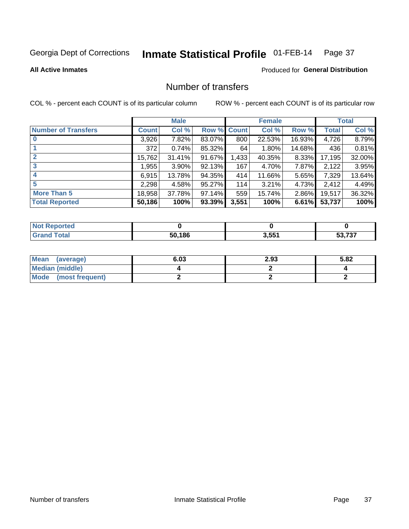#### Inmate Statistical Profile 01-FEB-14 Page 37

#### **All Active Inmates**

### **Produced for General Distribution**

## Number of transfers

COL % - percent each COUNT is of its particular column

|                            |         | <b>Male</b> |        |              | <b>Female</b> |          |              | <b>Total</b> |
|----------------------------|---------|-------------|--------|--------------|---------------|----------|--------------|--------------|
| <b>Number of Transfers</b> | Count l | Col %       | Row %  | <b>Count</b> | Col %         | Row %    | <b>Total</b> | Col %        |
|                            | 3,926   | $7.82\%$    | 83.07% | 800          | 22.53%        | 16.93%   | 4,726        | 8.79%        |
|                            | 372     | 0.74%       | 85.32% | 64           | 1.80%         | 14.68%   | 436          | 0.81%        |
| $\mathbf{2}$               | 15,762  | $31.41\%$   | 91.67% | 1,433        | 40.35%        | 8.33%    | 17,195       | 32.00%       |
| 3                          | 1,955   | $3.90\%$    | 92.13% | 167          | 4.70%         | 7.87%    | 2,122        | 3.95%        |
| 4                          | 6,915   | 13.78%      | 94.35% | 414          | 11.66%        | 5.65%    | 7,329        | 13.64%       |
| 5                          | 2,298   | 4.58%       | 95.27% | 114          | 3.21%         | 4.73%    | 2,412        | 4.49%        |
| <b>More Than 5</b>         | 18,958  | 37.78%      | 97.14% | 559          | 15.74%        | $2.86\%$ | 19,517       | 36.32%       |
| <b>Total Reported</b>      | 50,186  | 100%        | 93.39% | 3,551        | 100%          | 6.61%    | 53,737       | 100%         |

| orted<br>NO. |        |       |            |
|--------------|--------|-------|------------|
| <b>Total</b> | 50.186 | 3,551 | $\sim$ 707 |

| Mean (average)         | 6.03 | 2.93 | 5.82 |
|------------------------|------|------|------|
| <b>Median (middle)</b> |      |      |      |
| Mode (most frequent)   |      |      |      |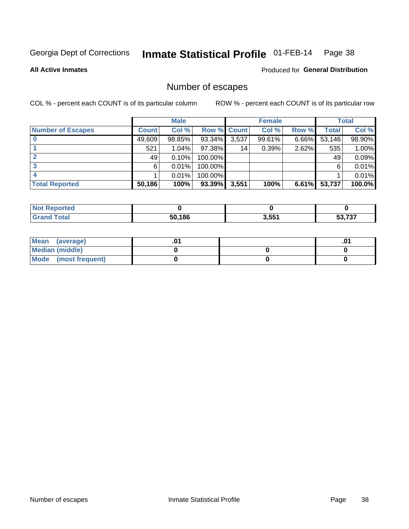#### Inmate Statistical Profile 01-FEB-14 Page 38

**All Active Inmates** 

Produced for General Distribution

## Number of escapes

COL % - percent each COUNT is of its particular column

|                          |              | <b>Male</b> |                    |       | <b>Female</b> |          |        | <b>Total</b> |
|--------------------------|--------------|-------------|--------------------|-------|---------------|----------|--------|--------------|
| <b>Number of Escapes</b> | <b>Count</b> | Col %       | <b>Row % Count</b> |       | Col %         | Row %    | Total  | Col %        |
|                          | 49,609       | 98.85%      | 93.34%             | 3,537 | 99.61%        | $6.66\%$ | 53,146 | 98.90%       |
|                          | 521          | 1.04%       | 97.38%             | 14    | 0.39%         | 2.62%    | 535    | 1.00%        |
|                          | 49           | 0.10%       | 100.00%            |       |               |          | 49     | 0.09%        |
|                          | 6.           | 0.01%       | $100.00\%$         |       |               |          | 6      | 0.01%        |
|                          |              | 0.01%       | 100.00%            |       |               |          |        | 0.01%        |
| <b>Total Reported</b>    | 50,186       | 100%        | 93.39%             | 3,551 | 100%          | 6.61%    | 53,737 | 100.0%       |

| тео. |        |       |     |
|------|--------|-------|-----|
|      | 50.186 | 3.551 | ラヘラ |

| Mean (average)       |  | .01 |
|----------------------|--|-----|
| Median (middle)      |  |     |
| Mode (most frequent) |  |     |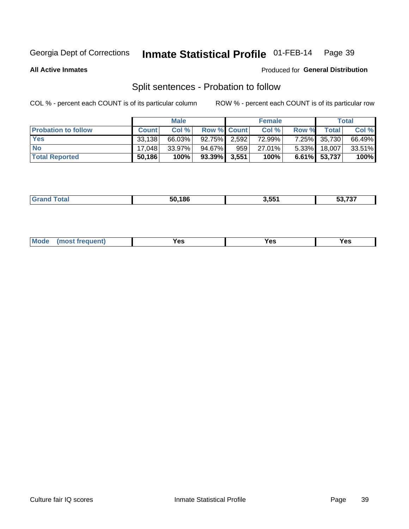#### Inmate Statistical Profile 01-FEB-14 Page 39

**All Active Inmates** 

#### Produced for General Distribution

## Split sentences - Probation to follow

COL % - percent each COUNT is of its particular column

|                            |              | <b>Male</b> |                 |     | <b>Female</b> |              |              | <b>Total</b> |
|----------------------------|--------------|-------------|-----------------|-----|---------------|--------------|--------------|--------------|
| <b>Probation to follow</b> | <b>Count</b> | Col%        | Row % Count     |     | Col %         | <b>Row %</b> | Total        | Col %        |
| <b>Yes</b>                 | 33,138       | 66.03%      | 92.75% 2,592    |     | 72.99%        |              | 7.25% 35,730 | 66.49%       |
| <b>No</b>                  | 17.048       | 33.97%      | 94.67%          | 959 | 27.01%        | $5.33\%$     | 18,007       | 33.51%       |
| <b>Total Reported</b>      | 50,186       | 100%        | $93.39\%$ 3,551 |     | 100%          |              | 6.61% 53,737 | 100%         |

|  |  | 50.186 | 3.551 | $F^{\alpha}$ $\rightarrow$ $\gamma$<br>79.<br>JJ. |
|--|--|--------|-------|---------------------------------------------------|
|--|--|--------|-------|---------------------------------------------------|

| reauent)<br>Yes<br>v.c<br>0٥<br>.<br>. .<br>$\sim$ |  | <b>Mode</b> |  |  |  |
|----------------------------------------------------|--|-------------|--|--|--|
|----------------------------------------------------|--|-------------|--|--|--|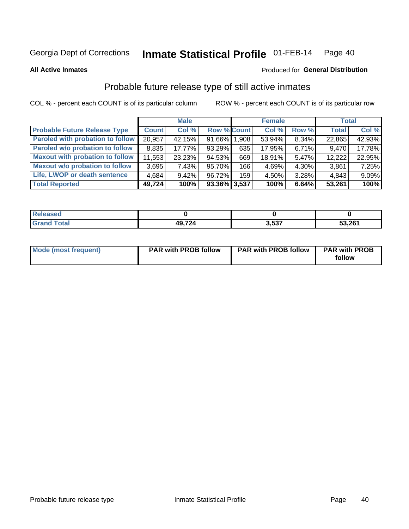#### Inmate Statistical Profile 01-FEB-14 Page 40

**All Active Inmates** 

#### Produced for General Distribution

## Probable future release type of still active inmates

COL % - percent each COUNT is of its particular column

|                                        |              | <b>Male</b> |                    |     | <b>Female</b> |       | <b>Total</b> |        |
|----------------------------------------|--------------|-------------|--------------------|-----|---------------|-------|--------------|--------|
| <b>Probable Future Release Type</b>    | <b>Count</b> | Col %       | <b>Row % Count</b> |     | Col %         | Row % | <b>Total</b> | Col %  |
| Paroled with probation to follow       | 20,957       | 42.15%      | 91.66% 1.908       |     | 53.94%        | 8.34% | 22,865       | 42.93% |
| Paroled w/o probation to follow        | 8,835        | 17.77%      | 93.29%             | 635 | 17.95%        | 6.71% | 9,470        | 17.78% |
| <b>Maxout with probation to follow</b> | 11,553       | 23.23%      | 94.53%             | 669 | 18.91%        | 5.47% | 12,222       | 22.95% |
| <b>Maxout w/o probation to follow</b>  | 3,695        | 7.43%       | 95.70%             | 166 | 4.69%         | 4.30% | 3,861        | 7.25%  |
| Life, LWOP or death sentence           | 4,684        | 9.42%       | 96.72%             | 159 | 4.50%         | 3.28% | 4,843        | 9.09%  |
| <b>Total Reported</b>                  | 49,724       | 100%        | $93.36\%$ 3,537    |     | 100%          | 6.64% | 53,261       | 100%   |

| eleased     |      |               |        |
|-------------|------|---------------|--------|
| <b>otal</b> | AOZ2 | 2E27<br>נים.נ | 53,261 |

| Mode (most frequent) | <b>PAR with PROB follow</b> | <b>PAR with PROB follow</b> | <b>PAR with PROB</b><br>follow |
|----------------------|-----------------------------|-----------------------------|--------------------------------|
|                      |                             |                             |                                |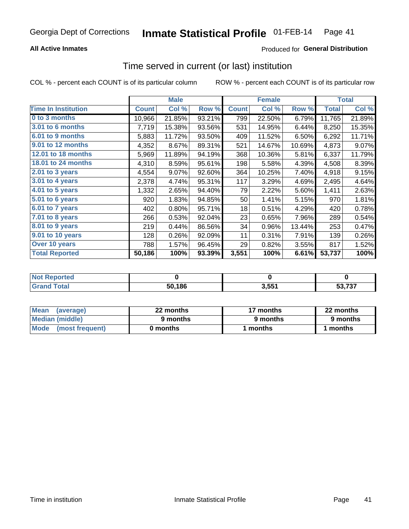### **All Active Inmates**

### Produced for General Distribution

# Time served in current (or last) institution

COL % - percent each COUNT is of its particular column

|                            |              | <b>Male</b> |        |              | <b>Female</b> |        |              | <b>Total</b> |
|----------------------------|--------------|-------------|--------|--------------|---------------|--------|--------------|--------------|
| <b>Time In Institution</b> | <b>Count</b> | Col %       | Row %  | <b>Count</b> | Col %         | Row %  | <b>Total</b> | Col $%$      |
| 0 to 3 months              | 10,966       | 21.85%      | 93.21% | 799          | 22.50%        | 6.79%  | 11,765       | 21.89%       |
| <b>3.01 to 6 months</b>    | 7,719        | 15.38%      | 93.56% | 531          | 14.95%        | 6.44%  | 8,250        | 15.35%       |
| 6.01 to 9 months           | 5,883        | 11.72%      | 93.50% | 409          | 11.52%        | 6.50%  | 6,292        | 11.71%       |
| 9.01 to 12 months          | 4,352        | 8.67%       | 89.31% | 521          | 14.67%        | 10.69% | 4,873        | 9.07%        |
| <b>12.01 to 18 months</b>  | 5,969        | 11.89%      | 94.19% | 368          | 10.36%        | 5.81%  | 6,337        | 11.79%       |
| <b>18.01 to 24 months</b>  | 4,310        | 8.59%       | 95.61% | 198          | 5.58%         | 4.39%  | 4,508        | 8.39%        |
| 2.01 to 3 years            | 4,554        | 9.07%       | 92.60% | 364          | 10.25%        | 7.40%  | 4,918        | 9.15%        |
| $3.01$ to 4 years          | 2,378        | 4.74%       | 95.31% | 117          | 3.29%         | 4.69%  | 2,495        | 4.64%        |
| 4.01 to 5 years            | 1,332        | 2.65%       | 94.40% | 79           | 2.22%         | 5.60%  | 1,411        | 2.63%        |
| 5.01 to 6 years            | 920          | 1.83%       | 94.85% | 50           | 1.41%         | 5.15%  | 970          | 1.81%        |
| $6.01$ to 7 years          | 402          | 0.80%       | 95.71% | 18           | 0.51%         | 4.29%  | 420          | 0.78%        |
| $7.01$ to 8 years          | 266          | 0.53%       | 92.04% | 23           | 0.65%         | 7.96%  | 289          | 0.54%        |
| $8.01$ to 9 years          | 219          | 0.44%       | 86.56% | 34           | 0.96%         | 13.44% | 253          | 0.47%        |
| 9.01 to 10 years           | 128          | 0.26%       | 92.09% | 11           | 0.31%         | 7.91%  | 139          | 0.26%        |
| Over 10 years              | 788          | 1.57%       | 96.45% | 29           | 0.82%         | 3.55%  | 817          | 1.52%        |
| <b>Total Reported</b>      | 50,186       | 100%        | 93.39% | 3,551        | 100%          | 6.61%  | 53,737       | 100%         |

| orted<br>NO1 |        |     |        |
|--------------|--------|-----|--------|
| nta.         | 50,186 | 551 | こつ フクフ |

| <b>Mean</b><br>(average) | 22 months | 17 months | 22 months |
|--------------------------|-----------|-----------|-----------|
| Median (middle)          | 9 months  | 9 months  | 9 months  |
| Mode (most frequent)     | 0 months  | months    | l months  |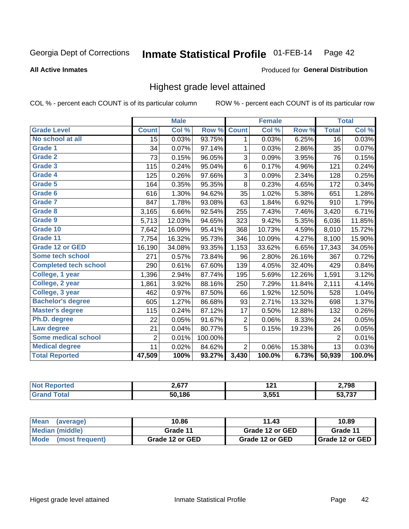#### Inmate Statistical Profile 01-FEB-14 Page 42

#### **All Active Inmates**

#### Produced for General Distribution

## Highest grade level attained

COL % - percent each COUNT is of its particular column

|                              |                | <b>Male</b> |         |                         | Female |        |                | <b>Total</b> |
|------------------------------|----------------|-------------|---------|-------------------------|--------|--------|----------------|--------------|
| <b>Grade Level</b>           | <b>Count</b>   | Col %       | Row %   | <b>Count</b>            | Col %  | Row %  | <b>Total</b>   | Col %        |
| No school at all             | 15             | 0.03%       | 93.75%  | 1                       | 0.03%  | 6.25%  | 16             | 0.03%        |
| Grade 1                      | 34             | 0.07%       | 97.14%  | 1                       | 0.03%  | 2.86%  | 35             | 0.07%        |
| <b>Grade 2</b>               | 73             | 0.15%       | 96.05%  | 3                       | 0.09%  | 3.95%  | 76             | 0.15%        |
| <b>Grade 3</b>               | 115            | 0.24%       | 95.04%  | $\,6$                   | 0.17%  | 4.96%  | 121            | 0.24%        |
| Grade 4                      | 125            | 0.26%       | 97.66%  | $\overline{3}$          | 0.09%  | 2.34%  | 128            | 0.25%        |
| Grade 5                      | 164            | 0.35%       | 95.35%  | $\overline{8}$          | 0.23%  | 4.65%  | 172            | 0.34%        |
| Grade 6                      | 616            | 1.30%       | 94.62%  | 35                      | 1.02%  | 5.38%  | 651            | 1.28%        |
| <b>Grade 7</b>               | 847            | 1.78%       | 93.08%  | 63                      | 1.84%  | 6.92%  | 910            | 1.79%        |
| <b>Grade 8</b>               | 3,165          | 6.66%       | 92.54%  | 255                     | 7.43%  | 7.46%  | 3,420          | 6.71%        |
| Grade 9                      | 5,713          | 12.03%      | 94.65%  | 323                     | 9.42%  | 5.35%  | 6,036          | 11.85%       |
| Grade 10                     | 7,642          | 16.09%      | 95.41%  | 368                     | 10.73% | 4.59%  | 8,010          | 15.72%       |
| Grade 11                     | 7,754          | 16.32%      | 95.73%  | 346                     | 10.09% | 4.27%  | 8,100          | 15.90%       |
| <b>Grade 12 or GED</b>       | 16,190         | 34.08%      | 93.35%  | 1,153                   | 33.62% | 6.65%  | 17,343         | 34.05%       |
| Some tech school             | 271            | 0.57%       | 73.84%  | 96                      | 2.80%  | 26.16% | 367            | 0.72%        |
| <b>Completed tech school</b> | 290            | 0.61%       | 67.60%  | 139                     | 4.05%  | 32.40% | 429            | 0.84%        |
| College, 1 year              | 1,396          | 2.94%       | 87.74%  | 195                     | 5.69%  | 12.26% | 1,591          | 3.12%        |
| College, 2 year              | 1,861          | 3.92%       | 88.16%  | 250                     | 7.29%  | 11.84% | 2,111          | 4.14%        |
| College, 3 year              | 462            | 0.97%       | 87.50%  | 66                      | 1.92%  | 12.50% | 528            | 1.04%        |
| <b>Bachelor's degree</b>     | 605            | 1.27%       | 86.68%  | 93                      | 2.71%  | 13.32% | 698            | 1.37%        |
| <b>Master's degree</b>       | 115            | 0.24%       | 87.12%  | 17                      | 0.50%  | 12.88% | 132            | 0.26%        |
| Ph.D. degree                 | 22             | 0.05%       | 91.67%  | $\overline{\mathbf{c}}$ | 0.06%  | 8.33%  | 24             | 0.05%        |
| Law degree                   | 21             | 0.04%       | 80.77%  | 5                       | 0.15%  | 19.23% | 26             | 0.05%        |
| <b>Some medical school</b>   | $\overline{2}$ | 0.01%       | 100.00% |                         |        |        | $\overline{2}$ | 0.01%        |
| <b>Medical degree</b>        | 11             | 0.02%       | 84.62%  | $\overline{2}$          | 0.06%  | 15.38% | 13             | 0.03%        |
| <b>Total Reported</b>        | 47,509         | 100%        | 93.27%  | 3,430                   | 100.0% | 6.73%  | 50,939         | 100.0%       |

| ን 677  | 12 <sub>2</sub><br>.  | 2,798            |
|--------|-----------------------|------------------|
| 50.186 | 2 <sub>551</sub><br>ີ | $F^{\alpha}$ 707 |

| <b>Mean</b><br>(average)       | 10.86           | 11.43           | 10.89           |
|--------------------------------|-----------------|-----------------|-----------------|
| Median (middle)                | Grade 11        | Grade 12 or GED | Grade 11        |
| <b>Mode</b><br>(most frequent) | Grade 12 or GED | Grade 12 or GED | Grade 12 or GED |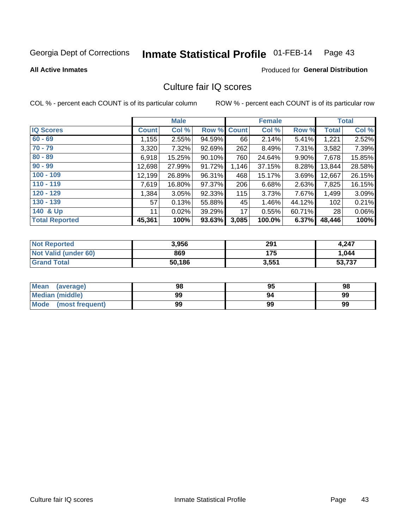#### Inmate Statistical Profile 01-FEB-14 Page 43

**All Active Inmates** 

### **Produced for General Distribution**

## Culture fair IQ scores

COL % - percent each COUNT is of its particular column

|                       |              | <b>Male</b> |             |       | <b>Female</b> |        |              | <b>Total</b> |
|-----------------------|--------------|-------------|-------------|-------|---------------|--------|--------------|--------------|
| <b>IQ Scores</b>      | <b>Count</b> | Col %       | Row % Count |       | Col %         | Row %  | <b>Total</b> | Col %        |
| $60 - 69$             | 1,155        | 2.55%       | 94.59%      | 66    | 2.14%         | 5.41%  | 1,221        | 2.52%        |
| $70 - 79$             | 3,320        | 7.32%       | 92.69%      | 262   | 8.49%         | 7.31%  | 3,582        | 7.39%        |
| $80 - 89$             | 6,918        | 15.25%      | 90.10%      | 760   | 24.64%        | 9.90%  | 7,678        | 15.85%       |
| $90 - 99$             | 12,698       | 27.99%      | 91.72%      | 1,146 | 37.15%        | 8.28%  | 13,844       | 28.58%       |
| $100 - 109$           | 12,199       | 26.89%      | 96.31%      | 468   | 15.17%        | 3.69%  | 12,667       | 26.15%       |
| $110 - 119$           | 7,619        | 16.80%      | 97.37%      | 206   | 6.68%         | 2.63%  | 7,825        | 16.15%       |
| $120 - 129$           | 1,384        | 3.05%       | 92.33%      | 115   | 3.73%         | 7.67%  | 1,499        | 3.09%        |
| $130 - 139$           | 57           | 0.13%       | 55.88%      | 45    | 1.46%         | 44.12% | 102          | 0.21%        |
| 140 & Up              | 11           | 0.02%       | 39.29%      | 17    | 0.55%         | 60.71% | 28           | 0.06%        |
| <b>Total Reported</b> | 45,361       | 100%        | 93.63%      | 3,085 | 100.0%        | 6.37%  | 48,446       | 100%         |

| <b>Not Reported</b>  | 3,956  | 291   | 4,247  |
|----------------------|--------|-------|--------|
| Not Valid (under 60) | 869    | 175   | 1,044  |
| <b>Grand Total</b>   | 50,186 | 3,551 | 53,737 |

| <b>Mean</b><br>(average) | 98 | 95 | 98 |
|--------------------------|----|----|----|
| <b>Median (middle)</b>   | 99 | 94 | 99 |
| Mode<br>(most frequent)  | 99 | 99 | 99 |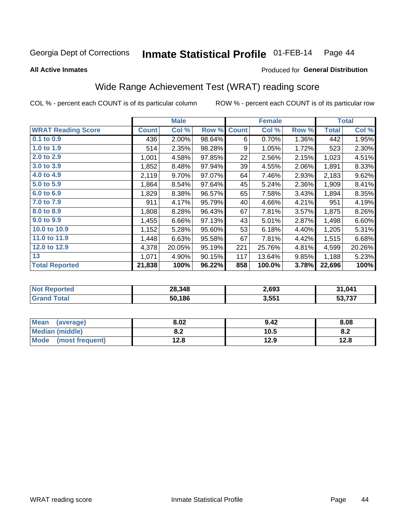#### Inmate Statistical Profile 01-FEB-14 Page 44

**All Active Inmates** 

### Produced for General Distribution

## Wide Range Achievement Test (WRAT) reading score

COL % - percent each COUNT is of its particular column

|                           |              | <b>Male</b> |        |              | <b>Female</b> |       |              | <b>Total</b> |
|---------------------------|--------------|-------------|--------|--------------|---------------|-------|--------------|--------------|
| <b>WRAT Reading Score</b> | <b>Count</b> | Col %       | Row %  | <b>Count</b> | Col %         | Row % | <b>Total</b> | Col %        |
| $0.1$ to $0.9$            | 436          | 2.00%       | 98.64% | 6            | 0.70%         | 1.36% | 442          | 1.95%        |
| 1.0 to 1.9                | 514          | 2.35%       | 98.28% | 9            | 1.05%         | 1.72% | 523          | 2.30%        |
| 2.0 to 2.9                | 1,001        | 4.58%       | 97.85% | 22           | 2.56%         | 2.15% | 1,023        | 4.51%        |
| 3.0 to 3.9                | 1,852        | 8.48%       | 97.94% | 39           | 4.55%         | 2.06% | 1,891        | 8.33%        |
| 4.0 to 4.9                | 2,119        | 9.70%       | 97.07% | 64           | 7.46%         | 2.93% | 2,183        | 9.62%        |
| 5.0 to 5.9                | 1,864        | 8.54%       | 97.64% | 45           | 5.24%         | 2.36% | 1,909        | 8.41%        |
| 6.0 to 6.9                | 1,829        | 8.38%       | 96.57% | 65           | 7.58%         | 3.43% | 1,894        | 8.35%        |
| 7.0 to 7.9                | 911          | 4.17%       | 95.79% | 40           | 4.66%         | 4.21% | 951          | 4.19%        |
| 8.0 to 8.9                | 1,808        | 8.28%       | 96.43% | 67           | 7.81%         | 3.57% | 1,875        | 8.26%        |
| 9.0 to 9.9                | 1,455        | 6.66%       | 97.13% | 43           | 5.01%         | 2.87% | 1,498        | 6.60%        |
| 10.0 to 10.9              | 1,152        | 5.28%       | 95.60% | 53           | 6.18%         | 4.40% | 1,205        | 5.31%        |
| 11.0 to 11.9              | 1,448        | 6.63%       | 95.58% | 67           | 7.81%         | 4.42% | 1,515        | 6.68%        |
| 12.0 to 12.9              | 4,378        | 20.05%      | 95.19% | 221          | 25.76%        | 4.81% | 4,599        | 20.26%       |
| 13                        | 1,071        | 4.90%       | 90.15% | 117          | 13.64%        | 9.85% | 1,188        | 5.23%        |
| <b>Total Reported</b>     | 21,838       | 100%        | 96.22% | 858          | 100.0%        | 3.78% | 22,696       | 100%         |

| <b>Not Reported</b> | 28,348 | 2,693 | 31,041            |
|---------------------|--------|-------|-------------------|
| Total<br>'Grand     | 50,186 | 3,551 | より フクフ<br>. 1 3 1 |

| <b>Mean</b><br>(average)       | 8.02       | 9.42 | 8.08 |
|--------------------------------|------------|------|------|
| <b>Median (middle)</b>         | י ה<br>0.Z | 10.5 | 0.Z  |
| <b>Mode</b><br>(most frequent) | 12.8       | 12.9 | 12.8 |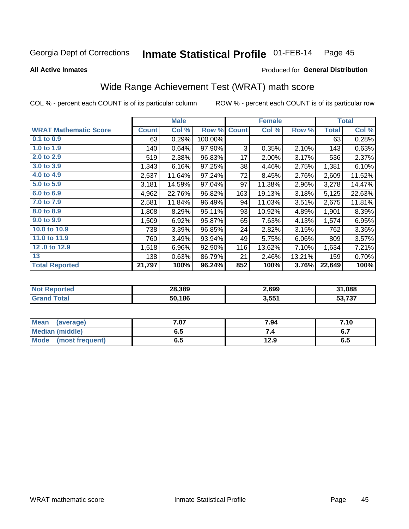#### Inmate Statistical Profile 01-FEB-14 Page 45

**All Active Inmates** 

#### Produced for General Distribution

## Wide Range Achievement Test (WRAT) math score

COL % - percent each COUNT is of its particular column

|                              |              | <b>Male</b> |         |              | <b>Female</b> |        |              | <b>Total</b> |
|------------------------------|--------------|-------------|---------|--------------|---------------|--------|--------------|--------------|
| <b>WRAT Mathematic Score</b> | <b>Count</b> | Col %       | Row %   | <b>Count</b> | Col %         | Row %  | <b>Total</b> | Col %        |
| $0.1$ to $0.9$               | 63           | 0.29%       | 100.00% |              |               |        | 63           | 0.28%        |
| 1.0 to 1.9                   | 140          | 0.64%       | 97.90%  | 3            | 0.35%         | 2.10%  | 143          | 0.63%        |
| 2.0 to 2.9                   | 519          | 2.38%       | 96.83%  | 17           | 2.00%         | 3.17%  | 536          | 2.37%        |
| 3.0 to 3.9                   | 1,343        | 6.16%       | 97.25%  | 38           | 4.46%         | 2.75%  | 1,381        | 6.10%        |
| 4.0 to 4.9                   | 2,537        | 11.64%      | 97.24%  | 72           | 8.45%         | 2.76%  | 2,609        | 11.52%       |
| 5.0 to 5.9                   | 3,181        | 14.59%      | 97.04%  | 97           | 11.38%        | 2.96%  | 3,278        | 14.47%       |
| 6.0 to 6.9                   | 4,962        | 22.76%      | 96.82%  | 163          | 19.13%        | 3.18%  | 5,125        | 22.63%       |
| 7.0 to 7.9                   | 2,581        | 11.84%      | 96.49%  | 94           | 11.03%        | 3.51%  | 2,675        | 11.81%       |
| 8.0 to 8.9                   | 1,808        | 8.29%       | 95.11%  | 93           | 10.92%        | 4.89%  | 1,901        | 8.39%        |
| 9.0 to 9.9                   | 1,509        | 6.92%       | 95.87%  | 65           | 7.63%         | 4.13%  | 1,574        | 6.95%        |
| 10.0 to 10.9                 | 738          | 3.39%       | 96.85%  | 24           | 2.82%         | 3.15%  | 762          | 3.36%        |
| 11.0 to 11.9                 | 760          | 3.49%       | 93.94%  | 49           | 5.75%         | 6.06%  | 809          | 3.57%        |
| 12.0 to 12.9                 | 1,518        | 6.96%       | 92.90%  | 116          | 13.62%        | 7.10%  | 1,634        | 7.21%        |
| 13                           | 138          | 0.63%       | 86.79%  | 21           | 2.46%         | 13.21% | 159          | 0.70%        |
| <b>Total Reported</b>        | 21,797       | 100%        | 96.24%  | 852          | 100%          | 3.76%  | 22,649       | 100%         |

| 'Not<br><b>Reported</b> | 28,389 | 2,699 | 31,088        |
|-------------------------|--------|-------|---------------|
| <b>Total</b>            | 50,186 | 3,551 | より フクフ<br>791 |

| <b>Mean</b><br>(average)       | $^{\prime}$ .07 | 7.94 | 7.10                |
|--------------------------------|-----------------|------|---------------------|
| <b>Median (middle)</b>         | כ.ס             |      | c 7<br>$\mathbf{v}$ |
| <b>Mode</b><br>(most frequent) | υ.υ             | 12.9 | დ.g                 |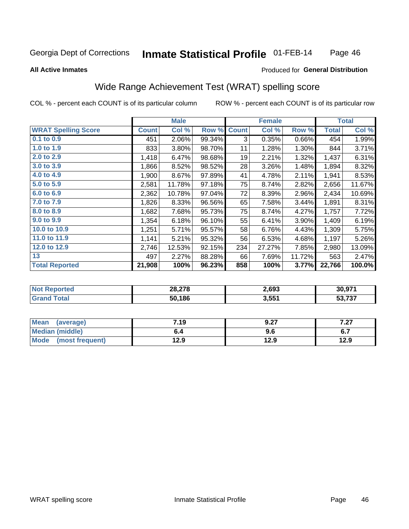#### Inmate Statistical Profile 01-FEB-14 Page 46

#### **All Active Inmates**

### Produced for General Distribution

## Wide Range Achievement Test (WRAT) spelling score

COL % - percent each COUNT is of its particular column

|                            |              | <b>Male</b> |        |              | <b>Female</b> |        |              | <b>Total</b> |
|----------------------------|--------------|-------------|--------|--------------|---------------|--------|--------------|--------------|
| <b>WRAT Spelling Score</b> | <b>Count</b> | Col %       | Row %  | <b>Count</b> | Col %         | Row %  | <b>Total</b> | Col %        |
| $0.1$ to $0.9$             | 451          | 2.06%       | 99.34% | 3            | 0.35%         | 0.66%  | 454          | 1.99%        |
| 1.0 to 1.9                 | 833          | 3.80%       | 98.70% | 11           | 1.28%         | 1.30%  | 844          | 3.71%        |
| 2.0 to 2.9                 | 1,418        | 6.47%       | 98.68% | 19           | 2.21%         | 1.32%  | 1,437        | 6.31%        |
| 3.0 to 3.9                 | 1,866        | 8.52%       | 98.52% | 28           | 3.26%         | 1.48%  | 1,894        | 8.32%        |
| 4.0 to 4.9                 | 1,900        | 8.67%       | 97.89% | 41           | 4.78%         | 2.11%  | 1,941        | 8.53%        |
| 5.0 to 5.9                 | 2,581        | 11.78%      | 97.18% | 75           | 8.74%         | 2.82%  | 2,656        | 11.67%       |
| 6.0 to 6.9                 | 2,362        | 10.78%      | 97.04% | 72           | 8.39%         | 2.96%  | 2,434        | 10.69%       |
| 7.0 to 7.9                 | 1,826        | 8.33%       | 96.56% | 65           | 7.58%         | 3.44%  | 1,891        | 8.31%        |
| 8.0 to 8.9                 | 1,682        | 7.68%       | 95.73% | 75           | 8.74%         | 4.27%  | 1,757        | 7.72%        |
| 9.0 to 9.9                 | 1,354        | 6.18%       | 96.10% | 55           | 6.41%         | 3.90%  | 1,409        | 6.19%        |
| 10.0 to 10.9               | 1,251        | 5.71%       | 95.57% | 58           | 6.76%         | 4.43%  | 1,309        | 5.75%        |
| 11.0 to 11.9               | 1,141        | 5.21%       | 95.32% | 56           | 6.53%         | 4.68%  | 1,197        | 5.26%        |
| 12.0 to 12.9               | 2,746        | 12.53%      | 92.15% | 234          | 27.27%        | 7.85%  | 2,980        | 13.09%       |
| 13                         | 497          | 2.27%       | 88.28% | 66           | 7.69%         | 11.72% | 563          | 2.47%        |
| <b>Total Reported</b>      | 21,908       | 100%        | 96.23% | 858          | 100%          | 3.77%  | 22,766       | 100.0%       |
|                            |              |             |        |              |               |        |              |              |

| olatelo | 28,278 | 2,693             | 30.971   |
|---------|--------|-------------------|----------|
|         | 50.186 | 3,55 <sup>4</sup> | ラヘラ<br>. |

| <b>Mean</b><br>(average) | 7.19 | 9.27 | 7.07<br>1 .ZI |
|--------------------------|------|------|---------------|
| <b>Median (middle)</b>   | ხ.4  | 9.6  | <b>v.,</b>    |
| Mode<br>(most frequent)  | 12.9 | 12.9 | 12.9          |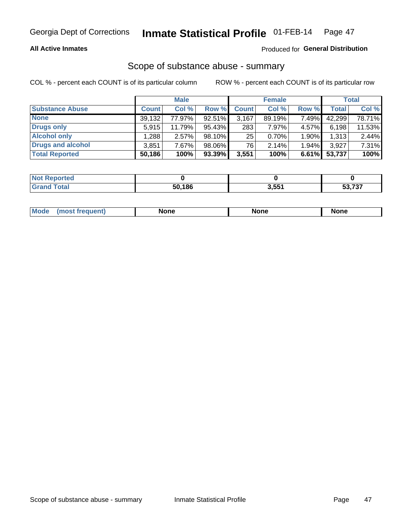#### **All Active Inmates**

### Produced for General Distribution

# Scope of substance abuse - summary

COL % - percent each COUNT is of its particular column

|                        |              | <b>Male</b> |           |              | <b>Female</b> |          |              | <b>Total</b> |
|------------------------|--------------|-------------|-----------|--------------|---------------|----------|--------------|--------------|
| <b>Substance Abuse</b> | <b>Count</b> | Col %       | Row %     | <b>Count</b> | Col %         | Row %    | <b>Total</b> | Col %        |
| <b>None</b>            | 39,132       | 77.97%      | 92.51%    | 3,167        | 89.19%        | 7.49%    | 42,299       | 78.71%       |
| <b>Drugs only</b>      | 5.915        | 11.79%      | 95.43%    | 283          | 7.97%         | 4.57%    | 6,198        | 11.53%       |
| <b>Alcohol only</b>    | .288         | $2.57\%$    | 98.10%    | 25           | 0.70%         | $1.90\%$ | 1,313        | 2.44%        |
| Drugs and alcohol      | 3,851        | 7.67%       | 98.06%    | 76           | 2.14%         | 1.94%    | 3,927        | 7.31%        |
| <b>Total Reported</b>  | 50,186       | 100%        | $93.39\%$ | 3,551        | 100%          | 6.61%    | 53,737       | 100%         |

| <b>Not Reported</b> |        |       |                                            |
|---------------------|--------|-------|--------------------------------------------|
| <b>Grand Total</b>  | 50.186 | 3,551 | $F^{\alpha}$ $\rightarrow$ $\gamma$<br>וטי |

| nuem | <b>Mo</b> | None | <b>None</b> | None |
|------|-----------|------|-------------|------|
|------|-----------|------|-------------|------|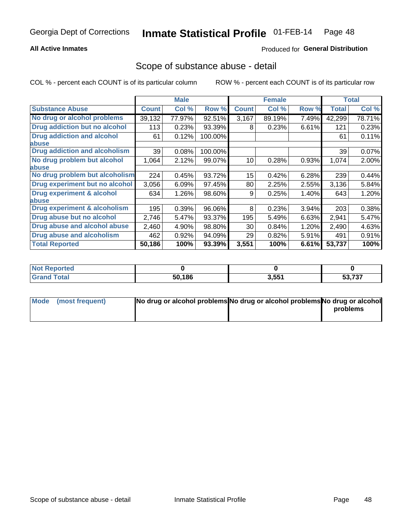### **All Active Inmates**

### **Produced for General Distribution**

### Scope of substance abuse - detail

COL % - percent each COUNT is of its particular column

|                                      |              | <b>Male</b> |         |              | <b>Female</b> |       |              | <b>Total</b> |
|--------------------------------------|--------------|-------------|---------|--------------|---------------|-------|--------------|--------------|
| <b>Substance Abuse</b>               | <b>Count</b> | Col %       | Row %   | <b>Count</b> | Col %         | Row % | <b>Total</b> | Col %        |
| No drug or alcohol problems          | 39,132       | 77.97%      | 92.51%  | 3,167        | 89.19%        | 7.49% | 42,299       | 78.71%       |
| Drug addiction but no alcohol        | 113          | 0.23%       | 93.39%  | 8            | 0.23%         | 6.61% | 121          | 0.23%        |
| <b>Drug addiction and alcohol</b>    | 61           | 0.12%       | 100.00% |              |               |       | 61           | 0.11%        |
| <b>labuse</b>                        |              |             |         |              |               |       |              |              |
| <b>Drug addiction and alcoholism</b> | 39           | 0.08%       | 100.00% |              |               |       | 39           | 0.07%        |
| No drug problem but alcohol          | 1,064        | 2.12%       | 99.07%  | 10           | 0.28%         | 0.93% | 1,074        | 2.00%        |
| <b>labuse</b>                        |              |             |         |              |               |       |              |              |
| No drug problem but alcoholism       | 224          | 0.45%       | 93.72%  | 15           | 0.42%         | 6.28% | 239          | 0.44%        |
| Drug experiment but no alcohol       | 3,056        | 6.09%       | 97.45%  | 80           | 2.25%         | 2.55% | 3,136        | 5.84%        |
| <b>Drug experiment &amp; alcohol</b> | 634          | 1.26%       | 98.60%  | 9            | 0.25%         | 1.40% | 643          | 1.20%        |
| <b>labuse</b>                        |              |             |         |              |               |       |              |              |
| Drug experiment & alcoholism         | 195          | 0.39%       | 96.06%  | 8            | 0.23%         | 3.94% | 203          | 0.38%        |
| Drug abuse but no alcohol            | 2,746        | 5.47%       | 93.37%  | 195          | 5.49%         | 6.63% | 2,941        | 5.47%        |
| Drug abuse and alcohol abuse         | 2,460        | 4.90%       | 98.80%  | 30           | 0.84%         | 1.20% | 2,490        | 4.63%        |
| <b>Drug abuse and alcoholism</b>     | 462          | 0.92%       | 94.09%  | 29           | 0.82%         | 5.91% | 491          | 0.91%        |
| <b>Total Reported</b>                | 50,186       | 100%        | 93.39%  | 3,551        | 100%          | 6.61% | 53,737       | 100%         |

| orted<br>NOT |        |       |                         |
|--------------|--------|-------|-------------------------|
|              | 50,186 | 3,551 | E2727<br><b>JJ,</b> IJI |

| Mode (most frequent) | No drug or alcohol problems No drug or alcohol problems No drug or alcohol |          |
|----------------------|----------------------------------------------------------------------------|----------|
|                      |                                                                            | problems |
|                      |                                                                            |          |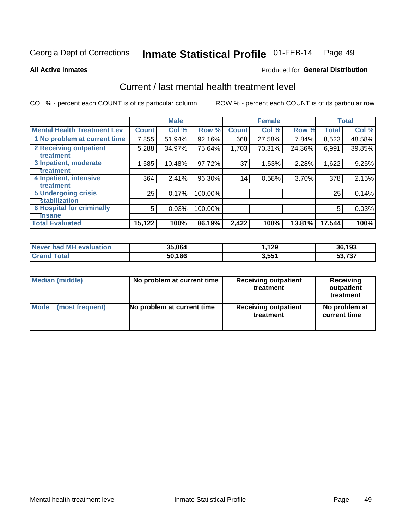#### Inmate Statistical Profile 01-FEB-14 Page 49

**All Active Inmates** 

### **Produced for General Distribution**

## Current / last mental health treatment level

COL % - percent each COUNT is of its particular column

|                                    |              | <b>Male</b> |         |              | <b>Female</b> |        |              | <b>Total</b> |
|------------------------------------|--------------|-------------|---------|--------------|---------------|--------|--------------|--------------|
| <b>Mental Health Treatment Lev</b> | <b>Count</b> | Col %       | Row %   | <b>Count</b> | Col %         | Row %  | <b>Total</b> | Col %        |
| 1 No problem at current time       | 7,855        | 51.94%      | 92.16%  | 668          | 27.58%        | 7.84%  | 8,523        | 48.58%       |
| 2 Receiving outpatient             | 5,288        | 34.97%      | 75.64%  | 1,703        | 70.31%        | 24.36% | 6,991        | 39.85%       |
| <b>Treatment</b>                   |              |             |         |              |               |        |              |              |
| 3 Inpatient, moderate              | 1,585        | 10.48%      | 97.72%  | 37           | 1.53%         | 2.28%  | 1,622        | 9.25%        |
| <b>Treatment</b>                   |              |             |         |              |               |        |              |              |
| 4 Inpatient, intensive             | 364          | 2.41%       | 96.30%  | 14           | 0.58%         | 3.70%  | 378          | 2.15%        |
| <b>Treatment</b>                   |              |             |         |              |               |        |              |              |
| <b>5 Undergoing crisis</b>         | 25           | 0.17%       | 100.00% |              |               |        | 25           | 0.14%        |
| <b>stabilization</b>               |              |             |         |              |               |        |              |              |
| <b>6 Hospital for criminally</b>   | 5            | 0.03%       | 100.00% |              |               |        | 5            | 0.03%        |
| <b>Tinsane</b>                     |              |             |         |              |               |        |              |              |
| <b>Total Evaluated</b>             | 15,122       | 100%        | 86.19%  | 2,422        | 100%          | 13.81% | 17,544       | 100%         |

| Never had MH evaluation | 35,064 | 129.، | 36,193 |
|-------------------------|--------|-------|--------|
| <b>Grand Total</b>      | 50,186 | 3,551 | 53,737 |

| Median (middle) | No problem at current time | <b>Receiving outpatient</b><br>treatment | <b>Receiving</b><br>outpatient<br>treatment |  |  |
|-----------------|----------------------------|------------------------------------------|---------------------------------------------|--|--|
| <b>Mode</b>     | No problem at current time | <b>Receiving outpatient</b>              | No problem at                               |  |  |
| (most frequent) |                            | treatment                                | current time                                |  |  |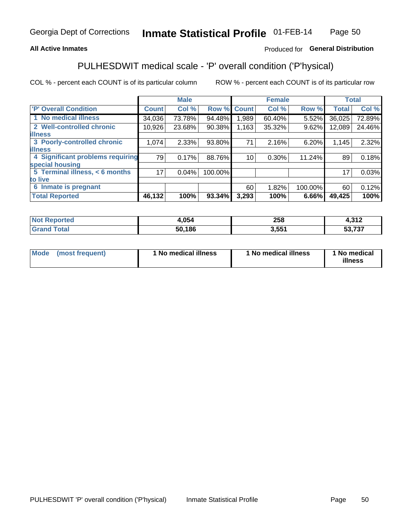### **All Active Inmates**

### Produced for General Distribution

## PULHESDWIT medical scale - 'P' overall condition ('P'hysical)

COL % - percent each COUNT is of its particular column

|                                  |              | <b>Male</b> |         |                 | <b>Female</b> |         |              | <b>Total</b> |
|----------------------------------|--------------|-------------|---------|-----------------|---------------|---------|--------------|--------------|
| 'P' Overall Condition            | <b>Count</b> | Col %       | Row %   | <b>Count</b>    | Col %         | Row %   | <b>Total</b> | Col %        |
| 1 No medical illness             | 34,036       | 73.78%      | 94.48%  | .989            | 60.40%        | 5.52%   | 36,025       | 72.89%       |
| 2 Well-controlled chronic        | 10,926       | 23.68%      | 90.38%  | 1,163           | 35.32%        | 9.62%   | 12,089       | 24.46%       |
| <b>illness</b>                   |              |             |         |                 |               |         |              |              |
| 3 Poorly-controlled chronic      | 1,074        | 2.33%       | 93.80%  | 71              | 2.16%         | 6.20%   | 1,145        | 2.32%        |
| <b>illness</b>                   |              |             |         |                 |               |         |              |              |
| 4 Significant problems requiring | 79           | 0.17%       | 88.76%  | 10 <sup>1</sup> | 0.30%         | 11.24%  | 89           | 0.18%        |
| special housing                  |              |             |         |                 |               |         |              |              |
| 5 Terminal illness, < 6 months   | 171          | 0.04%       | 100.00% |                 |               |         | 17           | 0.03%        |
| to live                          |              |             |         |                 |               |         |              |              |
| 6 Inmate is pregnant             |              |             |         | 60              | 1.82%         | 100.00% | 60           | 0.12%        |
| <b>Total Reported</b>            | 46,132       | 100%        | 93.34%  | 3,293           | 100%          | 6.66%   | 49,425       | 100%         |

| тео | .054 | neo<br>∠ວ໐ | 240<br>−.∪ I ⊥ |
|-----|------|------------|----------------|
|     | .186 | 551<br>.   | こへ フヘフ<br>.    |

| Mode | (most frequent) | 1 No medical illness | 1 No medical illness | 1 No medical<br>illness |
|------|-----------------|----------------------|----------------------|-------------------------|
|------|-----------------|----------------------|----------------------|-------------------------|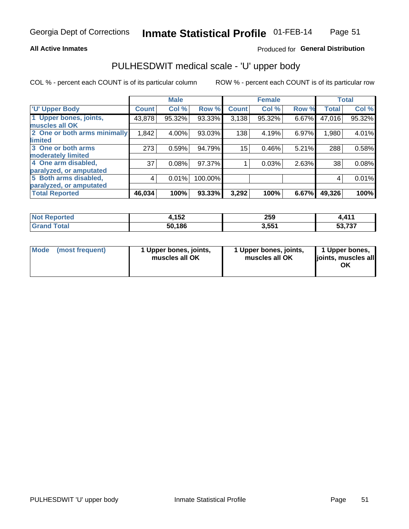#### **All Active Inmates**

### Produced for General Distribution

# PULHESDWIT medical scale - 'U' upper body

COL % - percent each COUNT is of its particular column

|                              |              | <b>Male</b> |         |              | <b>Female</b> |       |              | <b>Total</b> |
|------------------------------|--------------|-------------|---------|--------------|---------------|-------|--------------|--------------|
| <b>U' Upper Body</b>         | <b>Count</b> | Col %       | Row %   | <b>Count</b> | Col %         | Row % | <b>Total</b> | Col %        |
| 1 Upper bones, joints,       | 43,878       | 95.32%      | 93.33%  | 3,138        | 95.32%        | 6.67% | 47,016       | 95.32%       |
| muscles all OK               |              |             |         |              |               |       |              |              |
| 2 One or both arms minimally | 1,842        | 4.00%       | 93.03%  | 138          | 4.19%         | 6.97% | 1,980        | 4.01%        |
| limited                      |              |             |         |              |               |       |              |              |
| 3 One or both arms           | 273          | 0.59%       | 94.79%  | 15           | 0.46%         | 5.21% | 288          | 0.58%        |
| <b>moderately limited</b>    |              |             |         |              |               |       |              |              |
| 4 One arm disabled,          | 37           | 0.08%       | 97.37%  |              | 0.03%         | 2.63% | 38           | 0.08%        |
| paralyzed, or amputated      |              |             |         |              |               |       |              |              |
| 5 Both arms disabled,        | 4            | 0.01%       | 100.00% |              |               |       | 4            | 0.01%        |
| paralyzed, or amputated      |              |             |         |              |               |       |              |              |
| <b>Total Reported</b>        | 46,034       | 100%        | 93.33%  | 3,292        | 100%          | 6.67% | 49,326       | 100%         |

| <b>Not Reported</b>   | イドク<br>4, I JZ | 259   | 411<br>.                          |
|-----------------------|----------------|-------|-----------------------------------|
| <b>Total</b><br>Grand | 50,186         | 3,551 | こへ フヘフ<br>ວວ. <i>ເ</i> ວ <i>ເ</i> |

| Mode (most frequent) | 1 Upper bones, joints,<br>muscles all OK | 1 Upper bones, joints,<br>muscles all OK | 1 Upper bones,<br>joints, muscles all<br>ΟK |
|----------------------|------------------------------------------|------------------------------------------|---------------------------------------------|
|----------------------|------------------------------------------|------------------------------------------|---------------------------------------------|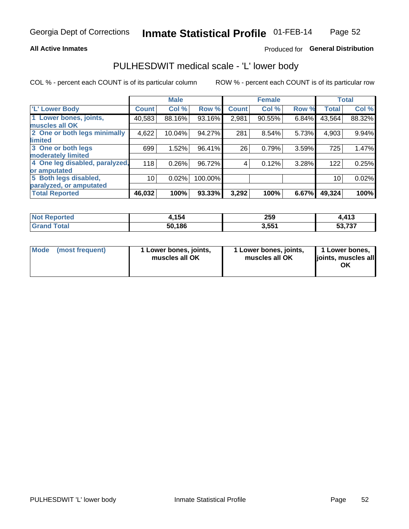#### **All Active Inmates**

### Produced for General Distribution

## PULHESDWIT medical scale - 'L' lower body

COL % - percent each COUNT is of its particular column

|                                |              | <b>Male</b> |         |              | <b>Female</b> |       |              | <b>Total</b> |
|--------------------------------|--------------|-------------|---------|--------------|---------------|-------|--------------|--------------|
| 'L' Lower Body                 | <b>Count</b> | Col %       | Row %   | <b>Count</b> | Col %         | Row % | <b>Total</b> | Col %        |
| 1 Lower bones, joints,         | 40,583       | 88.16%      | 93.16%  | 2,981        | 90.55%        | 6.84% | 43,564       | 88.32%       |
| muscles all OK                 |              |             |         |              |               |       |              |              |
| 2 One or both legs minimally   | 4,622        | 10.04%      | 94.27%  | 281          | 8.54%         | 5.73% | 4,903        | 9.94%        |
| limited                        |              |             |         |              |               |       |              |              |
| 3 One or both legs             | 699          | 1.52%       | 96.41%  | 26           | 0.79%         | 3.59% | 725          | 1.47%        |
| moderately limited             |              |             |         |              |               |       |              |              |
| 4 One leg disabled, paralyzed, | 118          | 0.26%       | 96.72%  | 4            | 0.12%         | 3.28% | 122          | 0.25%        |
| or amputated                   |              |             |         |              |               |       |              |              |
| 5 Both legs disabled,          | 10           | 0.02%       | 100.00% |              |               |       | 10           | 0.02%        |
| paralyzed, or amputated        |              |             |         |              |               |       |              |              |
| <b>Total Reported</b>          | 46,032       | 100%        | 93.33%  | 3,292        | 100%          | 6.67% | 49,324       | 100%         |

| <b>Not Reported</b> | l.154  | 259   | ,413              |
|---------------------|--------|-------|-------------------|
| <b>Total</b>        | 50,186 | 3,551 | よつ フクフ<br>. 1 3 1 |

| Mode (most frequent) | 1 Lower bones, joints,<br>muscles all OK | 1 Lower bones, joints,<br>muscles all OK | 1 Lower bones,<br>joints, muscles all<br>ΟK |
|----------------------|------------------------------------------|------------------------------------------|---------------------------------------------|
|----------------------|------------------------------------------|------------------------------------------|---------------------------------------------|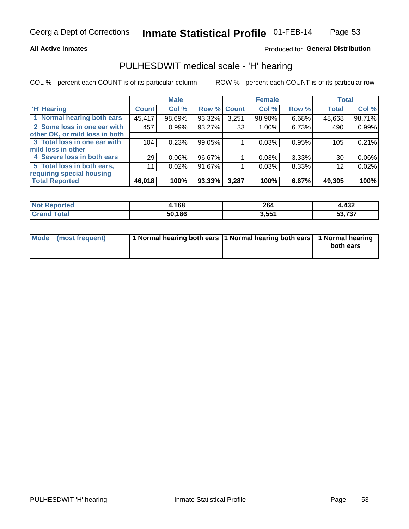#### **All Active Inmates**

### Produced for General Distribution

## PULHESDWIT medical scale - 'H' hearing

COL % - percent each COUNT is of its particular column

|                                |              | <b>Male</b> |        |             | <b>Female</b> |       | <b>Total</b> |        |
|--------------------------------|--------------|-------------|--------|-------------|---------------|-------|--------------|--------|
| <b>'H' Hearing</b>             | <b>Count</b> | Col %       |        | Row % Count | Col %         | Row % | <b>Total</b> | Col %  |
| 1 Normal hearing both ears     | 45,417       | 98.69%      | 93.32% | 3,251       | 98.90%        | 6.68% | 48,668       | 98.71% |
| 2 Some loss in one ear with    | 457          | 0.99%       | 93.27% | 33          | $1.00\%$      | 6.73% | 490          | 0.99%  |
| other OK, or mild loss in both |              |             |        |             |               |       |              |        |
| 3 Total loss in one ear with   | 104          | 0.23%       | 99.05% |             | 0.03%         | 0.95% | 105          | 0.21%  |
| mild loss in other             |              |             |        |             |               |       |              |        |
| 4 Severe loss in both ears     | 29           | 0.06%       | 96.67% |             | 0.03%         | 3.33% | 30           | 0.06%  |
| 5 Total loss in both ears,     | 11           | 0.02%       | 91.67% |             | 0.03%         | 8.33% | 12           | 0.02%  |
| requiring special housing      |              |             |        |             |               |       |              |        |
| <b>Total Reported</b>          | 46,018       | 100%        | 93.33% | 3,287       | 100%          | 6.67% | 49,305       | 100%   |

| <b>Not Reno</b><br>ాorted | .168،  | 264   | 4,432                  |
|---------------------------|--------|-------|------------------------|
| Total                     | 50,186 | 3,551 | ラヘラ<br>-^<br>วง. เ ง เ |

| Mode (most frequent) | 1 Normal hearing both ears 1 Normal hearing both ears 1 Normal hearing | both ears |
|----------------------|------------------------------------------------------------------------|-----------|
|                      |                                                                        |           |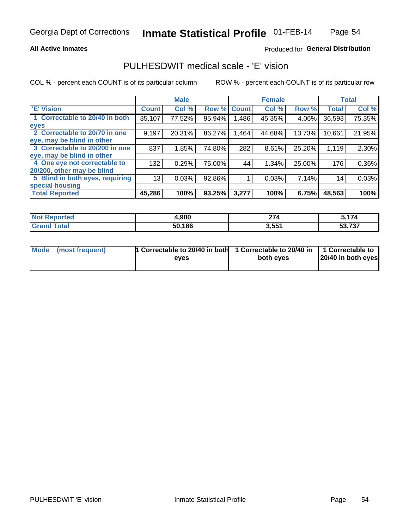#### **All Active Inmates**

### Produced for General Distribution

## PULHESDWIT medical scale - 'E' vision

COL % - percent each COUNT is of its particular column

|                                 |              | <b>Male</b> |        |              | <b>Female</b> |        |              | <b>Total</b> |
|---------------------------------|--------------|-------------|--------|--------------|---------------|--------|--------------|--------------|
| 'E' Vision                      | <b>Count</b> | Col %       | Row %  | <b>Count</b> | Col %         | Row %  | <b>Total</b> | Col %        |
| 1 Correctable to 20/40 in both  | 35,107       | 77.52%      | 95.94% | .486         | 45.35%        | 4.06%  | 36,593       | 75.35%       |
| eyes                            |              |             |        |              |               |        |              |              |
| 2 Correctable to 20/70 in one   | 9,197        | 20.31%      | 86.27% | ,464         | 44.68%        | 13.73% | 10,661       | 21.95%       |
| eye, may be blind in other      |              |             |        |              |               |        |              |              |
| 3 Correctable to 20/200 in one  | 837          | 1.85%       | 74.80% | 282          | 8.61%         | 25.20% | 1,119        | 2.30%        |
| eye, may be blind in other      |              |             |        |              |               |        |              |              |
| 4 One eye not correctable to    | 132          | 0.29%       | 75.00% | 44           | 1.34%         | 25.00% | 176          | 0.36%        |
| 20/200, other may be blind      |              |             |        |              |               |        |              |              |
| 5 Blind in both eyes, requiring | 13           | 0.03%       | 92.86% |              | 0.03%         | 7.14%  | 14           | 0.03%        |
| special housing                 |              |             |        |              |               |        |              |              |
| <b>Total Reported</b>           | 45,286       | 100%        | 93.25% | 3,277        | 100%          | 6.75%  | 48,563       | 100%         |

| <b>Not Reported</b>   | ,900   | 27 <sub>A</sub><br>214 | ;174   |
|-----------------------|--------|------------------------|--------|
| <b>Total</b><br>Grand | 50,186 | 3,551                  | 53,737 |

| Mode (most frequent) | 1 Correctable to 20/40 in both<br>eves | 1 Correctable to 20/40 in   1 Correctable to  <br>both eves | 20/40 in both eyes |
|----------------------|----------------------------------------|-------------------------------------------------------------|--------------------|
|                      |                                        |                                                             |                    |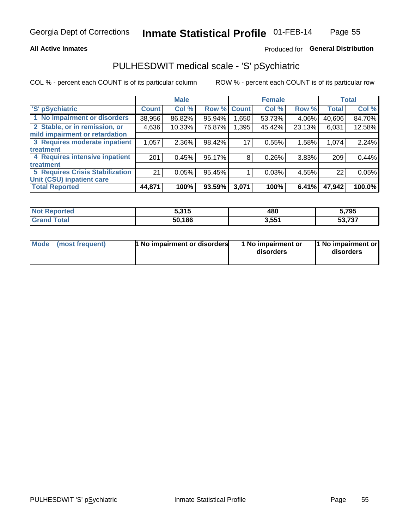### **All Active Inmates**

### Produced for General Distribution

## PULHESDWIT medical scale - 'S' pSychiatric

COL % - percent each COUNT is of its particular column

|                                        |              | <b>Male</b> |        |              | <b>Female</b> |        |              | <b>Total</b> |
|----------------------------------------|--------------|-------------|--------|--------------|---------------|--------|--------------|--------------|
| 'S' pSychiatric                        | <b>Count</b> | Col %       | Row %  | <b>Count</b> | Col %         | Row %  | <b>Total</b> | Col %        |
| 1 No impairment or disorders           | 38,956       | 86.82%      | 95.94% | .650         | 53.73%        | 4.06%  | 40,606       | 84.70%       |
| 2 Stable, or in remission, or          | 4,636        | 10.33%      | 76.87% | ,395         | 45.42%        | 23.13% | 6,031        | 12.58%       |
| mild impairment or retardation         |              |             |        |              |               |        |              |              |
| 3 Requires moderate inpatient          | 1,057        | 2.36%       | 98.42% | 17           | 0.55%         | 1.58%  | 1,074        | 2.24%        |
| treatment                              |              |             |        |              |               |        |              |              |
| 4 Requires intensive inpatient         | 201          | 0.45%       | 96.17% | 8            | 0.26%         | 3.83%  | 209          | 0.44%        |
| treatment                              |              |             |        |              |               |        |              |              |
| <b>5 Requires Crisis Stabilization</b> | 21           | 0.05%       | 95.45% |              | 0.03%         | 4.55%  | 22           | 0.05%        |
| Unit (CSU) inpatient care              |              |             |        |              |               |        |              |              |
| <b>Total Reported</b>                  | 44,871       | 100%        | 93.59% | 3,071        | 100%          | 6.41%  | 47,942       | 100.0%       |

| <b>Not Reported</b> | 5,315  | 480   | 5,795            |
|---------------------|--------|-------|------------------|
| Total<br>Grar       | 50,186 | 3,551 | 52.727<br>33.737 |

| Mode<br>1 No impairment or disorders<br>(most frequent) | 1 No impairment or<br>disorders | 1 No impairment or<br>disorders |
|---------------------------------------------------------|---------------------------------|---------------------------------|
|---------------------------------------------------------|---------------------------------|---------------------------------|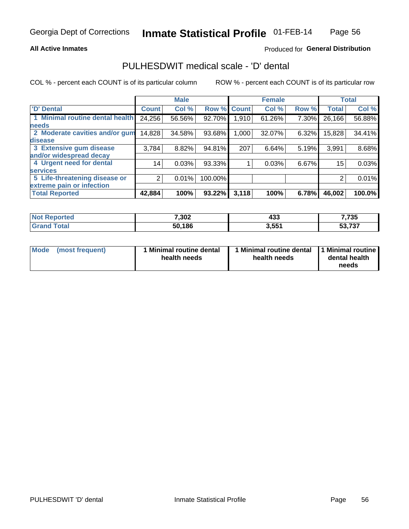#### **All Active Inmates**

### Produced for General Distribution

## PULHESDWIT medical scale - 'D' dental

COL % - percent each COUNT is of its particular column

|                                 |              | <b>Male</b> |         |              | <b>Female</b> |       |              | <b>Total</b> |
|---------------------------------|--------------|-------------|---------|--------------|---------------|-------|--------------|--------------|
| <b>D'</b> Dental                | <b>Count</b> | Col %       | Row %   | <b>Count</b> | Col %         | Row % | <b>Total</b> | Col %        |
| 1 Minimal routine dental health | 24,256       | 56.56%      | 92.70%  | 1,910        | 61.26%        | 7.30% | 26,166       | 56.88%       |
| <b>needs</b>                    |              |             |         |              |               |       |              |              |
| 2 Moderate cavities and/or gum  | 14,828       | 34.58%      | 93.68%  | 1,000        | 32.07%        | 6.32% | 15,828       | 34.41%       |
| disease                         |              |             |         |              |               |       |              |              |
| 3 Extensive gum disease         | 3,784        | 8.82%       | 94.81%  | 207          | 6.64%         | 5.19% | 3,991        | 8.68%        |
| and/or widespread decay         |              |             |         |              |               |       |              |              |
| 4 Urgent need for dental        | 14           | 0.03%       | 93.33%  |              | 0.03%         | 6.67% | 15           | 0.03%        |
| <b>services</b>                 |              |             |         |              |               |       |              |              |
| 5 Life-threatening disease or   | 2            | 0.01%       | 100.00% |              |               |       | 2            | 0.01%        |
| extreme pain or infection       |              |             |         |              |               |       |              |              |
| <b>Total Reported</b>           | 42,884       | 100%        | 93.22%  | 3,118        | 100%          | 6.78% | 46,002       | 100.0%       |

| <b>Not Reported</b>     | 7,302  | ハウク<br>433 | 7,735  |
|-------------------------|--------|------------|--------|
| <b>Total</b><br>' Grand | 50,186 | 3,551      | 53,737 |

| 1 Minimal routine dental<br>Mode<br>(most frequent)<br>health needs | 1 Minimal routine dental 1 Minimal routine<br>health needs | dental health<br>needs |
|---------------------------------------------------------------------|------------------------------------------------------------|------------------------|
|---------------------------------------------------------------------|------------------------------------------------------------|------------------------|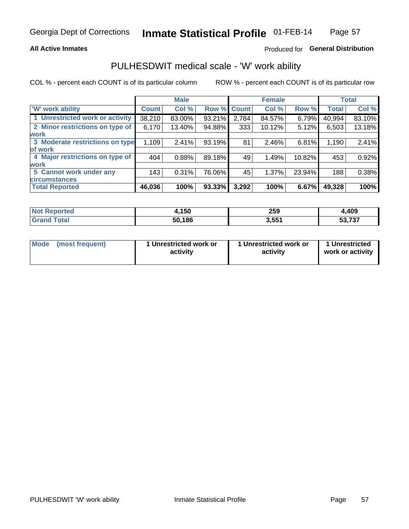### **All Active Inmates**

### Produced for General Distribution

## PULHESDWIT medical scale - 'W' work ability

COL % - percent each COUNT is of its particular column

|                                 |              | <b>Male</b> |        |             | <b>Female</b> |        |              | <b>Total</b> |
|---------------------------------|--------------|-------------|--------|-------------|---------------|--------|--------------|--------------|
| <b>W' work ability</b>          | <b>Count</b> | Col %       |        | Row % Count | Col %         | Row %  | <b>Total</b> | Col %        |
| 1 Unrestricted work or activity | 38,210       | 83.00%      | 93.21% | 2,784       | 84.57%        | 6.79%  | 40,994       | 83.10%       |
| 2 Minor restrictions on type of | 6,170        | 13.40%      | 94.88% | 333         | 10.12%        | 5.12%  | 6,503        | 13.18%       |
| <b>work</b>                     |              |             |        |             |               |        |              |              |
| 3 Moderate restrictions on type | 1,109        | 2.41%       | 93.19% | 81          | 2.46%         | 6.81%  | 1,190        | 2.41%        |
| lof work                        |              |             |        |             |               |        |              |              |
| 4 Major restrictions on type of | 404          | 0.88%       | 89.18% | 49          | 1.49%         | 10.82% | 453          | 0.92%        |
| <b>work</b>                     |              |             |        |             |               |        |              |              |
| 5 Cannot work under any         | 143          | 0.31%       | 76.06% | 45          | 1.37%         | 23.94% | 188          | 0.38%        |
| <b>circumstances</b>            |              |             |        |             |               |        |              |              |
| <b>Total Reported</b>           | 46,036       | 100%        | 93.33% | 3,292       | 100%          | 6.67%  | 49,328       | 100%         |

| <b>Not Reported</b>     | 4,150  | 259   | 409,ا  |
|-------------------------|--------|-------|--------|
| <b>Total</b><br>' Grand | 50,186 | 3,551 | 53,737 |

| Mode            | 1 Unrestricted work or | 1 Unrestricted work or | 1 Unrestricted   |
|-----------------|------------------------|------------------------|------------------|
| (most frequent) | activity               | activity               | work or activity |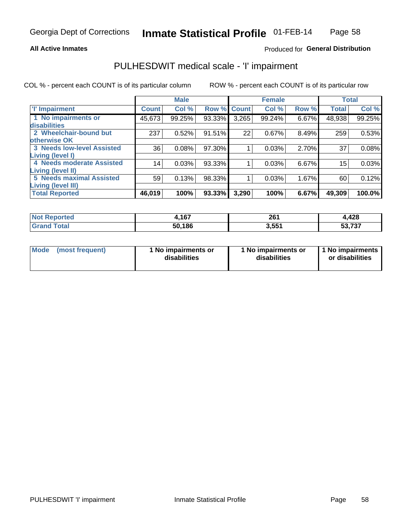#### **All Active Inmates**

### Produced for General Distribution

## PULHESDWIT medical scale - 'I' impairment

COL % - percent each COUNT is of its particular column

|                                   |              | <b>Male</b> |             |       | <b>Female</b> |       |              | <b>Total</b> |
|-----------------------------------|--------------|-------------|-------------|-------|---------------|-------|--------------|--------------|
| <b>T' Impairment</b>              | <b>Count</b> | Col %       | Row % Count |       | Col %         | Row % | <b>Total</b> | Col %        |
| 1 No impairments or               | 45,673       | 99.25%      | 93.33%      | 3,265 | 99.24%        | 6.67% | 48,938       | 99.25%       |
| disabilities                      |              |             |             |       |               |       |              |              |
| 2 Wheelchair-bound but            | 237          | 0.52%       | 91.51%      | 22    | 0.67%         | 8.49% | 259          | 0.53%        |
| otherwise OK                      |              |             |             |       |               |       |              |              |
| <b>3 Needs low-level Assisted</b> | 36           | 0.08%       | 97.30%      |       | 0.03%         | 2.70% | 37           | 0.08%        |
| Living (level I)                  |              |             |             |       |               |       |              |              |
| 4 Needs moderate Assisted         | 14           | 0.03%       | 93.33%      |       | 0.03%         | 6.67% | 15           | 0.03%        |
| Living (level II)                 |              |             |             |       |               |       |              |              |
| <b>5 Needs maximal Assisted</b>   | 59           | 0.13%       | 98.33%      |       | 0.03%         | 1.67% | 60           | 0.12%        |
| Living (level III)                |              |             |             |       |               |       |              |              |
| <b>Total Reported</b>             | 46,019       | 100%        | 93.33%      | 3,290 | 100%          | 6.67% | 49,309       | 100.0%       |

| <b>Not</b><br>Reported | ,167   | 261<br>____       | 4,428             |
|------------------------|--------|-------------------|-------------------|
| Total                  | 50,186 | 3,55 <sup>4</sup> | ラヘラ<br>ວວ.<br>ى ، |

| <b>Mode</b> | (most frequent) | <b>No impairments or</b><br>disabilities | 1 No impairments or<br>disabilities | 1 No impairments<br>or disabilities |
|-------------|-----------------|------------------------------------------|-------------------------------------|-------------------------------------|
|-------------|-----------------|------------------------------------------|-------------------------------------|-------------------------------------|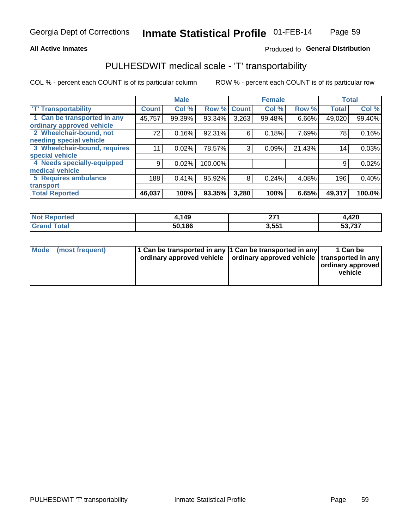#### **All Active Inmates**

### Produced fo General Distribution

## PULHESDWIT medical scale - 'T' transportability

COL % - percent each COUNT is of its particular column

|                              |                    | <b>Male</b> |         |              | <b>Female</b> |        |              | <b>Total</b> |
|------------------------------|--------------------|-------------|---------|--------------|---------------|--------|--------------|--------------|
| <b>T' Transportability</b>   | Count <sup>!</sup> | Col %       | Row %   | <b>Count</b> | Col %         | Row %  | <b>Total</b> | Col %        |
| 1 Can be transported in any  | 45,757             | 99.39%      | 93.34%  | 3,263        | 99.48%        | 6.66%  | 49,020       | 99.40%       |
| ordinary approved vehicle    |                    |             |         |              |               |        |              |              |
| 2 Wheelchair-bound, not      | 72                 | 0.16%       | 92.31%  | 6            | 0.18%         | 7.69%  | 78           | 0.16%        |
| needing special vehicle      |                    |             |         |              |               |        |              |              |
| 3 Wheelchair-bound, requires | 11                 | 0.02%       | 78.57%  | 3            | 0.09%         | 21.43% | 14           | 0.03%        |
| special vehicle              |                    |             |         |              |               |        |              |              |
| 4 Needs specially-equipped   | 9                  | 0.02%       | 100.00% |              |               |        | 9            | 0.02%        |
| medical vehicle              |                    |             |         |              |               |        |              |              |
| <b>5 Requires ambulance</b>  | 188                | 0.41%       | 95.92%  | 8            | 0.24%         | 4.08%  | 196          | 0.40%        |
| transport                    |                    |             |         |              |               |        |              |              |
| <b>Total Reported</b>        | 46,037             | 100%        | 93.35%  | 3,280        | 100%          | 6.65%  | 49,317       | 100.0%       |

| <b>Not</b><br>Reported | ,149   | ヘライ                | 4,420               |
|------------------------|--------|--------------------|---------------------|
| Total                  | 50,186 | 551<br><b>.</b> ບບ | . 707<br>ວວ.<br>، ت |

|  | Mode (most frequent) | 1 Can be transported in any 1 Can be transported in any<br>ordinary approved vehicle   ordinary approved vehicle   transported in any |  | 1 Can be<br>  ordinary approved  <br>vehicle |
|--|----------------------|---------------------------------------------------------------------------------------------------------------------------------------|--|----------------------------------------------|
|--|----------------------|---------------------------------------------------------------------------------------------------------------------------------------|--|----------------------------------------------|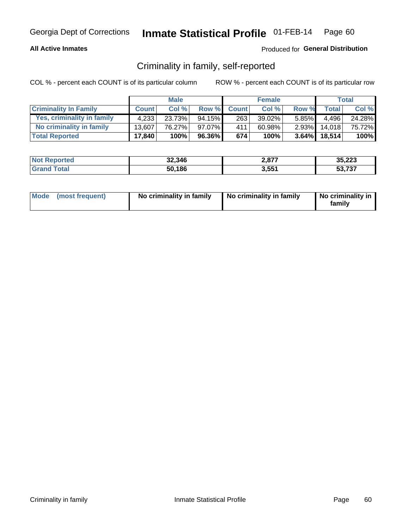### **All Active Inmates**

### Produced for General Distribution

## Criminality in family, self-reported

COL % - percent each COUNT is of its particular column

|                              |              | <b>Male</b> |        |              | <b>Female</b> |          |              | <b>Total</b> |
|------------------------------|--------------|-------------|--------|--------------|---------------|----------|--------------|--------------|
| <b>Criminality In Family</b> | <b>Count</b> | Col%        | Row %  | <b>Count</b> | Col %         | Row %    | <b>Total</b> | Col %        |
| Yes, criminality in family   | 4.233        | 23.73%      | 94.15% | 263          | 39.02%        | $5.85\%$ | 4.496        | 24.28%       |
| No criminality in family     | 13.607       | 76.27%      | 97.07% | 411          | 60.98%        | $2.93\%$ | 14.018       | 75.72%       |
| <b>Total Reported</b>        | 17,840       | 100%        | 96.36% | 674          | 100%          |          | 3.64% 18,514 | 100%         |

| <b>Not</b><br>Reported | 32,346 | 2077<br>2,07 | 35,223                 |
|------------------------|--------|--------------|------------------------|
| <b>ota</b>             | 50,186 | 3,551        | より フクフ<br>، ت<br>- 1.3 |

|  | Mode (most frequent) | No criminality in family | No criminality in family | No criminality in<br>family |
|--|----------------------|--------------------------|--------------------------|-----------------------------|
|--|----------------------|--------------------------|--------------------------|-----------------------------|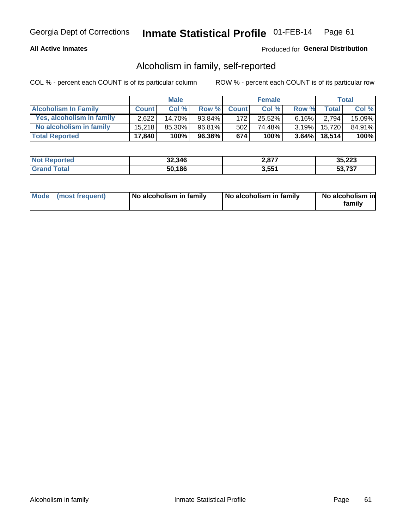### **All Active Inmates**

### Produced for General Distribution

## Alcoholism in family, self-reported

COL % - percent each COUNT is of its particular column

|                             |              | <b>Male</b> |        |              | <b>Female</b> |          |                    | Total   |
|-----------------------------|--------------|-------------|--------|--------------|---------------|----------|--------------------|---------|
| <b>Alcoholism In Family</b> | <b>Count</b> | Col%        | Row %  | <b>Count</b> | Col %         | Row %    | <b>Total</b>       | Col %   |
| Yes, alcoholism in family   | 2.622        | 14.70%      | 93.84% | 172          | 25.52%        | $6.16\%$ | 2.794 <sub>1</sub> | 15.09%  |
| No alcoholism in family     | 15.218       | 85.30%      | 96.81% | 502          | 74.48%        | $3.19\%$ | 15.720             | 84.91%  |
| <b>Total Reported</b>       | 17,840       | 100%        | 96.36% | 674          | 100%          |          | $3.64\%$ 18,514    | $100\%$ |

| <b>Not Reported</b>     | 32,346 | 2,877 | 35,223               |
|-------------------------|--------|-------|----------------------|
| <b>Total</b><br>l Grand | 50,186 | 3,551 | より フクフ<br>751<br>эə. |

|  | Mode (most frequent) | No alcoholism in family | No alcoholism in family | No alcoholism in<br>family |
|--|----------------------|-------------------------|-------------------------|----------------------------|
|--|----------------------|-------------------------|-------------------------|----------------------------|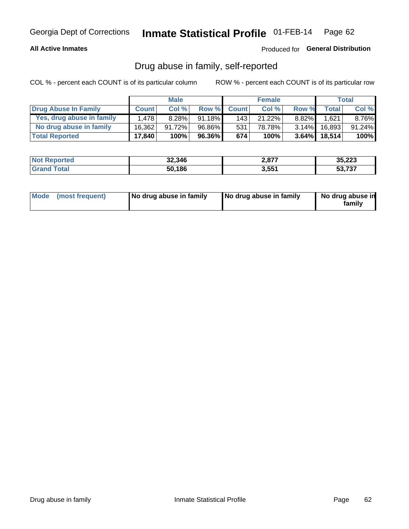### **All Active Inmates**

### Produced for General Distribution

## Drug abuse in family, self-reported

COL % - percent each COUNT is of its particular column

|                           |              | <b>Male</b> |           |              | <b>Female</b> |          |              | Total     |
|---------------------------|--------------|-------------|-----------|--------------|---------------|----------|--------------|-----------|
| Drug Abuse In Family      | <b>Count</b> | Col %       | Row %     | <b>Count</b> | Col %         | Row %    | Total        | Col %     |
| Yes, drug abuse in family | 1.478        | 8.28%       | $91.18\%$ | 143          | 21.22%        | $8.82\%$ | 1,621        | 8.76%     |
| No drug abuse in family   | 16.362       | 91.72%      | 96.86%    | 531          | 78.78%        | $3.14\%$ | 16,893       | $91.24\%$ |
| <b>Total Reported</b>     | 17,840       | 100%        | 96.36%    | 674          | 100%          |          | 3.64% 18,514 | $100\%$   |

| <b>Not Reported</b> | 32,346 | $2,87^{7}$ | 35,223 |
|---------------------|--------|------------|--------|
| <b>Grand Total</b>  | 50,186 | 3.551      | 53.737 |

|  | Mode (most frequent) | No drug abuse in family | No drug abuse in family | No drug abuse in<br>familv |
|--|----------------------|-------------------------|-------------------------|----------------------------|
|--|----------------------|-------------------------|-------------------------|----------------------------|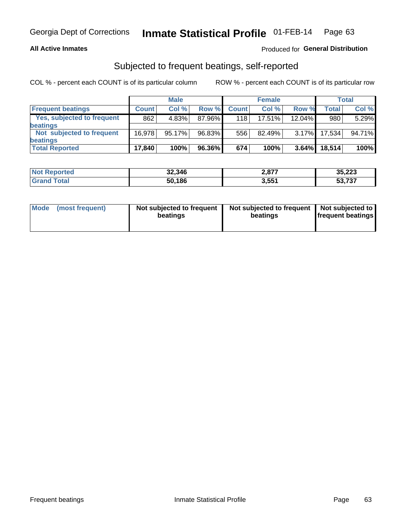#### **All Active Inmates**

### Produced for General Distribution

## Subjected to frequent beatings, self-reported

COL % - percent each COUNT is of its particular column

|                            |              | <b>Male</b> |        |              | <b>Female</b> |          |              | Total  |
|----------------------------|--------------|-------------|--------|--------------|---------------|----------|--------------|--------|
| <b>Frequent beatings</b>   | <b>Count</b> | Col %       | Row %  | <b>Count</b> | Col %         | Row %    | <b>Total</b> | Col %  |
| Yes, subjected to frequent | 862          | 4.83%       | 87.96% | 118          | $17.51\%$     | 12.04%   | 980          | 5.29%  |
| beatings                   |              |             |        |              |               |          |              |        |
| Not subjected to frequent  | 16.978       | 95.17%      | 96.83% | 556          | 82.49%        | $3.17\%$ | 17.534       | 94.71% |
| beatings                   |              |             |        |              |               |          |              |        |
| <b>Total Reported</b>      | 17,840       | 100%        | 96.36% | 674          | 100%          | 3.64%    | 18,514       | 100%   |

| <b>Not</b><br>Reported | 32,346 | <b>2077</b><br>2,077 | 35,223 |
|------------------------|--------|----------------------|--------|
| Total                  | 50,186 | 3,551                | 53,737 |

| Mode (most frequent) | Not subjected to frequent<br>beatings | Not subjected to frequent<br>beatings | Not subjected to<br><b>frequent beatings</b> |
|----------------------|---------------------------------------|---------------------------------------|----------------------------------------------|
|                      |                                       |                                       |                                              |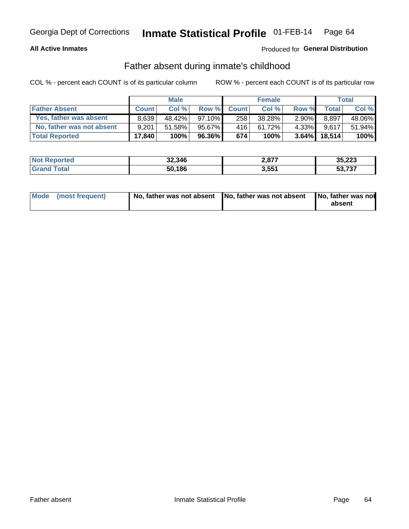### **All Active Inmates**

### **Produced for General Distribution**

## Father absent during inmate's childhood

COL % - percent each COUNT is of its particular column

|                           |              | <b>Male</b> |           |              | <b>Female</b> |          |        | <b>Total</b> |
|---------------------------|--------------|-------------|-----------|--------------|---------------|----------|--------|--------------|
| <b>Father Absent</b>      | <b>Count</b> | Col%        | Row %     | <b>Count</b> | Col %         | Row %    | Total  | Col %        |
| Yes, father was absent    | 8.639        | 48.42%      | $97.10\%$ | 258          | 38.28%        | $2.90\%$ | 8,897  | 48.06%       |
| No, father was not absent | 9.201        | 51.58%      | 95.67%    | 416          | 61.72%        | 4.33%I   | 9.617  | 51.94%       |
| <b>Total Reported</b>     | 17,840       | 100%        | 96.36%I   | 674          | 100%          | $3.64\%$ | 18,514 | 100%         |

| <b>Not Reported</b> | 32,346 | 2,877 | 35,223 |
|---------------------|--------|-------|--------|
| <b>Grand Total</b>  | 50,186 | 3,551 | 53.737 |

|  | Mode (most frequent) |  | No, father was not absent No, father was not absent No, father was not | absent |
|--|----------------------|--|------------------------------------------------------------------------|--------|
|--|----------------------|--|------------------------------------------------------------------------|--------|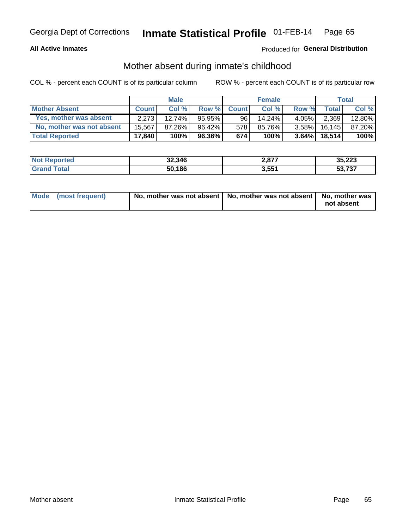### **All Active Inmates**

### Produced for General Distribution

## Mother absent during inmate's childhood

COL % - percent each COUNT is of its particular column

|                           | <b>Male</b>  |        |           | <b>Female</b> |        |          | Total        |        |
|---------------------------|--------------|--------|-----------|---------------|--------|----------|--------------|--------|
| <b>Mother Absent</b>      | <b>Count</b> | Col%   | Row %     | <b>Count</b>  | Col %  | Row %    | <b>Total</b> | Col %  |
| Yes, mother was absent    | 2.273        | 12.74% | $95.95\%$ | 96            | 14.24% | $4.05\%$ | 2,369        | 12.80% |
| No, mother was not absent | 15.567       | 87.26% | 96.42%    | 578           | 85.76% | $3.58\%$ | 16.145       | 87.20% |
| <b>Total Reported</b>     | 17,840       | 100%   | $96.36\%$ | 674           | 100%   | $3.64\%$ | 18.514       | 100%   |

| <b>Not Reported</b> | 32,346 | 2,877 | 35,223            |
|---------------------|--------|-------|-------------------|
| Total<br>l Grand T  | 50,186 | 3,551 | より フクフ<br>. 1 3 1 |

| Mode (most frequent) | No, mother was not absent   No, mother was not absent   No, mother was | not absent |
|----------------------|------------------------------------------------------------------------|------------|
|                      |                                                                        |            |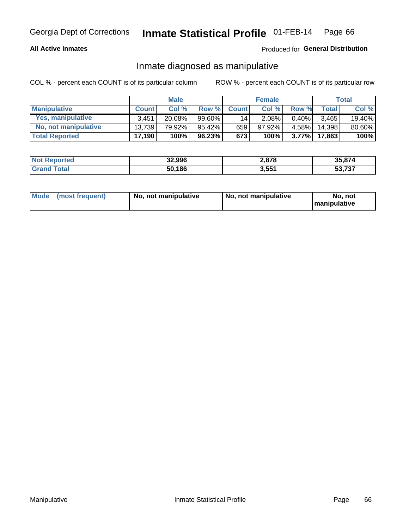### **All Active Inmates**

### Produced for General Distribution

## Inmate diagnosed as manipulative

COL % - percent each COUNT is of its particular column

|                       | <b>Male</b>  |        |           | <b>Female</b> |          |          | Total        |        |
|-----------------------|--------------|--------|-----------|---------------|----------|----------|--------------|--------|
| <b>Manipulative</b>   | <b>Count</b> | Col %  | Row %     | <b>Count</b>  | Col%     | Row %    | <b>Total</b> | Col %  |
| Yes, manipulative     | 3.451        | 20.08% | 99.60%    | 141           | $2.08\%$ | 0.40%    | 3.465        | 19.40% |
| No, not manipulative  | 13.739       | 79.92% | $95.42\%$ | 659           | 97.92%   | 4.58%I   | 14.398       | 80.60% |
| <b>Total Reported</b> | 17,190       | 100%   | $96.23\%$ | 673           | 100%     | $3.77\%$ | 17.863       | 100%   |

| <b>Not</b><br>Reported | 32,996 | 2,878 | 35.874                  |
|------------------------|--------|-------|-------------------------|
| ota                    | 50,186 | 3,551 | フクフ<br>-0<br>უკ<br>,731 |

| Mode | (most frequent) | No, not manipulative | No, not manipulative | No. not<br><b>I</b> manipulative |
|------|-----------------|----------------------|----------------------|----------------------------------|
|------|-----------------|----------------------|----------------------|----------------------------------|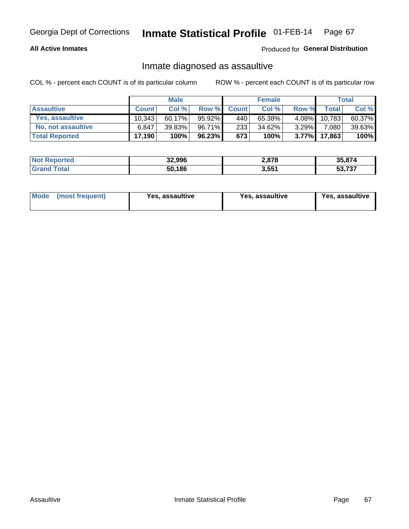### **All Active Inmates**

Produced for General Distribution

## Inmate diagnosed as assaultive

COL % - percent each COUNT is of its particular column

|                        | <b>Male</b>  |           |        | <b>Female</b> |         |          | Total        |        |
|------------------------|--------------|-----------|--------|---------------|---------|----------|--------------|--------|
| <b>Assaultive</b>      | <b>Count</b> | Col%      | Row %  | <b>Count</b>  | Col %   | Row %    | <b>Total</b> | Col %  |
| <b>Yes, assaultive</b> | 10.343       | $60.17\%$ | 95.92% | 440           | 65.38%  | $4.08\%$ | 10,783       | 60.37% |
| No, not assaultive     | 6.847        | 39.83%    | 96.71% | 233           | 34.62%  | $3.29\%$ | 7,080        | 39.63% |
| <b>Total Reported</b>  | 17,190       | 100%      | 96.23% | 673           | $100\%$ | $3.77\%$ | 17,863       | 100%   |

| <b>Not Reported</b> | 32,996 | 2,878 | 35.874                   |
|---------------------|--------|-------|--------------------------|
| ⊺ota                | 50,186 | 3,551 | より フクフ<br>55.5.<br>، ت ا |

| Mode (most frequent)<br>Yes, assaultive | Yes, assaultive | <b>Yes, assaultive</b> |
|-----------------------------------------|-----------------|------------------------|
|-----------------------------------------|-----------------|------------------------|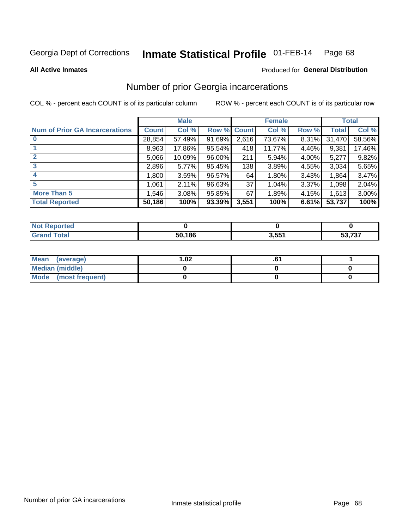#### Inmate Statistical Profile 01-FEB-14 Page 68

**All Active Inmates** 

### **Produced for General Distribution**

## Number of prior Georgia incarcerations

COL % - percent each COUNT is of its particular column

|                                       |              | <b>Male</b> |        |             | <b>Female</b> |       |        | <b>Total</b> |
|---------------------------------------|--------------|-------------|--------|-------------|---------------|-------|--------|--------------|
| <b>Num of Prior GA Incarcerations</b> | <b>Count</b> | Col %       |        | Row % Count | Col %         | Row % | Total  | Col %        |
| $\bf{0}$                              | 28,854       | 57.49%      | 91.69% | 2,616       | 73.67%        | 8.31% | 31,470 | 58.56%       |
|                                       | 8,963        | 17.86%      | 95.54% | 418         | 11.77%        | 4.46% | 9,381  | 17.46%       |
| $\mathbf{2}$                          | 5,066        | 10.09%      | 96.00% | 211         | 5.94%         | 4.00% | 5,277  | 9.82%        |
| 3                                     | 2,896        | 5.77%       | 95.45% | 138         | 3.89%         | 4.55% | 3,034  | 5.65%        |
| 4                                     | 1,800        | 3.59%       | 96.57% | 64          | 1.80%         | 3.43% | 1,864  | 3.47%        |
| 5                                     | 1,061        | 2.11%       | 96.63% | 37          | 1.04%         | 3.37% | 1,098  | 2.04%        |
| <b>More Than 5</b>                    | 1,546        | 3.08%       | 95.85% | 67          | 1.89%         | 4.15% | 1,613  | 3.00%        |
| <b>Total Reported</b>                 | 50,186       | 100%        | 93.39% | 3,551       | 100%          | 6.61% | 53,737 | 100%         |

| <b>Not</b><br>Reported |        |       |        |
|------------------------|--------|-------|--------|
| Total<br>∵Granu        | 50,186 | 3,551 | 53,737 |

| Mean (average)       | 1.02 | ט. |  |
|----------------------|------|----|--|
| Median (middle)      |      |    |  |
| Mode (most frequent) |      |    |  |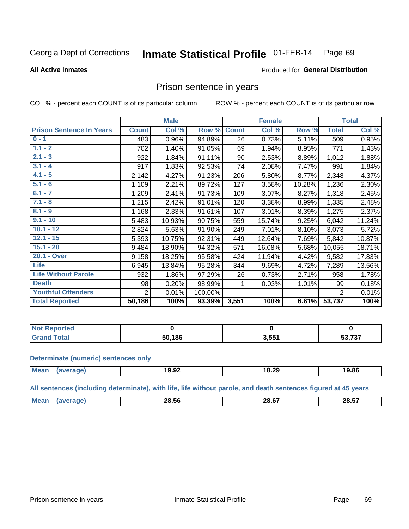#### Inmate Statistical Profile 01-FEB-14 Page 69

#### **All Active Inmates**

#### Produced for General Distribution

### Prison sentence in years

COL % - percent each COUNT is of its particular column

ROW % - percent each COUNT is of its particular row

|                                 | <b>Male</b>    |        |         | <b>Female</b>   |        |        | <b>Total</b>   |        |
|---------------------------------|----------------|--------|---------|-----------------|--------|--------|----------------|--------|
| <b>Prison Sentence In Years</b> | <b>Count</b>   | Col %  | Row %   | <b>Count</b>    | Col %  | Row %  | <b>Total</b>   | Col %  |
| $0 - 1$                         | 483            | 0.96%  | 94.89%  | $\overline{26}$ | 0.73%  | 5.11%  | 509            | 0.95%  |
| $1.1 - 2$                       | 702            | 1.40%  | 91.05%  | 69              | 1.94%  | 8.95%  | 771            | 1.43%  |
| $2.1 - 3$                       | 922            | 1.84%  | 91.11%  | 90 <sup>°</sup> | 2.53%  | 8.89%  | 1,012          | 1.88%  |
| $3.1 - 4$                       | 917            | 1.83%  | 92.53%  | 74              | 2.08%  | 7.47%  | 991            | 1.84%  |
| $4.1 - 5$                       | 2,142          | 4.27%  | 91.23%  | 206             | 5.80%  | 8.77%  | 2,348          | 4.37%  |
| $5.1 - 6$                       | 1,109          | 2.21%  | 89.72%  | 127             | 3.58%  | 10.28% | 1,236          | 2.30%  |
| $6.1 - 7$                       | 1,209          | 2.41%  | 91.73%  | 109             | 3.07%  | 8.27%  | 1,318          | 2.45%  |
| $7.1 - 8$                       | 1,215          | 2.42%  | 91.01%  | 120             | 3.38%  | 8.99%  | 1,335          | 2.48%  |
| $8.1 - 9$                       | 1,168          | 2.33%  | 91.61%  | 107             | 3.01%  | 8.39%  | 1,275          | 2.37%  |
| $9.1 - 10$                      | 5,483          | 10.93% | 90.75%  | 559             | 15.74% | 9.25%  | 6,042          | 11.24% |
| $10.1 - 12$                     | 2,824          | 5.63%  | 91.90%  | 249             | 7.01%  | 8.10%  | 3,073          | 5.72%  |
| $12.1 - 15$                     | 5,393          | 10.75% | 92.31%  | 449             | 12.64% | 7.69%  | 5,842          | 10.87% |
| $15.1 - 20$                     | 9,484          | 18.90% | 94.32%  | 571             | 16.08% | 5.68%  | 10,055         | 18.71% |
| 20.1 - Over                     | 9,158          | 18.25% | 95.58%  | 424             | 11.94% | 4.42%  | 9,582          | 17.83% |
| <b>Life</b>                     | 6,945          | 13.84% | 95.28%  | 344             | 9.69%  | 4.72%  | 7,289          | 13.56% |
| <b>Life Without Parole</b>      | 932            | 1.86%  | 97.29%  | 26              | 0.73%  | 2.71%  | 958            | 1.78%  |
| <b>Death</b>                    | 98             | 0.20%  | 98.99%  | 1               | 0.03%  | 1.01%  | 99             | 0.18%  |
| <b>Youthful Offenders</b>       | $\overline{2}$ | 0.01%  | 100.00% |                 |        |        | $\overline{2}$ | 0.01%  |
| <b>Total Reported</b>           | 50,186         | 100%   | 93.39%  | 3,551           | 100%   | 6.61%  | 53,737         | 100%   |

| <b>NOT</b><br>portea |            |       |        |  |
|----------------------|------------|-------|--------|--|
|                      | .186<br>50 | 3.551 | דמד מ' |  |

#### **Determinate (numeric) sentences only**

| <b>Mean</b> | 19.92 | 18.29 | 19.86 |
|-------------|-------|-------|-------|
|             |       |       |       |

All sentences (including determinate), with life, life without parole, and death sentences figured at 45 years

| OO EC<br>'Me.<br>.-<br>$\sim$<br>ററ<br>הה<br>28.J <i>I</i><br>. nr<br>_____<br>____<br>___ |  |  |  |
|--------------------------------------------------------------------------------------------|--|--|--|
|                                                                                            |  |  |  |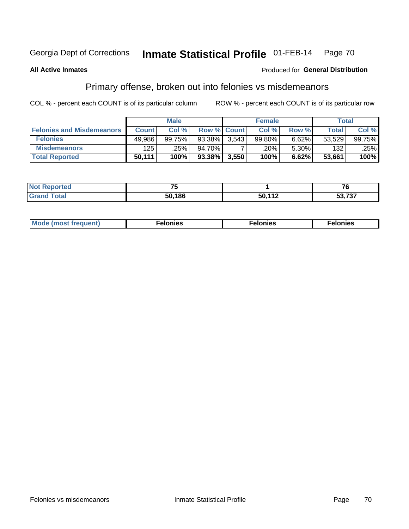#### Inmate Statistical Profile 01-FEB-14 Page 70

#### **All Active Inmates**

#### Produced for General Distribution

## Primary offense, broken out into felonies vs misdemeanors

COL % - percent each COUNT is of its particular column

|                                  | <b>Male</b>  |        |           | <b>Female</b>      |        |       | Total  |                 |
|----------------------------------|--------------|--------|-----------|--------------------|--------|-------|--------|-----------------|
| <b>Felonies and Misdemeanors</b> | <b>Count</b> | Col%   |           | <b>Row % Count</b> | Col%   | Row % | Total, | Col %           |
| <b>Felonies</b>                  | 49,986       | 99.75% | 93.38%    | 3.543              | 99.80% | 6.62% | 53,529 | 99.75% <b>I</b> |
| <b>Misdemeanors</b>              | 125          | .25%   | 94.70%    |                    | .20%   | 5.30% | 132    | .25%            |
| <b>Total Reported</b>            | 50,111       | 100%   | $93.38\%$ | 3,550              | 100%   | 6.62% | 53,661 | 100%            |

| <b>Not Reported</b>   | - -    |        | -~                    |  |
|-----------------------|--------|--------|-----------------------|--|
| Total<br><b>Grand</b> | 50.186 | 50,112 | דמד מ<br><b>JJ,7J</b> |  |

| Mo | ____ | 11 C.S<br>. | onies<br>. |
|----|------|-------------|------------|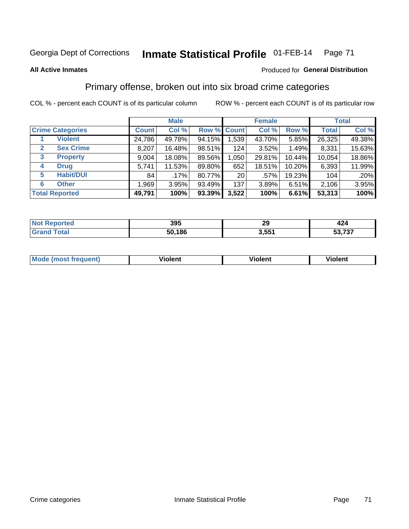## Georgia Dept of Corrections **Inmate Statistical Profile** 01-FEB-14 Page 71

#### **All Active Inmates**

### Produced for **General Distribution**

## Primary offense, broken out into six broad crime categories

COL % - percent each COUNT is of its particular column ROW % - percent each COUNT is of its particular row

|                         | <b>Male</b>  |        |           | <b>Female</b>   |        |        | <b>Total</b> |        |
|-------------------------|--------------|--------|-----------|-----------------|--------|--------|--------------|--------|
| <b>Crime Categories</b> | <b>Count</b> | Col %  |           | Row % Count     | Col %  | Row %  | <b>Total</b> | Col %  |
| <b>Violent</b>          | 24,786       | 49.78% | 94.15%    | 1,539           | 43.70% | 5.85%  | 26,325       | 49.38% |
| <b>Sex Crime</b><br>2   | 8,207        | 16.48% | 98.51%    | 124             | 3.52%  | 1.49%  | 8,331        | 15.63% |
| 3<br><b>Property</b>    | 9,004        | 18.08% | 89.56%    | 1,050           | 29.81% | 10.44% | 10,054       | 18.86% |
| <b>Drug</b><br>4        | 5,741        | 11.53% | 89.80%    | 652             | 18.51% | 10.20% | 6,393        | 11.99% |
| <b>Habit/DUI</b><br>5   | 84           | .17%   | 80.77%    | 20 <sub>1</sub> | .57%   | 19.23% | 104          | .20%   |
| <b>Other</b><br>6       | 1,969        | 3.95%  | 93.49%    | 137             | 3.89%  | 6.51%  | 2,106        | 3.95%  |
| <b>Total Reported</b>   | 49,791       | 100%   | $93.39\%$ | 3,522           | 100%   | 6.61%  | 53,313       | 100%   |

| onteo       | 395    | ററ<br>- 3     | 424<br>$ -$  |
|-------------|--------|---------------|--------------|
| <b>otal</b> | 50,186 | 2 GG1<br>J.JJ | ラヘラ<br>וט וי |

| Mc | .<br>$\cdots$ | VIOIEM |
|----|---------------|--------|
|    |               |        |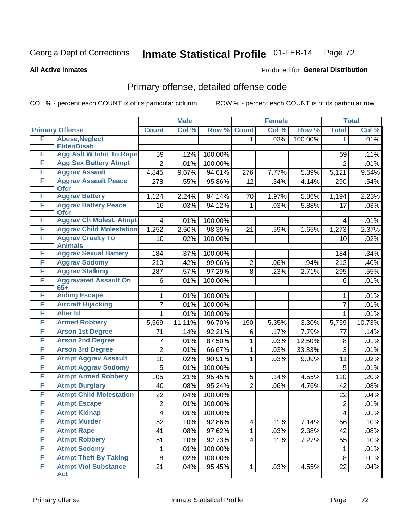## Georgia Dept of Corrections **Inmate Statistical Profile** 01-FEB-14 Page 72

**All Active Inmates**

### Produced for **General Distribution**

## Primary offense, detailed offense code

COL % - percent each COUNT is of its particular column ROW % - percent each COUNT is of its particular row

|   |                                            |                         | <b>Male</b> |         |                | <b>Female</b> |         |                | <b>Total</b> |
|---|--------------------------------------------|-------------------------|-------------|---------|----------------|---------------|---------|----------------|--------------|
|   | <b>Primary Offense</b>                     | <b>Count</b>            | Col %       | Row %   | <b>Count</b>   | Col %         | Row %   | <b>Total</b>   | Col %        |
| F | <b>Abuse, Neglect</b>                      |                         |             |         | 1              | .03%          | 100.00% | 1              | .01%         |
|   | <b>Elder/Disab</b>                         |                         |             |         |                |               |         |                |              |
| F | <b>Agg Aslt W Intnt To Rape</b>            | 59                      | .12%        | 100.00% |                |               |         | 59             | .11%         |
| F | <b>Agg Sex Battery Atmpt</b>               | $\overline{2}$          | .01%        | 100.00% |                |               |         | $\overline{2}$ | .01%         |
| F | <b>Aggrav Assault</b>                      | 4,845                   | 9.67%       | 94.61%  | 276            | 7.77%         | 5.39%   | 5,121          | 9.54%        |
| F | <b>Aggrav Assault Peace</b><br><b>Ofcr</b> | 278                     | .55%        | 95.86%  | 12             | .34%          | 4.14%   | 290            | .54%         |
| F | <b>Aggrav Battery</b>                      | 1,124                   | 2.24%       | 94.14%  | 70             | 1.97%         | 5.86%   | 1,194          | 2.23%        |
| F | <b>Aggrav Battery Peace</b><br><b>Ofcr</b> | 16                      | .03%        | 94.12%  | 1              | .03%          | 5.88%   | 17             | .03%         |
| F | <b>Aggrav Ch Molest, Atmpt</b>             | $\overline{4}$          | .01%        | 100.00% |                |               |         | 4              | .01%         |
| F | <b>Aggrav Child Molestation</b>            | 1,252                   | 2.50%       | 98.35%  | 21             | .59%          | 1.65%   | 1,273          | 2.37%        |
| F | <b>Aggrav Cruelty To</b>                   | 10                      | .02%        | 100.00% |                |               |         | 10             | .02%         |
|   | <b>Animals</b>                             |                         |             |         |                |               |         |                |              |
| F | <b>Aggrav Sexual Battery</b>               | 184                     | .37%        | 100.00% |                |               |         | 184            | .34%         |
| F | <b>Aggrav Sodomy</b>                       | 210                     | .42%        | 99.06%  | $\overline{2}$ | .06%          | .94%    | 212            | .40%         |
| F | <b>Aggrav Stalking</b>                     | 287                     | .57%        | 97.29%  | 8              | .23%          | 2.71%   | 295            | .55%         |
| F | <b>Aggravated Assault On</b><br>$65+$      | 6                       | .01%        | 100.00% |                |               |         | 6              | .01%         |
| F | <b>Aiding Escape</b>                       | 1                       | .01%        | 100.00% |                |               |         | 1              | .01%         |
| F | <b>Aircraft Hijacking</b>                  | 7                       | .01%        | 100.00% |                |               |         | $\overline{7}$ | .01%         |
| F | <b>Alter Id</b>                            | 1                       | .01%        | 100.00% |                |               |         | 1              | .01%         |
| F | <b>Armed Robbery</b>                       | 5,569                   | 11.11%      | 96.70%  | 190            | 5.35%         | 3.30%   | 5,759          | 10.73%       |
| F | <b>Arson 1st Degree</b>                    | 71                      | .14%        | 92.21%  | 6              | .17%          | 7.79%   | 77             | .14%         |
| F | <b>Arson 2nd Degree</b>                    | 7                       | .01%        | 87.50%  | 1              | .03%          | 12.50%  | 8              | .01%         |
| F | <b>Arson 3rd Degree</b>                    | $\overline{2}$          | .01%        | 66.67%  | 1              | .03%          | 33.33%  | 3              | .01%         |
| F | <b>Atmpt Aggrav Assault</b>                | 10                      | .02%        | 90.91%  | 1              | .03%          | 9.09%   | 11             | .02%         |
| F | <b>Atmpt Aggrav Sodomy</b>                 | 5                       | .01%        | 100.00% |                |               |         | 5              | .01%         |
| F | <b>Atmpt Armed Robbery</b>                 | 105                     | .21%        | 95.45%  | 5              | .14%          | 4.55%   | 110            | .20%         |
| F | <b>Atmpt Burglary</b>                      | 40                      | .08%        | 95.24%  | $\overline{2}$ | .06%          | 4.76%   | 42             | .08%         |
| F | <b>Atmpt Child Molestation</b>             | 22                      | .04%        | 100.00% |                |               |         | 22             | .04%         |
| F | <b>Atmpt Escape</b>                        | 2                       | .01%        | 100.00% |                |               |         | $\overline{2}$ | .01%         |
| F | <b>Atmpt Kidnap</b>                        | $\overline{\mathbf{4}}$ | .01%        | 100.00% |                |               |         | 4              | .01%         |
| F | <b>Atmpt Murder</b>                        | 52                      | .10%        | 92.86%  | 4              | .11%          | 7.14%   | 56             | .10%         |
| F | <b>Atmpt Rape</b>                          | 41                      | .08%        | 97.62%  | 1              | .03%          | 2.38%   | 42             | .08%         |
| F | <b>Atmpt Robbery</b>                       | 51                      | .10%        | 92.73%  | 4              | .11%          | 7.27%   | 55             | .10%         |
| F | <b>Atmpt Sodomy</b>                        | 1                       | .01%        | 100.00% |                |               |         | 1.             | .01%         |
| F | <b>Atmpt Theft By Taking</b>               | 8                       | .02%        | 100.00% |                |               |         | 8              | .01%         |
| F | <b>Atmpt Viol Substance</b>                | 21                      | .04%        | 95.45%  | 1              | .03%          | 4.55%   | 22             | .04%         |
|   | <b>Act</b>                                 |                         |             |         |                |               |         |                |              |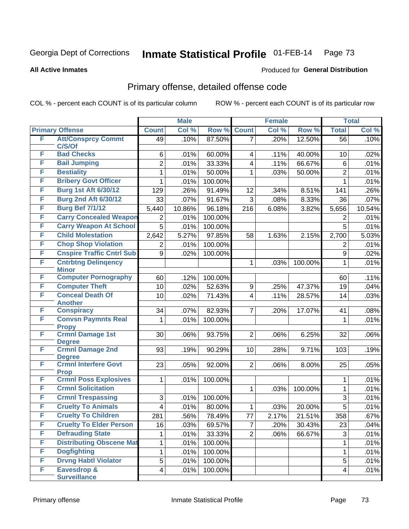Produced for **General Distribution**

#### **All Active Inmates**

### Primary offense, detailed offense code

|        |                                            | <b>Male</b>    |        |         | <b>Female</b>           |       |         | <b>Total</b>   |        |
|--------|--------------------------------------------|----------------|--------|---------|-------------------------|-------|---------|----------------|--------|
|        | <b>Primary Offense</b>                     | <b>Count</b>   | Col %  | Row %   | <b>Count</b>            | Col % | Row %   | <b>Total</b>   | Col %  |
| F      | <b>Att/Consprcy Commt</b>                  | 49             | .10%   | 87.50%  | 7                       | .20%  | 12.50%  | 56             | .10%   |
| F      | C/S/Of<br><b>Bad Checks</b>                |                |        |         |                         |       |         |                |        |
| F      |                                            | 6              | .01%   | 60.00%  | 4                       | .11%  | 40.00%  | 10             | .02%   |
| F      | <b>Bail Jumping</b>                        | $\overline{2}$ | .01%   | 33.33%  | 4                       | .11%  | 66.67%  | 6              | .01%   |
|        | <b>Bestiality</b>                          | 1              | .01%   | 50.00%  | 1                       | .03%  | 50.00%  | $\overline{2}$ | .01%   |
| F<br>F | <b>Bribery Govt Officer</b>                | 1              | .01%   | 100.00% |                         |       |         | 1              | .01%   |
|        | <b>Burg 1st Aft 6/30/12</b>                | 129            | .26%   | 91.49%  | 12                      | .34%  | 8.51%   | 141            | .26%   |
| F      | <b>Burg 2nd Aft 6/30/12</b>                | 33             | .07%   | 91.67%  | 3                       | .08%  | 8.33%   | 36             | .07%   |
| F      | <b>Burg Bef 7/1/12</b>                     | 5,440          | 10.86% | 96.18%  | 216                     | 6.08% | 3.82%   | 5,656          | 10.54% |
| F      | <b>Carry Concealed Weapon</b>              | 2              | .01%   | 100.00% |                         |       |         | 2              | .01%   |
| F      | <b>Carry Weapon At School</b>              | 5              | .01%   | 100.00% |                         |       |         | 5              | .01%   |
| F      | <b>Child Molestation</b>                   | 2,642          | 5.27%  | 97.85%  | 58                      | 1.63% | 2.15%   | 2,700          | 5.03%  |
| F      | <b>Chop Shop Violation</b>                 | $\overline{2}$ | .01%   | 100.00% |                         |       |         | $\overline{2}$ | .01%   |
| F      | <b>Cnspire Traffic Cntrl Sub</b>           | 9              | .02%   | 100.00% |                         |       |         | 9              | .02%   |
| F      | <b>Cntrbtng Delingency</b><br><b>Minor</b> |                |        |         | 1                       | .03%  | 100.00% | 1              | .01%   |
| F      | <b>Computer Pornography</b>                | 60             | .12%   | 100.00% |                         |       |         | 60             | .11%   |
| F      | <b>Computer Theft</b>                      | 10             | .02%   | 52.63%  | 9                       | .25%  | 47.37%  | 19             | .04%   |
| F      | <b>Conceal Death Of</b><br><b>Another</b>  | 10             | .02%   | 71.43%  | $\overline{\mathbf{4}}$ | .11%  | 28.57%  | 14             | .03%   |
| F      | <b>Conspiracy</b>                          | 34             | .07%   | 82.93%  | $\overline{7}$          | .20%  | 17.07%  | 41             | .08%   |
| F      | <b>Convsn Paymnts Real</b><br><b>Propy</b> | $\mathbf{1}$   | .01%   | 100.00% |                         |       |         | $\mathbf{1}$   | .01%   |
| F      | <b>Crmnl Damage 1st</b>                    | 30             | .06%   | 93.75%  | $\overline{2}$          | .06%  | 6.25%   | 32             | .06%   |
|        | <b>Degree</b>                              |                |        |         |                         |       |         |                |        |
| F      | <b>Crmnl Damage 2nd</b><br><b>Degree</b>   | 93             | .19%   | 90.29%  | 10                      | .28%  | 9.71%   | 103            | .19%   |
| F      | <b>Crmnl Interfere Govt</b><br><b>Prop</b> | 23             | .05%   | 92.00%  | $\overline{2}$          | .06%  | 8.00%   | 25             | .05%   |
| F      | <b>Crmnl Poss Explosives</b>               | 1              | .01%   | 100.00% |                         |       |         | 1              | .01%   |
| F      | <b>Crmnl Solicitation</b>                  |                |        |         | $\mathbf{1}$            | .03%  | 100.00% | $\mathbf{1}$   | .01%   |
| F      | <b>Crmnl Trespassing</b>                   | 3              | .01%   | 100.00% |                         |       |         | 3              | .01%   |
| F      | <b>Cruelty To Animals</b>                  | 4              | .01%   | 80.00%  | 1                       | .03%  | 20.00%  | 5              | .01%   |
| F      | <b>Cruelty To Children</b>                 | 281            | .56%   | 78.49%  | $77 \,$                 | 2.17% | 21.51%  | 358            | .67%   |
| F      | <b>Cruelty To Elder Person</b>             | 16             | .03%   | 69.57%  | $\overline{7}$          | .20%  | 30.43%  | 23             | .04%   |
| F      | <b>Defrauding State</b>                    | 1              | .01%   | 33.33%  | $\overline{2}$          | .06%  | 66.67%  | 3              | .01%   |
| F      | <b>Distributing Obscene Mat</b>            | 1              | .01%   | 100.00% |                         |       |         | $\mathbf{1}$   | .01%   |
| F      | <b>Dogfighting</b>                         | 1              | .01%   | 100.00% |                         |       |         | $\mathbf{1}$   | .01%   |
| F      | <b>Drvng Habtl Violator</b>                | $\overline{5}$ | .01%   | 100.00% |                         |       |         | 5              | .01%   |
| F      | Eavesdrop &                                | 4              | .01%   | 100.00% |                         |       |         | 4              | .01%   |
|        | <b>Surveillance</b>                        |                |        |         |                         |       |         |                |        |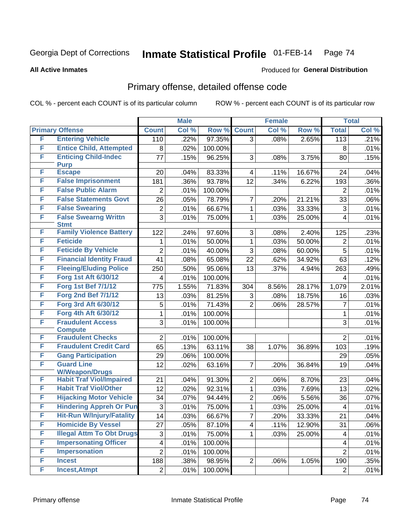#### **All Active Inmates**

#### Produced for **General Distribution**

### Primary offense, detailed offense code

|   |                                            |                 | <b>Male</b> |         |                | <b>Female</b> |        |                         | <b>Total</b> |
|---|--------------------------------------------|-----------------|-------------|---------|----------------|---------------|--------|-------------------------|--------------|
|   | <b>Primary Offense</b>                     | <b>Count</b>    | Col %       | Row %   | <b>Count</b>   | Col %         | Row %  | <b>Total</b>            | Col %        |
| F | <b>Entering Vehicle</b>                    | 110             | .22%        | 97.35%  | $\overline{3}$ | .08%          | 2.65%  | 113                     | .21%         |
| F | <b>Entice Child, Attempted</b>             | 8               | .02%        | 100.00% |                |               |        | 8                       | .01%         |
| F | <b>Enticing Child-Indec</b>                | 77              | .15%        | 96.25%  | 3              | .08%          | 3.75%  | 80                      | .15%         |
|   | <b>Purp</b>                                |                 |             |         |                |               |        |                         |              |
| F | <b>Escape</b>                              | 20              | .04%        | 83.33%  | 4              | .11%          | 16.67% | 24                      | .04%         |
| F | <b>False Imprisonment</b>                  | 181             | .36%        | 93.78%  | 12             | .34%          | 6.22%  | 193                     | $.36\%$      |
| F | <b>False Public Alarm</b>                  | 2               | .01%        | 100.00% |                |               |        | $\overline{2}$          | .01%         |
| F | <b>False Statements Govt</b>               | 26              | .05%        | 78.79%  | $\overline{7}$ | .20%          | 21.21% | 33                      | $.06\%$      |
| F | <b>False Swearing</b>                      | 2               | .01%        | 66.67%  | $\mathbf{1}$   | .03%          | 33.33% | 3                       | .01%         |
| F | <b>False Swearng Writtn</b><br><b>Stmt</b> | $\overline{3}$  | .01%        | 75.00%  | $\mathbf{1}$   | .03%          | 25.00% | $\overline{4}$          | .01%         |
| F | <b>Family Violence Battery</b>             | 122             | .24%        | 97.60%  | 3              | .08%          | 2.40%  | 125                     | .23%         |
| F | <b>Feticide</b>                            | 1.              | .01%        | 50.00%  | $\mathbf{1}$   | .03%          | 50.00% | $\overline{2}$          | .01%         |
| F | <b>Feticide By Vehicle</b>                 | $\overline{2}$  | .01%        | 40.00%  | 3              | .08%          | 60.00% | 5                       | .01%         |
| F | <b>Financial Identity Fraud</b>            | 41              | .08%        | 65.08%  | 22             | .62%          | 34.92% | 63                      | .12%         |
| F | <b>Fleeing/Eluding Police</b>              | 250             | .50%        | 95.06%  | 13             | .37%          | 4.94%  | 263                     | .49%         |
| F | <b>Forg 1st Aft 6/30/12</b>                | 4               | .01%        | 100.00% |                |               |        | 4                       | .01%         |
| F | <b>Forg 1st Bef 7/1/12</b>                 | 775             | 1.55%       | 71.83%  | 304            | 8.56%         | 28.17% | 1,079                   | 2.01%        |
| F | <b>Forg 2nd Bef 7/1/12</b>                 | 13              | .03%        | 81.25%  | 3              | .08%          | 18.75% | 16                      | .03%         |
| F | Forg 3rd Aft 6/30/12                       | 5               | .01%        | 71.43%  | $\overline{2}$ | .06%          | 28.57% | $\overline{7}$          | .01%         |
| F | Forg 4th Aft 6/30/12                       | 1               | .01%        | 100.00% |                |               |        | $\mathbf{1}$            | .01%         |
| F | <b>Fraudulent Access</b>                   | 3               | .01%        | 100.00% |                |               |        | 3                       | .01%         |
|   | <b>Compute</b>                             |                 |             |         |                |               |        |                         |              |
| F | <b>Fraudulent Checks</b>                   | $\overline{2}$  | .01%        | 100.00% |                |               |        | $\overline{2}$          | .01%         |
| F | <b>Fraudulent Credit Card</b>              | 65              | .13%        | 63.11%  | 38             | 1.07%         | 36.89% | 103                     | .19%         |
| F | <b>Gang Participation</b>                  | 29              | .06%        | 100.00% |                |               |        | 29                      | .05%         |
| F | <b>Guard Line</b><br><b>W/Weapon/Drugs</b> | 12              | .02%        | 63.16%  | $\overline{7}$ | .20%          | 36.84% | 19                      | .04%         |
| F | <b>Habit Traf Viol/Impaired</b>            | 21              | .04%        | 91.30%  | $\overline{2}$ | .06%          | 8.70%  | 23                      | .04%         |
| F | <b>Habit Traf Viol/Other</b>               | 12              | .02%        | 92.31%  | $\mathbf{1}$   | .03%          | 7.69%  | 13                      | .02%         |
| F | <b>Hijacking Motor Vehicle</b>             | 34              | .07%        | 94.44%  | $\overline{2}$ | .06%          | 5.56%  | 36                      | .07%         |
| F | <b>Hindering Appreh Or Pun</b>             | 3               | .01%        | 75.00%  | $\mathbf{1}$   | .03%          | 25.00% | $\overline{\mathbf{4}}$ | .01%         |
| F | <b>Hit-Run W/Injury/Fatality</b>           | $\overline{14}$ | .03%        | 66.67%  | $\overline{7}$ | .20%          | 33.33% | $\overline{21}$         | .04%         |
| F | <b>Homicide By Vessel</b>                  | 27              | .05%        | 87.10%  | $\overline{4}$ | .11%          | 12.90% | 31                      | .06%         |
| F | <b>Illegal Attm To Obt Drugs</b>           | 3               | .01%        | 75.00%  | $\mathbf 1$    | .03%          | 25.00% | $\overline{4}$          | .01%         |
| F | <b>Impersonating Officer</b>               | 4               | .01%        | 100.00% |                |               |        | $\overline{4}$          | .01%         |
| F | <b>Impersonation</b>                       | $\overline{2}$  | .01%        | 100.00% |                |               |        | $\overline{2}$          | .01%         |
| F | <b>Incest</b>                              | 188             | .38%        | 98.95%  | $\overline{2}$ | .06%          | 1.05%  | 190                     | .35%         |
| F | <b>Incest, Atmpt</b>                       | 2               | .01%        | 100.00% |                |               |        | $\overline{2}$          | .01%         |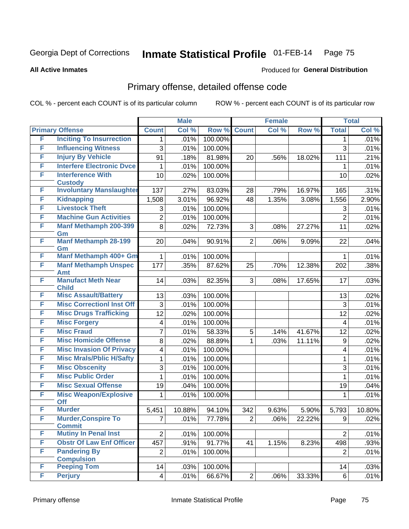**All Active Inmates**

#### Produced for **General Distribution**

### Primary offense, detailed offense code

|        |                                             |                         | <b>Male</b> |         | <b>Female</b>  |       |        | <b>Total</b>   |        |
|--------|---------------------------------------------|-------------------------|-------------|---------|----------------|-------|--------|----------------|--------|
|        | <b>Primary Offense</b>                      | <b>Count</b>            | Col %       | Row %   | <b>Count</b>   | Col % | Row %  | <b>Total</b>   | Col %  |
| F      | <b>Inciting To Insurrection</b>             | 1.                      | .01%        | 100.00% |                |       |        | 1              | .01%   |
| F      | <b>Influencing Witness</b>                  | 3                       | .01%        | 100.00% |                |       |        | 3              | .01%   |
| F      | <b>Injury By Vehicle</b>                    | 91                      | .18%        | 81.98%  | 20             | .56%  | 18.02% | 111            | .21%   |
| F      | <b>Interfere Electronic Dyce</b>            | 1                       | .01%        | 100.00% |                |       |        | 1              | .01%   |
| F      | <b>Interference With</b>                    | 10                      | .02%        | 100.00% |                |       |        | 10             | .02%   |
|        | <b>Custody</b>                              |                         |             |         |                |       |        |                |        |
| F<br>F | <b>Involuntary Manslaughter</b>             | 137                     | .27%        | 83.03%  | 28             | .79%  | 16.97% | 165            | .31%   |
| F      | <b>Kidnapping</b><br><b>Livestock Theft</b> | 1,508                   | 3.01%       | 96.92%  | 48             | 1.35% | 3.08%  | 1,556          | 2.90%  |
| F      |                                             | 3                       | .01%        | 100.00% |                |       |        | 3              | .01%   |
|        | <b>Machine Gun Activities</b>               | $\overline{2}$          | .01%        | 100.00% |                |       |        | $\overline{2}$ | .01%   |
| F      | <b>Manf Methamph 200-399</b><br>Gm          | 8                       | .02%        | 72.73%  | 3              | .08%  | 27.27% | 11             | .02%   |
| F      | <b>Manf Methamph 28-199</b>                 | 20                      | .04%        | 90.91%  | $\overline{2}$ | .06%  | 9.09%  | 22             | .04%   |
|        | Gm                                          |                         |             |         |                |       |        |                |        |
| F      | <b>Manf Methamph 400+ Gm</b>                | $\mathbf{1}$            | .01%        | 100.00% |                |       |        | $\mathbf{1}$   | .01%   |
| F      | <b>Manf Methamph Unspec</b>                 | 177                     | .35%        | 87.62%  | 25             | .70%  | 12.38% | 202            | .38%   |
| F      | <b>Amt</b><br><b>Manufact Meth Near</b>     | 14                      | .03%        | 82.35%  | 3              | .08%  | 17.65% | 17             | .03%   |
|        | <b>Child</b>                                |                         |             |         |                |       |        |                |        |
| F      | <b>Misc Assault/Battery</b>                 | 13                      | .03%        | 100.00% |                |       |        | 13             | .02%   |
| F      | <b>Misc CorrectionI Inst Off</b>            | 3                       | .01%        | 100.00% |                |       |        | 3              | .01%   |
| F      | <b>Misc Drugs Trafficking</b>               | 12                      | .02%        | 100.00% |                |       |        | 12             | .02%   |
| F      | <b>Misc Forgery</b>                         | 4                       | .01%        | 100.00% |                |       |        | $\overline{4}$ | .01%   |
| F      | <b>Misc Fraud</b>                           | 7                       | .01%        | 58.33%  | 5              | .14%  | 41.67% | 12             | .02%   |
| F      | <b>Misc Homicide Offense</b>                | 8                       | .02%        | 88.89%  | 1              | .03%  | 11.11% | 9              | .02%   |
| F      | <b>Misc Invasion Of Privacy</b>             | 4                       | .01%        | 100.00% |                |       |        | 4              | .01%   |
| F      | <b>Misc Mrals/Pblic H/Safty</b>             | 1                       | .01%        | 100.00% |                |       |        | 1              | .01%   |
| F      | <b>Misc Obscenity</b>                       | 3                       | .01%        | 100.00% |                |       |        | 3              | .01%   |
| F      | <b>Misc Public Order</b>                    | $\mathbf{1}$            | .01%        | 100.00% |                |       |        | 1              | .01%   |
| F      | <b>Misc Sexual Offense</b>                  | 19                      | .04%        | 100.00% |                |       |        | 19             | .04%   |
| F      | <b>Misc Weapon/Explosive</b>                | 1                       | .01%        | 100.00% |                |       |        | 1              | .01%   |
|        | Off                                         |                         |             |         |                |       |        |                |        |
| F      | <b>Murder</b>                               | 5,451                   | 10.88%      | 94.10%  | 342            | 9.63% | 5.90%  | 5,793          | 10.80% |
| F      | <b>Murder, Conspire To</b><br><b>Commit</b> | $\overline{7}$          | .01%        | 77.78%  | 2 <sup>1</sup> | .06%  | 22.22% | 9              | .02%   |
| F      | <b>Mutiny In Penal Inst</b>                 | $\overline{2}$          | .01%        | 100.00% |                |       |        | $\overline{2}$ | .01%   |
| F      | <b>Obstr Of Law Enf Officer</b>             | 457                     | .91%        | 91.77%  | 41             | 1.15% | 8.23%  | 498            | .93%   |
| F      | <b>Pandering By</b>                         | $\overline{2}$          | .01%        | 100.00% |                |       |        | $\overline{2}$ | .01%   |
|        | <b>Compulsion</b>                           |                         |             |         |                |       |        |                |        |
| F      | <b>Peeping Tom</b>                          | 14                      | .03%        | 100.00% |                |       |        | 14             | .03%   |
| F      | <b>Perjury</b>                              | $\overline{\mathbf{4}}$ | .01%        | 66.67%  | 2 <sup>1</sup> | .06%  | 33.33% | 6              | .01%   |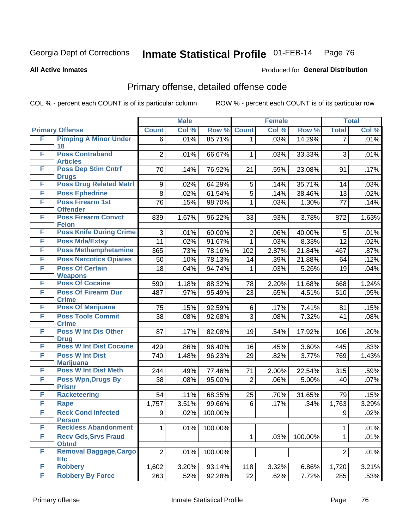**All Active Inmates**

#### Produced for **General Distribution**

### Primary offense, detailed offense code

|   |                                            |                 | <b>Male</b> |         | <b>Female</b>  |       |         | <b>Total</b>   |         |
|---|--------------------------------------------|-----------------|-------------|---------|----------------|-------|---------|----------------|---------|
|   | <b>Primary Offense</b>                     | <b>Count</b>    | Col %       | Row %   | <b>Count</b>   | Col % | Row %   | <b>Total</b>   | Col %   |
| F | <b>Pimping A Minor Under</b>               | 6               | .01%        | 85.71%  | $\overline{1}$ | .03%  | 14.29%  | $\overline{7}$ | .01%    |
|   | 18                                         |                 |             |         |                |       |         |                |         |
| F | <b>Poss Contraband</b><br><b>Articles</b>  | $\overline{2}$  | .01%        | 66.67%  | 1              | .03%  | 33.33%  | 3              | .01%    |
| F | <b>Poss Dep Stim Cntrf</b>                 | 70              | .14%        | 76.92%  | 21             | .59%  | 23.08%  | 91             | .17%    |
|   | <b>Drugs</b>                               |                 |             |         |                |       |         |                |         |
| F | <b>Poss Drug Related Matri</b>             | 9               | .02%        | 64.29%  | $\overline{5}$ | .14%  | 35.71%  | 14             | .03%    |
| F | <b>Poss Ephedrine</b>                      | 8               | .02%        | 61.54%  | $\overline{5}$ | .14%  | 38.46%  | 13             | .02%    |
| F | <b>Poss Firearm 1st</b>                    | 76              | .15%        | 98.70%  | $\mathbf 1$    | .03%  | 1.30%   | 77             | .14%    |
|   | <b>Offender</b>                            |                 |             |         |                |       |         |                |         |
| F | <b>Poss Firearm Convct</b><br><b>Felon</b> | 839             | 1.67%       | 96.22%  | 33             | .93%  | 3.78%   | 872            | 1.63%   |
| F | <b>Poss Knife During Crime</b>             | 3               | .01%        | 60.00%  | $\overline{2}$ | .06%  | 40.00%  | 5              | .01%    |
| F | <b>Poss Mda/Extsy</b>                      | 11              | .02%        | 91.67%  | $\mathbf{1}$   | .03%  | 8.33%   | 12             | .02%    |
| F | <b>Poss Methamphetamine</b>                | 365             | .73%        | 78.16%  | 102            | 2.87% | 21.84%  | 467            | .87%    |
| F | <b>Poss Narcotics Opiates</b>              | 50              | .10%        | 78.13%  | 14             | .39%  | 21.88%  | 64             | .12%    |
| F | <b>Poss Of Certain</b>                     | 18              | .04%        | 94.74%  | 1              | .03%  | 5.26%   | 19             | .04%    |
|   | <b>Weapons</b>                             |                 |             |         |                |       |         |                |         |
| F | <b>Poss Of Cocaine</b>                     | 590             | 1.18%       | 88.32%  | 78             | 2.20% | 11.68%  | 668            | 1.24%   |
| F | <b>Poss Of Firearm Dur</b>                 | 487             | .97%        | 95.49%  | 23             | .65%  | 4.51%   | 510            | .95%    |
|   | <b>Crime</b>                               |                 |             |         |                |       |         |                |         |
| F | <b>Poss Of Marijuana</b>                   | 75              | .15%        | 92.59%  | 6              | .17%  | 7.41%   | 81             | .15%    |
| F | <b>Poss Tools Commit</b><br><b>Crime</b>   | $\overline{38}$ | .08%        | 92.68%  | $\overline{3}$ | .08%  | 7.32%   | 41             | .08%    |
| F | <b>Poss W Int Dis Other</b>                | 87              | .17%        | 82.08%  | 19             | .54%  | 17.92%  | 106            | .20%    |
|   | <b>Drug</b>                                |                 |             |         |                |       |         |                |         |
| F | <b>Poss W Int Dist Cocaine</b>             | 429             | .86%        | 96.40%  | 16             | .45%  | 3.60%   | 445            | .83%    |
| F | <b>Poss W Int Dist</b>                     | 740             | 1.48%       | 96.23%  | 29             | .82%  | 3.77%   | 769            | 1.43%   |
|   | <b>Marijuana</b>                           |                 |             |         |                |       |         |                |         |
| F | <b>Poss W Int Dist Meth</b>                | 244             | .49%        | 77.46%  | 71             | 2.00% | 22.54%  | 315            | .59%    |
| F | <b>Poss Wpn, Drugs By</b>                  | 38              | .08%        | 95.00%  | $\overline{2}$ | .06%  | 5.00%   | 40             | .07%    |
| F | <b>Prisnr</b><br><b>Racketeering</b>       | 54              | .11%        | 68.35%  | 25             | .70%  | 31.65%  | 79             | .15%    |
| F | Rape                                       | 1,757           | 3.51%       | 99.66%  | 6              | .17%  | .34%    | 1,763          | 3.29%   |
| F | <b>Reck Cond Infected</b>                  | 9               | .02%        | 100.00% |                |       |         | 9              | .02%    |
|   | <b>Person</b>                              |                 |             |         |                |       |         |                |         |
| F | <b>Reckless Abandonment</b>                | 1               | .01%        | 100.00% |                |       |         | $\mathbf 1$    | $.01\%$ |
| F | <b>Recv Gds, Srvs Fraud</b>                |                 |             |         | 1              | .03%  | 100.00% | $\mathbf{1}$   | .01%    |
|   | <b>Obtnd</b>                               |                 |             |         |                |       |         |                |         |
| F | <b>Removal Baggage, Cargo</b>              | $\overline{2}$  | .01%        | 100.00% |                |       |         | $\overline{2}$ | .01%    |
| F | <b>Etc</b><br><b>Robbery</b>               |                 |             |         |                |       |         |                |         |
| F | <b>Robbery By Force</b>                    | 1,602           | 3.20%       | 93.14%  | 118            | 3.32% | 6.86%   | 1,720          | 3.21%   |
|   |                                            | 263             | .52%        | 92.28%  | 22             | .62%  | 7.72%   | 285            | .53%    |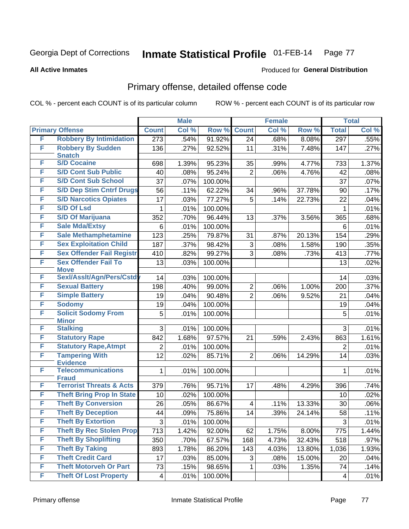**All Active Inmates**

#### Produced for **General Distribution**

### Primary offense, detailed offense code

|   |                                            |                           | <b>Male</b> |         |                | Female |        |                  | <b>Total</b> |
|---|--------------------------------------------|---------------------------|-------------|---------|----------------|--------|--------|------------------|--------------|
|   | <b>Primary Offense</b>                     | <b>Count</b>              | Col %       | Row %   | <b>Count</b>   | Col %  | Row %  | <b>Total</b>     | Col %        |
| F | <b>Robbery By Intimidation</b>             | $\overline{273}$          | .54%        | 91.92%  | 24             | .68%   | 8.08%  | $\overline{297}$ | .55%         |
| F | <b>Robbery By Sudden</b><br><b>Snatch</b>  | 136                       | .27%        | 92.52%  | 11             | .31%   | 7.48%  | 147              | .27%         |
| F | <b>S/D Cocaine</b>                         | 698                       | 1.39%       | 95.23%  | 35             | .99%   | 4.77%  | 733              | 1.37%        |
| F | <b>S/D Cont Sub Public</b>                 | 40                        | .08%        | 95.24%  | $\overline{2}$ | .06%   | 4.76%  | 42               | .08%         |
| F | <b>S/D Cont Sub School</b>                 | 37                        | .07%        | 100.00% |                |        |        | 37               | .07%         |
| F | <b>S/D Dep Stim Cntrf Drugs</b>            | 56                        | .11%        | 62.22%  | 34             | .96%   | 37.78% | 90               | .17%         |
| F | <b>S/D Narcotics Opiates</b>               | 17                        | .03%        | 77.27%  | 5              | .14%   | 22.73% | 22               | .04%         |
| F | <b>S/D Of Lsd</b>                          | 1                         | .01%        | 100.00% |                |        |        | 1                | .01%         |
| F | <b>S/D Of Marijuana</b>                    | 352                       | .70%        | 96.44%  | 13             | .37%   | 3.56%  | 365              | .68%         |
| F | <b>Sale Mda/Extsy</b>                      | 6                         | .01%        | 100.00% |                |        |        | 6                | .01%         |
| F | <b>Sale Methamphetamine</b>                | 123                       | .25%        | 79.87%  | 31             | .87%   | 20.13% | 154              | .29%         |
| F | <b>Sex Exploitation Child</b>              | 187                       | .37%        | 98.42%  | $\sqrt{3}$     | .08%   | 1.58%  | 190              | .35%         |
| F | <b>Sex Offender Fail Registr</b>           | 410                       | .82%        | 99.27%  | 3              | .08%   | .73%   | 413              | .77%         |
| F | <b>Sex Offender Fail To</b><br><b>Move</b> | 13                        | .03%        | 100.00% |                |        |        | 13               | .02%         |
| F | Sexl/Assit/Agn/Pers/Cstdy                  | 14                        | .03%        | 100.00% |                |        |        | 14               | .03%         |
| F | <b>Sexual Battery</b>                      | 198                       | .40%        | 99.00%  | $\overline{2}$ | .06%   | 1.00%  | 200              | .37%         |
| F | <b>Simple Battery</b>                      | 19                        | .04%        | 90.48%  | $\overline{2}$ | .06%   | 9.52%  | 21               | .04%         |
| F | <b>Sodomy</b>                              | 19                        | .04%        | 100.00% |                |        |        | 19               | .04%         |
| F | <b>Solicit Sodomy From</b>                 | 5                         | .01%        | 100.00% |                |        |        | 5                | .01%         |
|   | <b>Minor</b>                               |                           |             |         |                |        |        |                  |              |
| F | <b>Stalking</b>                            | 3                         | .01%        | 100.00% |                |        |        | 3                | .01%         |
| F | <b>Statutory Rape</b>                      | 842                       | 1.68%       | 97.57%  | 21             | .59%   | 2.43%  | 863              | 1.61%        |
| F | <b>Statutory Rape, Atmpt</b>               | $\overline{2}$            | .01%        | 100.00% |                |        |        | $\overline{2}$   | .01%         |
| F | <b>Tampering With</b><br><b>Evidence</b>   | 12                        | .02%        | 85.71%  | $\overline{2}$ | .06%   | 14.29% | 14               | .03%         |
| F | <b>Telecommunications</b><br><b>Fraud</b>  | 1                         | .01%        | 100.00% |                |        |        | 1                | .01%         |
| F | <b>Terrorist Threats &amp; Acts</b>        | 379                       | .76%        | 95.71%  | 17             | .48%   | 4.29%  | 396              | .74%         |
| F | <b>Theft Bring Prop In State</b>           | 10                        | .02%        | 100.00% |                |        |        | 10               | .02%         |
| F | <b>Theft By Conversion</b>                 | 26                        | .05%        | 86.67%  | 4              | .11%   | 13.33% | 30               | .06%         |
| F | <b>Theft By Deception</b>                  | 44                        | .09%        | 75.86%  | 14             | .39%   | 24.14% | 58               | .11%         |
| F | <b>Theft By Extortion</b>                  | $\ensuremath{\mathsf{3}}$ | .01%        | 100.00% |                |        |        | 3                | .01%         |
| F | <b>Theft By Rec Stolen Prop</b>            | 713                       | 1.42%       | 92.00%  | 62             | 1.75%  | 8.00%  | 775              | 1.44%        |
| F | <b>Theft By Shoplifting</b>                | 350                       | .70%        | 67.57%  | 168            | 4.73%  | 32.43% | 518              | .97%         |
| F | <b>Theft By Taking</b>                     | 893                       | 1.78%       | 86.20%  | 143            | 4.03%  | 13.80% | 1,036            | 1.93%        |
| F | <b>Theft Credit Card</b>                   | 17                        | .03%        | 85.00%  | 3              | .08%   | 15.00% | 20               | .04%         |
| F | <b>Theft Motorveh Or Part</b>              | 73                        | .15%        | 98.65%  | 1              | .03%   | 1.35%  | 74               | .14%         |
| F | <b>Theft Of Lost Property</b>              | $\overline{\mathbf{4}}$   | .01%        | 100.00% |                |        |        | 4                | .01%         |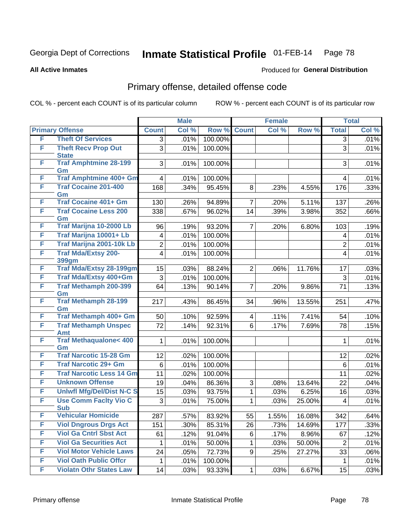**All Active Inmates**

#### Produced for **General Distribution**

### Primary offense, detailed offense code

|   |                                            |                         | <b>Male</b> |         | <b>Female</b>  |       | <b>Total</b> |                         |       |
|---|--------------------------------------------|-------------------------|-------------|---------|----------------|-------|--------------|-------------------------|-------|
|   | <b>Primary Offense</b>                     | <b>Count</b>            | Col %       | Row %   | <b>Count</b>   | Col % | Row %        | <b>Total</b>            | Col % |
| F | <b>Theft Of Services</b>                   | 3                       | .01%        | 100.00% |                |       |              | $\overline{3}$          | .01%  |
| F | <b>Theft Recv Prop Out</b><br><b>State</b> | 3                       | .01%        | 100.00% |                |       |              | 3                       | .01%  |
| F | <b>Traf Amphtmine 28-199</b><br>Gm         | 3                       | .01%        | 100.00% |                |       |              | 3                       | .01%  |
| F | Traf Amphtmine 400+ Gm                     | 4                       | .01%        | 100.00% |                |       |              | $\overline{4}$          | .01%  |
| F | <b>Traf Cocaine 201-400</b><br>Gm          | 168                     | .34%        | 95.45%  | 8              | .23%  | 4.55%        | 176                     | .33%  |
| F | <b>Traf Cocaine 401+ Gm</b>                | 130                     | .26%        | 94.89%  | $\overline{7}$ | .20%  | 5.11%        | 137                     | .26%  |
| F | <b>Traf Cocaine Less 200</b><br>Gm         | 338                     | .67%        | 96.02%  | 14             | .39%  | 3.98%        | 352                     | .66%  |
| F | Traf Marijna 10-2000 Lb                    | 96                      | .19%        | 93.20%  | $\overline{7}$ | .20%  | 6.80%        | 103                     | .19%  |
| F | Traf Marijna 10001+ Lb                     | 4                       | .01%        | 100.00% |                |       |              | $\overline{4}$          | .01%  |
| F | Traf Marijna 2001-10k Lb                   | $\overline{c}$          | .01%        | 100.00% |                |       |              | $\overline{2}$          | .01%  |
| F | <b>Traf Mda/Extsy 200-</b><br><b>399gm</b> | $\overline{\mathbf{4}}$ | .01%        | 100.00% |                |       |              | $\overline{\mathbf{4}}$ | .01%  |
| F | <b>Traf Mda/Extsy 28-199gm</b>             | 15                      | .03%        | 88.24%  | $\overline{2}$ | .06%  | 11.76%       | 17                      | .03%  |
| F | Traf Mda/Extsy 400+Gm                      | 3                       | .01%        | 100.00% |                |       |              | 3                       | .01%  |
| F | Traf Methamph 200-399<br>Gm                | 64                      | .13%        | 90.14%  | $\overline{7}$ | .20%  | 9.86%        | 71                      | .13%  |
| F | <b>Traf Methamph 28-199</b><br>Gm          | 217                     | .43%        | 86.45%  | 34             | .96%  | 13.55%       | 251                     | .47%  |
| F | Traf Methamph 400+ Gm                      | 50                      | .10%        | 92.59%  | $\overline{4}$ | .11%  | 7.41%        | 54                      | .10%  |
| F | <b>Traf Methamph Unspec</b><br>Amt         | 72                      | .14%        | 92.31%  | 6              | .17%  | 7.69%        | 78                      | .15%  |
| F | <b>Traf Methaqualone&lt; 400</b><br>Gm     | 1                       | .01%        | 100.00% |                |       |              | $\mathbf 1$             | .01%  |
| F | <b>Traf Narcotic 15-28 Gm</b>              | 12                      | .02%        | 100.00% |                |       |              | 12                      | .02%  |
| F | <b>Traf Narcotic 29+ Gm</b>                | $6\phantom{1}$          | .01%        | 100.00% |                |       |              | 6                       | .01%  |
| F | <b>Traf Narcotic Less 14 Gm</b>            | 11                      | .02%        | 100.00% |                |       |              | 11                      | .02%  |
| F | <b>Unknown Offense</b>                     | 19                      | .04%        | 86.36%  | 3              | .08%  | 13.64%       | 22                      | .04%  |
| F | <b>Uniwfl Mfg/Del/Dist N-C S</b>           | 15                      | .03%        | 93.75%  | $\mathbf{1}$   | .03%  | 6.25%        | 16                      | .03%  |
| F | <b>Use Comm Facity Vio C</b><br><b>Sub</b> | 3                       | .01%        | 75.00%  | $\mathbf{1}$   | .03%  | 25.00%       | $\overline{4}$          | .01%  |
| F | <b>Vehicular Homicide</b>                  | 287                     | .57%        | 83.92%  | 55             | 1.55% | 16.08%       | 342                     | .64%  |
| F | <b>Viol Dngrous Drgs Act</b>               | 151                     | .30%        | 85.31%  | 26             | .73%  | 14.69%       | 177                     | .33%  |
| F | <b>Viol Ga Cntrl Sbst Act</b>              | 61                      | .12%        | 91.04%  | 6              | .17%  | 8.96%        | 67                      | .12%  |
| F | <b>Viol Ga Securities Act</b>              | 1                       | .01%        | 50.00%  | $\mathbf 1$    | .03%  | 50.00%       | $\overline{2}$          | .01%  |
| F | <b>Viol Motor Vehicle Laws</b>             | 24                      | .05%        | 72.73%  | 9              | .25%  | 27.27%       | 33                      | .06%  |
| F | <b>Viol Oath Public Offcr</b>              | 1                       | .01%        | 100.00% |                |       |              | $\mathbf{1}$            | .01%  |
| F | <b>Violatn Othr States Law</b>             | 14                      | .03%        | 93.33%  | $\mathbf{1}$   | .03%  | 6.67%        | 15                      | .03%  |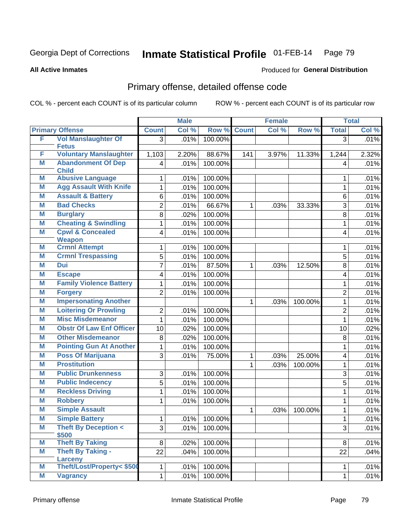**All Active Inmates**

#### Produced for **General Distribution**

### Primary offense, detailed offense code

|   |                                           |                | <b>Male</b> |         |              | <b>Female</b> |         |                | <b>Total</b> |
|---|-------------------------------------------|----------------|-------------|---------|--------------|---------------|---------|----------------|--------------|
|   | <b>Primary Offense</b>                    | <b>Count</b>   | Col %       | Row %   | <b>Count</b> | Col%          | Row %   | <b>Total</b>   | Col %        |
| F | <b>Vol Manslaughter Of</b>                | $\overline{3}$ | .01%        | 100.00% |              |               |         | $\overline{3}$ | .01%         |
|   | <b>Fetus</b>                              |                |             |         |              |               |         |                |              |
| F | <b>Voluntary Manslaughter</b>             | 1,103          | 2.20%       | 88.67%  | 141          | 3.97%         | 11.33%  | 1,244          | 2.32%        |
| M | <b>Abandonment Of Dep</b><br><b>Child</b> | 4              | .01%        | 100.00% |              |               |         | $\overline{4}$ | .01%         |
| M | <b>Abusive Language</b>                   | 1              | .01%        | 100.00% |              |               |         | 1              | .01%         |
| M | <b>Agg Assault With Knife</b>             | 1              | .01%        | 100.00% |              |               |         | 1              | .01%         |
| M | <b>Assault &amp; Battery</b>              | 6              | .01%        | 100.00% |              |               |         | 6              | .01%         |
| M | <b>Bad Checks</b>                         | 2              | .01%        | 66.67%  | $\mathbf{1}$ | .03%          | 33.33%  | 3              | .01%         |
| M | <b>Burglary</b>                           | 8              | .02%        | 100.00% |              |               |         | 8              | .01%         |
| M | <b>Cheating &amp; Swindling</b>           | 1              | .01%        | 100.00% |              |               |         | 1              | .01%         |
| M | <b>Cpwl &amp; Concealed</b>               | 4              | .01%        | 100.00% |              |               |         | $\overline{4}$ | .01%         |
|   | <b>Weapon</b>                             |                |             |         |              |               |         |                |              |
| M | <b>Crmnl Attempt</b>                      | 1              | .01%        | 100.00% |              |               |         | 1              | .01%         |
| M | <b>Crmnl Trespassing</b>                  | 5              | .01%        | 100.00% |              |               |         | 5              | .01%         |
| M | Dui                                       | 7              | .01%        | 87.50%  | $\mathbf{1}$ | .03%          | 12.50%  | 8              | .01%         |
| M | <b>Escape</b>                             | 4              | .01%        | 100.00% |              |               |         | $\overline{4}$ | .01%         |
| M | <b>Family Violence Battery</b>            | 1              | .01%        | 100.00% |              |               |         | 1              | .01%         |
| M | <b>Forgery</b>                            | $\overline{2}$ | .01%        | 100.00% |              |               |         | $\overline{2}$ | .01%         |
| M | <b>Impersonating Another</b>              |                |             |         | $\mathbf{1}$ | .03%          | 100.00% | $\mathbf{1}$   | .01%         |
| M | <b>Loitering Or Prowling</b>              | $\overline{2}$ | .01%        | 100.00% |              |               |         | $\overline{2}$ | .01%         |
| M | <b>Misc Misdemeanor</b>                   | 1              | .01%        | 100.00% |              |               |         | 1              | .01%         |
| M | <b>Obstr Of Law Enf Officer</b>           | 10             | .02%        | 100.00% |              |               |         | 10             | .02%         |
| M | <b>Other Misdemeanor</b>                  | 8              | .02%        | 100.00% |              |               |         | 8              | .01%         |
| M | <b>Pointing Gun At Another</b>            | 1              | .01%        | 100.00% |              |               |         | 1              | .01%         |
| M | <b>Poss Of Marijuana</b>                  | 3              | .01%        | 75.00%  | 1            | .03%          | 25.00%  | 4              | .01%         |
| M | <b>Prostitution</b>                       |                |             |         | $\mathbf{1}$ | .03%          | 100.00% | 1              | .01%         |
| M | <b>Public Drunkenness</b>                 | 3              | .01%        | 100.00% |              |               |         | 3              | .01%         |
| M | <b>Public Indecency</b>                   | 5              | .01%        | 100.00% |              |               |         | 5              | .01%         |
| M | <b>Reckless Driving</b>                   | 1              | .01%        | 100.00% |              |               |         | 1              | .01%         |
| M | <b>Robbery</b>                            | 1              | .01%        | 100.00% |              |               |         | 1              | .01%         |
| M | <b>Simple Assault</b>                     |                |             |         | $\mathbf{1}$ | .03%          | 100.00% | 1              | .01%         |
| M | <b>Simple Battery</b>                     | 1              | .01%        | 100.00% |              |               |         | 1              | .01%         |
| M | <b>Theft By Deception &lt;</b><br>\$500   | $\overline{3}$ | .01%        | 100.00% |              |               |         | 3              | .01%         |
| M | <b>Theft By Taking</b>                    | 8 <sup>1</sup> | .02%        | 100.00% |              |               |         | 8              | .01%         |
| M | <b>Theft By Taking -</b>                  | 22             | .04%        | 100.00% |              |               |         | 22             | .04%         |
|   | <b>Larceny</b>                            |                |             |         |              |               |         |                |              |
| M | Theft/Lost/Property< \$500                | $\mathbf{1}$   | .01%        | 100.00% |              |               |         | 1.             | .01%         |
| M | <b>Vagrancy</b>                           | $\mathbf{1}$   | .01%        | 100.00% |              |               |         | 1              | .01%         |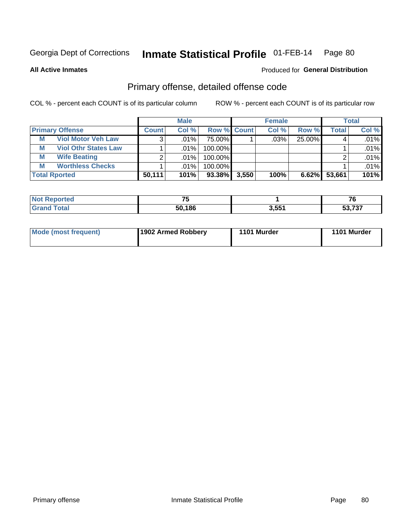Produced for **General Distribution**

#### **All Active Inmates**

### Primary offense, detailed offense code

|                        |                             |              | <b>Male</b> |                    |       | <b>Female</b> |        |                    | <b>Total</b> |
|------------------------|-----------------------------|--------------|-------------|--------------------|-------|---------------|--------|--------------------|--------------|
| <b>Primary Offense</b> |                             | <b>Count</b> | Col %       | <b>Row % Count</b> |       | Col %         | Row %  | Total <sub>1</sub> | Col %        |
| M                      | <b>Viol Motor Veh Law</b>   | 3            | .01% l      | 75.00%             |       | $.03\%$       | 25.00% |                    | .01%         |
| M                      | <b>Viol Othr States Law</b> |              | $.01\%$     | 100.00%            |       |               |        |                    | .01%         |
| М                      | <b>Wife Beating</b>         |              | .01%        | 100.00%            |       |               |        |                    | .01%         |
| M                      | <b>Worthless Checks</b>     |              | .01%        | 100.00%            |       |               |        |                    | .01%         |
| <b>Total Rported</b>   |                             | 50,111       | 101%        | $93.38\%$          | 3,550 | 100%          | 6.62%  | 53,661             | 101%         |

| Reported<br>NOT | $-$    |       | $\sim$<br>70     |
|-----------------|--------|-------|------------------|
| 'ota.           | 50,186 | 3,551 | E277<br>,,,,<br> |

| Mode (most frequent) | 1902 Armed Robbery | 1101 Murder | 1101 Murder |
|----------------------|--------------------|-------------|-------------|
|----------------------|--------------------|-------------|-------------|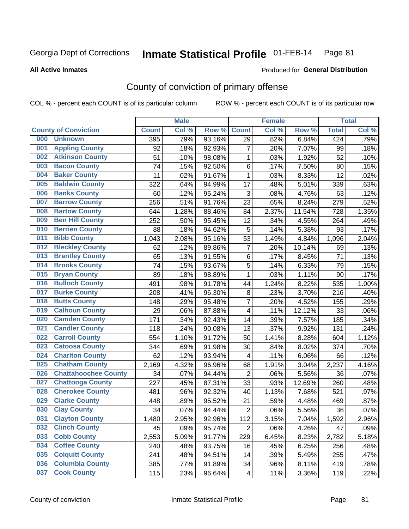#### **All Active Inmates**

#### Produced for **General Distribution**

### County of conviction of primary offense

|     |                             |              | <b>Male</b> |        | <b>Female</b>  |       |        | <b>Total</b> |       |
|-----|-----------------------------|--------------|-------------|--------|----------------|-------|--------|--------------|-------|
|     | <b>County of Conviction</b> | <b>Count</b> | Col %       | Row %  | <b>Count</b>   | Col % | Row %  | <b>Total</b> | Col % |
| 000 | <b>Unknown</b>              | 395          | .79%        | 93.16% | 29             | .82%  | 6.84%  | 424          | .79%  |
| 001 | <b>Appling County</b>       | 92           | .18%        | 92.93% | $\overline{7}$ | .20%  | 7.07%  | 99           | .18%  |
| 002 | <b>Atkinson County</b>      | 51           | .10%        | 98.08% | 1              | .03%  | 1.92%  | 52           | .10%  |
| 003 | <b>Bacon County</b>         | 74           | .15%        | 92.50% | 6              | .17%  | 7.50%  | 80           | .15%  |
| 004 | <b>Baker County</b>         | 11           | .02%        | 91.67% | $\mathbf{1}$   | .03%  | 8.33%  | 12           | .02%  |
| 005 | <b>Baldwin County</b>       | 322          | .64%        | 94.99% | 17             | .48%  | 5.01%  | 339          | .63%  |
| 006 | <b>Banks County</b>         | 60           | .12%        | 95.24% | 3              | .08%  | 4.76%  | 63           | .12%  |
| 007 | <b>Barrow County</b>        | 256          | .51%        | 91.76% | 23             | .65%  | 8.24%  | 279          | .52%  |
| 008 | <b>Bartow County</b>        | 644          | 1.28%       | 88.46% | 84             | 2.37% | 11.54% | 728          | 1.35% |
| 009 | <b>Ben Hill County</b>      | 252          | .50%        | 95.45% | 12             | .34%  | 4.55%  | 264          | .49%  |
| 010 | <b>Berrien County</b>       | 88           | .18%        | 94.62% | 5              | .14%  | 5.38%  | 93           | .17%  |
| 011 | <b>Bibb County</b>          | 1,043        | 2.08%       | 95.16% | 53             | 1.49% | 4.84%  | 1,096        | 2.04% |
| 012 | <b>Bleckley County</b>      | 62           | .12%        | 89.86% | $\overline{7}$ | .20%  | 10.14% | 69           | .13%  |
| 013 | <b>Brantley County</b>      | 65           | .13%        | 91.55% | 6              | .17%  | 8.45%  | 71           | .13%  |
| 014 | <b>Brooks County</b>        | 74           | .15%        | 93.67% | 5              | .14%  | 6.33%  | 79           | .15%  |
| 015 | <b>Bryan County</b>         | 89           | .18%        | 98.89% | 1              | .03%  | 1.11%  | 90           | .17%  |
| 016 | <b>Bulloch County</b>       | 491          | .98%        | 91.78% | 44             | 1.24% | 8.22%  | 535          | 1.00% |
| 017 | <b>Burke County</b>         | 208          | .41%        | 96.30% | 8              | .23%  | 3.70%  | 216          | .40%  |
| 018 | <b>Butts County</b>         | 148          | .29%        | 95.48% | $\overline{7}$ | .20%  | 4.52%  | 155          | .29%  |
| 019 | <b>Calhoun County</b>       | 29           | .06%        | 87.88% | 4              | .11%  | 12.12% | 33           | .06%  |
| 020 | <b>Camden County</b>        | 171          | .34%        | 92.43% | 14             | .39%  | 7.57%  | 185          | .34%  |
| 021 | <b>Candler County</b>       | 118          | .24%        | 90.08% | 13             | .37%  | 9.92%  | 131          | .24%  |
| 022 | <b>Carroll County</b>       | 554          | 1.10%       | 91.72% | 50             | 1.41% | 8.28%  | 604          | 1.12% |
| 023 | <b>Catoosa County</b>       | 344          | .69%        | 91.98% | 30             | .84%  | 8.02%  | 374          | .70%  |
| 024 | <b>Charlton County</b>      | 62           | .12%        | 93.94% | 4              | .11%  | 6.06%  | 66           | .12%  |
| 025 | <b>Chatham County</b>       | 2,169        | 4.32%       | 96.96% | 68             | 1.91% | 3.04%  | 2,237        | 4.16% |
| 026 | <b>Chattahoochee County</b> | 34           | .07%        | 94.44% | $\overline{2}$ | .06%  | 5.56%  | 36           | .07%  |
| 027 | <b>Chattooga County</b>     | 227          | .45%        | 87.31% | 33             | .93%  | 12.69% | 260          | .48%  |
| 028 | <b>Cherokee County</b>      | 481          | .96%        | 92.32% | 40             | 1.13% | 7.68%  | 521          | .97%  |
| 029 | <b>Clarke County</b>        | 448          | .89%        | 95.52% | 21             | .59%  | 4.48%  | 469          | .87%  |
| 030 | <b>Clay County</b>          | 34           | .07%        | 94.44% | $\overline{2}$ | .06%  | 5.56%  | 36           | .07%  |
| 031 | <b>Clayton County</b>       | 1,480        | 2.95%       | 92.96% | 112            | 3.15% | 7.04%  | 1,592        | 2.96% |
| 032 | <b>Clinch County</b>        | 45           | .09%        | 95.74% | $\overline{2}$ | .06%  | 4.26%  | 47           | .09%  |
| 033 | <b>Cobb County</b>          | 2,553        | 5.09%       | 91.77% | 229            | 6.45% | 8.23%  | 2,782        | 5.18% |
| 034 | <b>Coffee County</b>        | 240          | .48%        | 93.75% | 16             | .45%  | 6.25%  | 256          | .48%  |
| 035 | <b>Colquitt County</b>      | 241          | .48%        | 94.51% | 14             | .39%  | 5.49%  | 255          | .47%  |
| 036 | <b>Columbia County</b>      | 385          | .77%        | 91.89% | 34             | .96%  | 8.11%  | 419          | .78%  |
| 037 | <b>Cook County</b>          | 115          | .23%        | 96.64% | 4              | .11%  | 3.36%  | 119          | .22%  |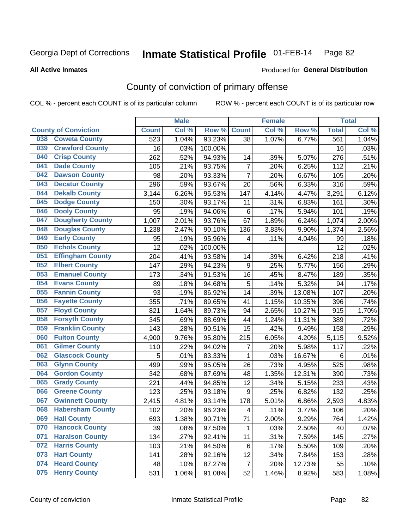#### **All Active Inmates**

#### Produced for **General Distribution**

### County of conviction of primary offense

|     |                             |              | <b>Male</b> |         | <b>Female</b>           |       |        | <b>Total</b>    |         |
|-----|-----------------------------|--------------|-------------|---------|-------------------------|-------|--------|-----------------|---------|
|     | <b>County of Conviction</b> | <b>Count</b> | Col %       | Row %   | <b>Count</b>            | Col % | Row %  | <b>Total</b>    | Col %   |
| 038 | <b>Coweta County</b>        | 523          | 1.04%       | 93.23%  | 38                      | 1.07% | 6.77%  | 561             | 1.04%   |
| 039 | <b>Crawford County</b>      | 16           | .03%        | 100.00% |                         |       |        | 16              | .03%    |
| 040 | <b>Crisp County</b>         | 262          | .52%        | 94.93%  | 14                      | .39%  | 5.07%  | 276             | .51%    |
| 041 | <b>Dade County</b>          | 105          | .21%        | 93.75%  | $\overline{7}$          | .20%  | 6.25%  | 112             | .21%    |
| 042 | <b>Dawson County</b>        | 98           | .20%        | 93.33%  | $\overline{7}$          | .20%  | 6.67%  | 105             | .20%    |
| 043 | <b>Decatur County</b>       | 296          | .59%        | 93.67%  | 20                      | .56%  | 6.33%  | 316             | .59%    |
| 044 | <b>Dekalb County</b>        | 3,144        | 6.26%       | 95.53%  | 147                     | 4.14% | 4.47%  | 3,291           | 6.12%   |
| 045 | <b>Dodge County</b>         | 150          | .30%        | 93.17%  | 11                      | .31%  | 6.83%  | 161             | .30%    |
| 046 | <b>Dooly County</b>         | 95           | .19%        | 94.06%  | $\,6\,$                 | .17%  | 5.94%  | 101             | .19%    |
| 047 | <b>Dougherty County</b>     | 1,007        | 2.01%       | 93.76%  | 67                      | 1.89% | 6.24%  | 1,074           | 2.00%   |
| 048 | <b>Douglas County</b>       | 1,238        | 2.47%       | 90.10%  | 136                     | 3.83% | 9.90%  | 1,374           | 2.56%   |
| 049 | <b>Early County</b>         | 95           | .19%        | 95.96%  | 4                       | .11%  | 4.04%  | 99              | .18%    |
| 050 | <b>Echols County</b>        | 12           | .02%        | 100.00% |                         |       |        | 12              | .02%    |
| 051 | <b>Effingham County</b>     | 204          | .41%        | 93.58%  | 14                      | .39%  | 6.42%  | 218             | .41%    |
| 052 | <b>Elbert County</b>        | 147          | .29%        | 94.23%  | $9\,$                   | .25%  | 5.77%  | 156             | .29%    |
| 053 | <b>Emanuel County</b>       | 173          | .34%        | 91.53%  | 16                      | .45%  | 8.47%  | 189             | .35%    |
| 054 | <b>Evans County</b>         | 89           | .18%        | 94.68%  | 5                       | .14%  | 5.32%  | 94              | .17%    |
| 055 | <b>Fannin County</b>        | 93           | .19%        | 86.92%  | 14                      | .39%  | 13.08% | 107             | .20%    |
| 056 | <b>Fayette County</b>       | 355          | .71%        | 89.65%  | 41                      | 1.15% | 10.35% | 396             | .74%    |
| 057 | <b>Floyd County</b>         | 821          | 1.64%       | 89.73%  | 94                      | 2.65% | 10.27% | 915             | 1.70%   |
| 058 | <b>Forsyth County</b>       | 345          | .69%        | 88.69%  | 44                      | 1.24% | 11.31% | 389             | .72%    |
| 059 | <b>Franklin County</b>      | 143          | .28%        | 90.51%  | 15                      | .42%  | 9.49%  | 158             | .29%    |
| 060 | <b>Fulton County</b>        | 4,900        | 9.76%       | 95.80%  | $\overline{2}$ 15       | 6.05% | 4.20%  | 5,115           | 9.52%   |
| 061 | <b>Gilmer County</b>        | 110          | .22%        | 94.02%  | 7                       | .20%  | 5.98%  | 117             | .22%    |
| 062 | <b>Glascock County</b>      | 5            | .01%        | 83.33%  | $\mathbf{1}$            | .03%  | 16.67% | $6\phantom{1}6$ | $.01\%$ |
| 063 | <b>Glynn County</b>         | 499          | .99%        | 95.05%  | 26                      | .73%  | 4.95%  | 525             | .98%    |
| 064 | <b>Gordon County</b>        | 342          | .68%        | 87.69%  | 48                      | 1.35% | 12.31% | 390             | .73%    |
| 065 | <b>Grady County</b>         | 221          | .44%        | 94.85%  | 12                      | .34%  | 5.15%  | 233             | .43%    |
| 066 | <b>Greene County</b>        | 123          | .25%        | 93.18%  | $9\,$                   | .25%  | 6.82%  | 132             | .25%    |
| 067 | <b>Gwinnett County</b>      | 2,415        | 4.81%       | 93.14%  | 178                     | 5.01% | 6.86%  | 2,593           | 4.83%   |
| 068 | <b>Habersham County</b>     | 102          | .20%        | 96.23%  | $\overline{\mathbf{4}}$ | .11%  | 3.77%  | 106             | .20%    |
| 069 | <b>Hall County</b>          | 693          | 1.38%       | 90.71%  | 71                      | 2.00% | 9.29%  | 764             | 1.42%   |
| 070 | <b>Hancock County</b>       | 39           | .08%        | 97.50%  | $\mathbf 1$             | .03%  | 2.50%  | 40              | .07%    |
| 071 | <b>Haralson County</b>      | 134          | .27%        | 92.41%  | 11                      | .31%  | 7.59%  | 145             | .27%    |
| 072 | <b>Harris County</b>        | 103          | .21%        | 94.50%  | 6                       | .17%  | 5.50%  | 109             | .20%    |
| 073 | <b>Hart County</b>          | 141          | .28%        | 92.16%  | 12                      | .34%  | 7.84%  | 153             | .28%    |
| 074 | <b>Heard County</b>         | 48           | .10%        | 87.27%  | $\overline{7}$          | .20%  | 12.73% | 55              | .10%    |
| 075 | <b>Henry County</b>         | 531          | 1.06%       | 91.08%  | 52                      | 1.46% | 8.92%  | 583             | 1.08%   |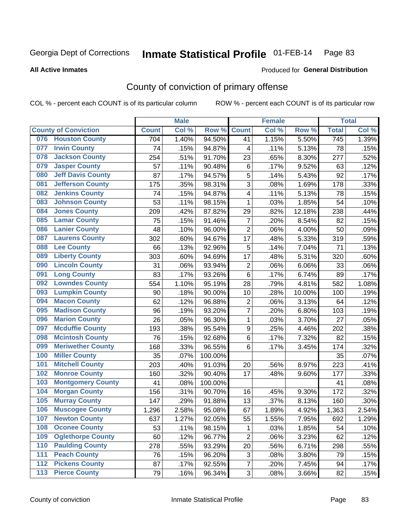Produced for **General Distribution**

#### **All Active Inmates**

### County of conviction of primary offense

|                  |                             |              | <b>Male</b> |         |                  | <b>Female</b> |        |              | <b>Total</b> |
|------------------|-----------------------------|--------------|-------------|---------|------------------|---------------|--------|--------------|--------------|
|                  | <b>County of Conviction</b> | <b>Count</b> | Col %       | Row %   | <b>Count</b>     | Col %         | Row %  | <b>Total</b> | Col %        |
|                  | 076 Houston County          | 704          | 1.40%       | 94.50%  | 41               | 1.15%         | 5.50%  | 745          | 1.39%        |
| 077              | <b>Irwin County</b>         | 74           | .15%        | 94.87%  | 4                | .11%          | 5.13%  | 78           | .15%         |
| 078              | <b>Jackson County</b>       | 254          | .51%        | 91.70%  | 23               | .65%          | 8.30%  | 277          | .52%         |
| 079              | <b>Jasper County</b>        | 57           | .11%        | 90.48%  | $\,6$            | .17%          | 9.52%  | 63           | .12%         |
| 080              | <b>Jeff Davis County</b>    | 87           | .17%        | 94.57%  | 5                | .14%          | 5.43%  | 92           | .17%         |
| 081              | <b>Jefferson County</b>     | 175          | .35%        | 98.31%  | 3                | .08%          | 1.69%  | 178          | .33%         |
| 082              | <b>Jenkins County</b>       | 74           | .15%        | 94.87%  | 4                | .11%          | 5.13%  | 78           | .15%         |
| 083              | <b>Johnson County</b>       | 53           | .11%        | 98.15%  | $\mathbf 1$      | .03%          | 1.85%  | 54           | .10%         |
| 084              | <b>Jones County</b>         | 209          | .42%        | 87.82%  | 29               | .82%          | 12.18% | 238          | .44%         |
| 085              | <b>Lamar County</b>         | 75           | .15%        | 91.46%  | $\overline{7}$   | .20%          | 8.54%  | 82           | .15%         |
| 086              | <b>Lanier County</b>        | 48           | .10%        | 96.00%  | $\overline{c}$   | .06%          | 4.00%  | 50           | .09%         |
| 087              | <b>Laurens County</b>       | 302          | .60%        | 94.67%  | 17               | .48%          | 5.33%  | 319          | .59%         |
| 088              | <b>Lee County</b>           | 66           | .13%        | 92.96%  | 5                | .14%          | 7.04%  | 71           | .13%         |
| 089              | <b>Liberty County</b>       | 303          | .60%        | 94.69%  | 17               | .48%          | 5.31%  | 320          | .60%         |
| 090              | <b>Lincoln County</b>       | 31           | .06%        | 93.94%  | $\mathbf 2$      | .06%          | 6.06%  | 33           | .06%         |
| 091              | <b>Long County</b>          | 83           | .17%        | 93.26%  | $\,6$            | .17%          | 6.74%  | 89           | .17%         |
| 092              | <b>Lowndes County</b>       | 554          | 1.10%       | 95.19%  | 28               | .79%          | 4.81%  | 582          | 1.08%        |
| 093              | <b>Lumpkin County</b>       | 90           | .18%        | 90.00%  | 10               | .28%          | 10.00% | 100          | .19%         |
| 094              | <b>Macon County</b>         | 62           | .12%        | 96.88%  | 2                | .06%          | 3.13%  | 64           | .12%         |
| 095              | <b>Madison County</b>       | 96           | .19%        | 93.20%  | $\overline{7}$   | .20%          | 6.80%  | 103          | .19%         |
| 096              | <b>Marion County</b>        | 26           | .05%        | 96.30%  | $\mathbf{1}$     | .03%          | 3.70%  | 27           | .05%         |
| 097              | <b>Mcduffie County</b>      | 193          | .38%        | 95.54%  | $\boldsymbol{9}$ | .25%          | 4.46%  | 202          | .38%         |
| 098              | <b>Mcintosh County</b>      | 76           | .15%        | 92.68%  | 6                | .17%          | 7.32%  | 82           | .15%         |
| 099              | <b>Meriwether County</b>    | 168          | .33%        | 96.55%  | 6                | .17%          | 3.45%  | 174          | .32%         |
| 100              | <b>Miller County</b>        | 35           | .07%        | 100.00% |                  |               |        | 35           | .07%         |
| 101              | <b>Mitchell County</b>      | 203          | .40%        | 91.03%  | 20               | .56%          | 8.97%  | 223          | .41%         |
| 102              | <b>Monroe County</b>        | 160          | .32%        | 90.40%  | 17               | .48%          | 9.60%  | 177          | .33%         |
| 103              | <b>Montgomery County</b>    | 41           | .08%        | 100.00% |                  |               |        | 41           | .08%         |
| 104              | <b>Morgan County</b>        | 156          | .31%        | 90.70%  | 16               | .45%          | 9.30%  | 172          | .32%         |
| 105              | <b>Murray County</b>        | 147          | .29%        | 91.88%  | 13               | .37%          | 8.13%  | 160          | .30%         |
| 106              | <b>Muscogee County</b>      | 1,296        | 2.58%       | 95.08%  | 67               | 1.89%         | 4.92%  | 1,363        | 2.54%        |
| 107              | <b>Newton County</b>        | 637          | 1.27%       | 92.05%  | 55               | 1.55%         | 7.95%  | 692          | 1.29%        |
| 108              | <b>Oconee County</b>        | 53           | .11%        | 98.15%  | 1                | .03%          | 1.85%  | 54           | .10%         |
| 109              | <b>Oglethorpe County</b>    | 60           | .12%        | 96.77%  | $\overline{c}$   | .06%          | 3.23%  | 62           | .12%         |
| 110              | <b>Paulding County</b>      | 278          | .55%        | 93.29%  | 20               | .56%          | 6.71%  | 298          | .55%         |
| 111              | <b>Peach County</b>         | 76           | .15%        | 96.20%  | 3                | .08%          | 3.80%  | 79           | .15%         |
| $\overline{112}$ | <b>Pickens County</b>       | 87           | .17%        | 92.55%  | $\overline{7}$   | .20%          | 7.45%  | 94           | .17%         |
| 113              | <b>Pierce County</b>        | 79           | .16%        | 96.34%  | 3                | .08%          | 3.66%  | 82           | .15%         |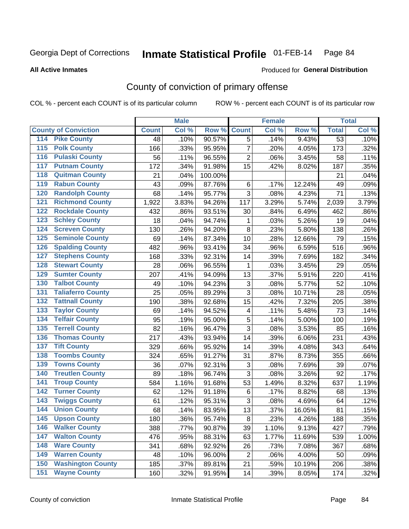Produced for **General Distribution**

#### **All Active Inmates**

# County of conviction of primary offense

|                                        |              | <b>Male</b> |         |                | <b>Female</b> |        |                 | <b>Total</b> |
|----------------------------------------|--------------|-------------|---------|----------------|---------------|--------|-----------------|--------------|
| <b>County of Conviction</b>            | <b>Count</b> | Col %       | Row %   | <b>Count</b>   | Col %         | Row %  | <b>Total</b>    | Col %        |
| 114 Pike County                        | 48           | .10%        | 90.57%  | 5              | .14%          | 9.43%  | $\overline{53}$ | .10%         |
| $\overline{115}$<br><b>Polk County</b> | 166          | .33%        | 95.95%  | $\overline{7}$ | .20%          | 4.05%  | 173             | .32%         |
| <b>Pulaski County</b><br>116           | 56           | .11%        | 96.55%  | $\overline{2}$ | .06%          | 3.45%  | 58              | .11%         |
| <b>Putnam County</b><br>117            | 172          | .34%        | 91.98%  | 15             | .42%          | 8.02%  | 187             | .35%         |
| 118<br><b>Quitman County</b>           | 21           | .04%        | 100.00% |                |               |        | 21              | .04%         |
| <b>Rabun County</b><br>119             | 43           | .09%        | 87.76%  | 6              | .17%          | 12.24% | 49              | .09%         |
| <b>Randolph County</b><br>120          | 68           | .14%        | 95.77%  | 3              | .08%          | 4.23%  | 71              | .13%         |
| <b>Richmond County</b><br>121          | 1,922        | 3.83%       | 94.26%  | 117            | 3.29%         | 5.74%  | 2,039           | 3.79%        |
| <b>Rockdale County</b><br>122          | 432          | .86%        | 93.51%  | 30             | .84%          | 6.49%  | 462             | .86%         |
| <b>Schley County</b><br>123            | 18           | .04%        | 94.74%  | 1              | .03%          | 5.26%  | 19              | .04%         |
| <b>Screven County</b><br>124           | 130          | .26%        | 94.20%  | 8              | .23%          | 5.80%  | 138             | .26%         |
| <b>Seminole County</b><br>125          | 69           | .14%        | 87.34%  | 10             | .28%          | 12.66% | 79              | .15%         |
| 126<br><b>Spalding County</b>          | 482          | .96%        | 93.41%  | 34             | .96%          | 6.59%  | 516             | .96%         |
| 127<br><b>Stephens County</b>          | 168          | .33%        | 92.31%  | 14             | .39%          | 7.69%  | 182             | .34%         |
| <b>Stewart County</b><br>128           | 28           | .06%        | 96.55%  | $\mathbf{1}$   | .03%          | 3.45%  | 29              | .05%         |
| <b>Sumter County</b><br>129            | 207          | .41%        | 94.09%  | 13             | .37%          | 5.91%  | 220             | .41%         |
| <b>Talbot County</b><br>130            | 49           | .10%        | 94.23%  | 3              | .08%          | 5.77%  | 52              | .10%         |
| <b>Taliaferro County</b><br>131        | 25           | .05%        | 89.29%  | 3              | .08%          | 10.71% | 28              | .05%         |
| <b>Tattnall County</b><br>132          | 190          | .38%        | 92.68%  | 15             | .42%          | 7.32%  | 205             | .38%         |
| <b>Taylor County</b><br>133            | 69           | .14%        | 94.52%  | 4              | .11%          | 5.48%  | 73              | .14%         |
| <b>Telfair County</b><br>134           | 95           | .19%        | 95.00%  | 5              | .14%          | 5.00%  | 100             | .19%         |
| <b>Terrell County</b><br>135           | 82           | .16%        | 96.47%  | 3              | .08%          | 3.53%  | 85              | .16%         |
| <b>Thomas County</b><br>136            | 217          | .43%        | 93.94%  | 14             | .39%          | 6.06%  | 231             | .43%         |
| <b>Tift County</b><br>137              | 329          | .66%        | 95.92%  | 14             | .39%          | 4.08%  | 343             | .64%         |
| <b>Toombs County</b><br>138            | 324          | .65%        | 91.27%  | 31             | .87%          | 8.73%  | 355             | .66%         |
| <b>Towns County</b><br>139             | 36           | .07%        | 92.31%  | 3              | .08%          | 7.69%  | 39              | .07%         |
| <b>Treutlen County</b><br>140          | 89           | .18%        | 96.74%  | 3              | .08%          | 3.26%  | 92              | .17%         |
| <b>Troup County</b><br>141             | 584          | 1.16%       | 91.68%  | 53             | 1.49%         | 8.32%  | 637             | 1.19%        |
| <b>Turner County</b><br>142            | 62           | .12%        | 91.18%  | 6              | .17%          | 8.82%  | 68              | .13%         |
| <b>Twiggs County</b><br>143            | 61           | .12%        | 95.31%  | 3              | .08%          | 4.69%  | 64              | .12%         |
| <b>Union County</b><br>144             | 68           | .14%        | 83.95%  | 13             | .37%          | 16.05% | 81              | .15%         |
| 145<br><b>Upson County</b>             | 180          | .36%        | 95.74%  | 8              | .23%          | 4.26%  | 188             | .35%         |
| <b>Walker County</b><br>146            | 388          | .77%        | 90.87%  | 39             | 1.10%         | 9.13%  | 427             | .79%         |
| <b>Walton County</b><br>147            | 476          | .95%        | 88.31%  | 63             | 1.77%         | 11.69% | 539             | 1.00%        |
| <b>Ware County</b><br>148              | 341          | .68%        | 92.92%  | 26             | .73%          | 7.08%  | 367             | .68%         |
| <b>Warren County</b><br>149            | 48           | .10%        | 96.00%  | $\overline{2}$ | .06%          | 4.00%  | 50              | .09%         |
| <b>Washington County</b><br>150        | 185          | .37%        | 89.81%  | 21             | .59%          | 10.19% | 206             | .38%         |
| <b>Wayne County</b><br>151             | 160          | .32%        | 91.95%  | 14             | .39%          | 8.05%  | 174             | .32%         |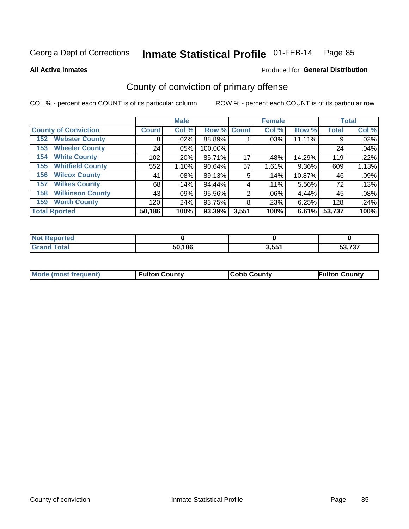**All Active Inmates**

#### Produced for **General Distribution**

### County of conviction of primary offense

|                                |              | <b>Male</b> |             |       | <b>Female</b> |        |              | <b>Total</b> |
|--------------------------------|--------------|-------------|-------------|-------|---------------|--------|--------------|--------------|
| <b>County of Conviction</b>    | <b>Count</b> | Col %       | Row % Count |       | Col %         | Row %  | <b>Total</b> | Col %        |
| <b>Webster County</b><br>152   | 8            | .02%        | 88.89%      |       | .03%          | 11.11% | 9            | .02%         |
| <b>Wheeler County</b><br>153   | 24           | $.05\%$     | 100.00%     |       |               |        | 24           | .04%         |
| <b>White County</b><br>154     | 102          | .20%        | 85.71%      | 17    | .48%          | 14.29% | 119          | .22%         |
| <b>Whitfield County</b><br>155 | 552          | 1.10%       | 90.64%      | 57    | 1.61%         | 9.36%  | 609          | 1.13%        |
| <b>Wilcox County</b><br>156    | 41           | $.08\%$     | 89.13%      | 5     | .14%          | 10.87% | 46           | .09%         |
| <b>Wilkes County</b><br>157    | 68           | .14%        | 94.44%      | 4     | $.11\%$       | 5.56%  | 72           | .13%         |
| <b>Wilkinson County</b><br>158 | 43           | .09%        | 95.56%      | 2     | .06%          | 4.44%  | 45           | .08%         |
| <b>Worth County</b><br>159     | 120          | .24%        | 93.75%      | 8     | .23%          | 6.25%  | 128          | .24%         |
| <b>Total Rported</b>           | 50,186       | 100%        | 93.39%      | 3,551 | 100%          | 6.61%  | 53,737       | 100%         |

| <b>Not Reported</b> |        |       |        |
|---------------------|--------|-------|--------|
| <b>Grand Total</b>  | 50,186 | 3,551 | 53,737 |

| Mode (most frequent) | <b>Fulton County</b> | <b>Cobb County</b> | <b>Fulton County</b> |
|----------------------|----------------------|--------------------|----------------------|
|                      |                      |                    |                      |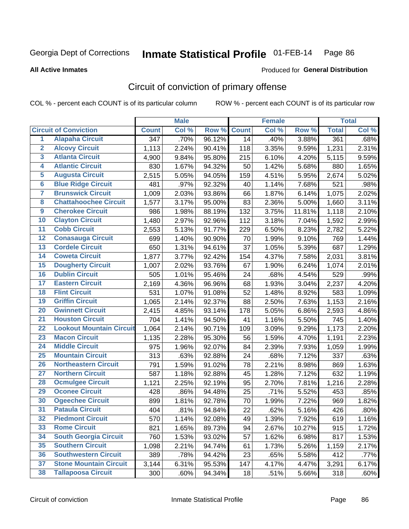**All Active Inmates**

#### Produced for **General Distribution**

### Circuit of conviction of primary offense

|                         |                                 |                  | <b>Male</b> |        |              | <b>Female</b> |        |              | <b>Total</b> |
|-------------------------|---------------------------------|------------------|-------------|--------|--------------|---------------|--------|--------------|--------------|
|                         | <b>Circuit of Conviction</b>    | <b>Count</b>     | Col %       | Row %  | <b>Count</b> | Col %         | Row %  | <b>Total</b> | Col %        |
| $\overline{1}$          | <b>Alapaha Circuit</b>          | $\overline{347}$ | .70%        | 96.12% | 14           | .40%          | 3.88%  | 361          | .68%         |
| $\overline{2}$          | <b>Alcovy Circuit</b>           | 1,113            | 2.24%       | 90.41% | 118          | 3.35%         | 9.59%  | 1,231        | 2.31%        |
| $\overline{\mathbf{3}}$ | <b>Atlanta Circuit</b>          | 4,900            | 9.84%       | 95.80% | 215          | 6.10%         | 4.20%  | 5,115        | 9.59%        |
| 4                       | <b>Atlantic Circuit</b>         | 830              | 1.67%       | 94.32% | 50           | 1.42%         | 5.68%  | 880          | 1.65%        |
| 5                       | <b>Augusta Circuit</b>          | 2,515            | 5.05%       | 94.05% | 159          | 4.51%         | 5.95%  | 2,674        | 5.02%        |
| $\overline{\mathbf{6}}$ | <b>Blue Ridge Circuit</b>       | 481              | .97%        | 92.32% | 40           | 1.14%         | 7.68%  | 521          | .98%         |
| 7                       | <b>Brunswick Circuit</b>        | 1,009            | 2.03%       | 93.86% | 66           | 1.87%         | 6.14%  | 1,075        | 2.02%        |
| 8                       | <b>Chattahoochee Circuit</b>    | 1,577            | 3.17%       | 95.00% | 83           | 2.36%         | 5.00%  | 1,660        | 3.11%        |
| $\overline{9}$          | <b>Cherokee Circuit</b>         | 986              | 1.98%       | 88.19% | 132          | 3.75%         | 11.81% | 1,118        | 2.10%        |
| 10                      | <b>Clayton Circuit</b>          | 1,480            | 2.97%       | 92.96% | 112          | 3.18%         | 7.04%  | 1,592        | 2.99%        |
| $\overline{11}$         | <b>Cobb Circuit</b>             | 2,553            | 5.13%       | 91.77% | 229          | 6.50%         | 8.23%  | 2,782        | 5.22%        |
| 12                      | <b>Conasauga Circuit</b>        | 699              | 1.40%       | 90.90% | 70           | 1.99%         | 9.10%  | 769          | 1.44%        |
| 13                      | <b>Cordele Circuit</b>          | 650              | 1.31%       | 94.61% | 37           | 1.05%         | 5.39%  | 687          | 1.29%        |
| 14                      | <b>Coweta Circuit</b>           | 1,877            | 3.77%       | 92.42% | 154          | 4.37%         | 7.58%  | 2,031        | 3.81%        |
| 15                      | <b>Dougherty Circuit</b>        | 1,007            | 2.02%       | 93.76% | 67           | 1.90%         | 6.24%  | 1,074        | 2.01%        |
| 16                      | <b>Dublin Circuit</b>           | 505              | 1.01%       | 95.46% | 24           | .68%          | 4.54%  | 529          | .99%         |
| 17                      | <b>Eastern Circuit</b>          | 2,169            | 4.36%       | 96.96% | 68           | 1.93%         | 3.04%  | 2,237        | 4.20%        |
| 18                      | <b>Flint Circuit</b>            | 531              | 1.07%       | 91.08% | 52           | 1.48%         | 8.92%  | 583          | 1.09%        |
| 19                      | <b>Griffin Circuit</b>          | 1,065            | 2.14%       | 92.37% | 88           | 2.50%         | 7.63%  | 1,153        | 2.16%        |
| 20                      | <b>Gwinnett Circuit</b>         | 2,415            | 4.85%       | 93.14% | 178          | 5.05%         | 6.86%  | 2,593        | 4.86%        |
| $\overline{21}$         | <b>Houston Circuit</b>          | 704              | 1.41%       | 94.50% | 41           | 1.16%         | 5.50%  | 745          | 1.40%        |
| $\overline{22}$         | <b>Lookout Mountain Circuit</b> | 1,064            | 2.14%       | 90.71% | 109          | 3.09%         | 9.29%  | 1,173        | 2.20%        |
| 23                      | <b>Macon Circuit</b>            | 1,135            | 2.28%       | 95.30% | 56           | 1.59%         | 4.70%  | 1,191        | 2.23%        |
| 24                      | <b>Middle Circuit</b>           | 975              | 1.96%       | 92.07% | 84           | 2.39%         | 7.93%  | 1,059        | 1.99%        |
| 25                      | <b>Mountain Circuit</b>         | 313              | .63%        | 92.88% | 24           | .68%          | 7.12%  | 337          | .63%         |
| 26                      | <b>Northeastern Circuit</b>     | 791              | 1.59%       | 91.02% | 78           | 2.21%         | 8.98%  | 869          | 1.63%        |
| $\overline{27}$         | <b>Northern Circuit</b>         | 587              | 1.18%       | 92.88% | 45           | 1.28%         | 7.12%  | 632          | 1.19%        |
| 28                      | <b>Ocmulgee Circuit</b>         | 1,121            | 2.25%       | 92.19% | 95           | 2.70%         | 7.81%  | 1,216        | 2.28%        |
| 29                      | <b>Oconee Circuit</b>           | 428              | .86%        | 94.48% | 25           | .71%          | 5.52%  | 453          | .85%         |
| 30                      | <b>Ogeechee Circuit</b>         | 899              | 1.81%       | 92.78% | 70           | 1.99%         | 7.22%  | 969          | 1.82%        |
| $\overline{31}$         | <b>Pataula Circuit</b>          | 404              | .81%        | 94.84% | 22           | .62%          | 5.16%  | 426          | .80%         |
| 32                      | <b>Piedmont Circuit</b>         | 570              | 1.14%       | 92.08% | 49           | 1.39%         | 7.92%  | 619          | 1.16%        |
| 33                      | <b>Rome Circuit</b>             | 821              | 1.65%       | 89.73% | 94           | 2.67%         | 10.27% | 915          | 1.72%        |
| 34                      | <b>South Georgia Circuit</b>    | 760              | 1.53%       | 93.02% | 57           | 1.62%         | 6.98%  | 817          | 1.53%        |
| 35                      | <b>Southern Circuit</b>         | 1,098            | 2.21%       | 94.74% | 61           | 1.73%         | 5.26%  | 1,159        | 2.17%        |
| 36                      | <b>Southwestern Circuit</b>     | 389              | .78%        | 94.42% | 23           | .65%          | 5.58%  | 412          | .77%         |
| 37                      | <b>Stone Mountain Circuit</b>   | 3,144            | 6.31%       | 95.53% | 147          | 4.17%         | 4.47%  | 3,291        | 6.17%        |
| 38                      | <b>Tallapoosa Circuit</b>       | 300              | .60%        | 94.34% | 18           | .51%          | 5.66%  | 318          | .60%         |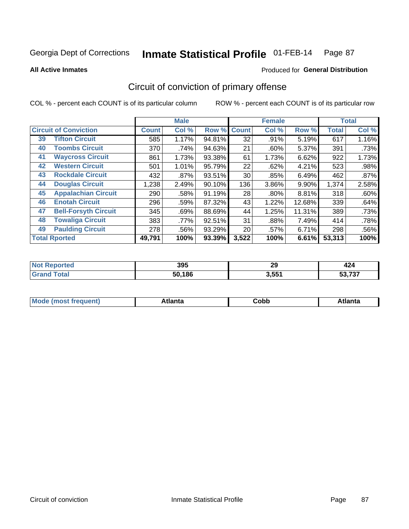Produced for **General Distribution**

#### **All Active Inmates**

# Circuit of conviction of primary offense

|                                   |              | <b>Male</b> |        |              | <b>Female</b> |          |              | <b>Total</b> |
|-----------------------------------|--------------|-------------|--------|--------------|---------------|----------|--------------|--------------|
| <b>Circuit of Conviction</b>      | <b>Count</b> | Col %       | Row %  | <b>Count</b> | Col %         | Row %    | <b>Total</b> | Col %        |
| <b>Tifton Circuit</b><br>39       | 585          | 1.17%       | 94.81% | 32           | .91%          | 5.19%    | 617          | 1.16%        |
| <b>Toombs Circuit</b><br>40       | 370          | .74%        | 94.63% | 21           | $.60\%$       | 5.37%    | 391          | .73%         |
| <b>Waycross Circuit</b><br>41     | 861          | 1.73%       | 93.38% | 61           | 1.73%         | 6.62%    | 922          | 1.73%        |
| <b>Western Circuit</b><br>42      | 501          | 1.01%       | 95.79% | 22           | .62%          | 4.21%    | 523          | .98%         |
| <b>Rockdale Circuit</b><br>43     | 432          | .87%        | 93.51% | 30           | .85%          | 6.49%    | 462          | .87%         |
| <b>Douglas Circuit</b><br>44      | 1,238        | 2.49%       | 90.10% | 136          | 3.86%         | $9.90\%$ | 1,374        | 2.58%        |
| <b>Appalachian Circuit</b><br>45  | 290          | .58%        | 91.19% | 28           | $.80\%$       | 8.81%    | 318          | .60%         |
| <b>Enotah Circuit</b><br>46       | 296          | .59%        | 87.32% | 43           | 1.22%         | 12.68%   | 339          | .64%         |
| <b>Bell-Forsyth Circuit</b><br>47 | 345          | .69%        | 88.69% | 44           | 1.25%         | 11.31%   | 389          | .73%         |
| <b>Towaliga Circuit</b><br>48     | 383          | .77%        | 92.51% | 31           | .88%          | 7.49%    | 414          | .78%         |
| <b>Paulding Circuit</b><br>49     | 278          | .56%        | 93.29% | 20           | .57%          | 6.71%    | 298          | .56%         |
| <b>Total Rported</b>              | 49,791       | 100%        | 93.39% | 3,522        | 100%          | 6.61%    | 53,313       | 100%         |

| tet | 395               | 29    | TA 7                    |
|-----|-------------------|-------|-------------------------|
|     | ,186<br>En.<br>эu | 3.55' | $F^{\alpha}$ 707<br>، ت |

| M | . | -----<br>oг | ----<br>пLс |
|---|---|-------------|-------------|
|   |   | <b>OUNN</b> |             |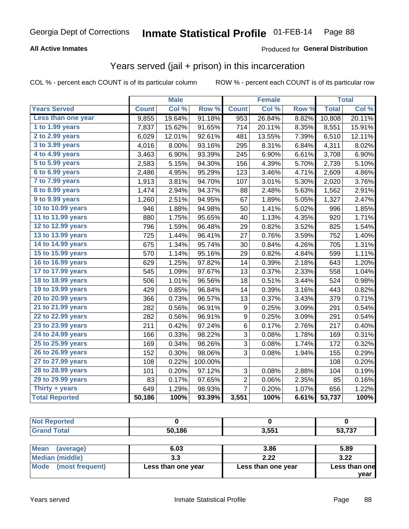#### **All Active Inmates**

#### Produced for **General Distribution**

#### Years served (jail + prison) in this incarceration

|                        |              | <b>Male</b> |         |                | <b>Female</b> |                  |              | <b>Total</b> |
|------------------------|--------------|-------------|---------|----------------|---------------|------------------|--------------|--------------|
| <b>Years Served</b>    | <b>Count</b> | Col %       | Row %   | <b>Count</b>   | Col %         | Row <sub>%</sub> | <b>Total</b> | Col %        |
| Less than one year     | 9,855        | 19.64%      | 91.18%  | 953            | 26.84%        | 8.82%            | 10,808       | 20.11%       |
| 1 to 1.99 years        | 7,837        | 15.62%      | 91.65%  | 714            | 20.11%        | 8.35%            | 8,551        | 15.91%       |
| 2 to 2.99 years        | 6,029        | 12.01%      | 92.61%  | 481            | 13.55%        | 7.39%            | 6,510        | 12.11%       |
| 3 to 3.99 years        | 4,016        | 8.00%       | 93.16%  | 295            | 8.31%         | 6.84%            | 4,311        | 8.02%        |
| 4 to 4.99 years        | 3,463        | 6.90%       | 93.39%  | 245            | 6.90%         | 6.61%            | 3,708        | 6.90%        |
| 5 to 5.99 years        | 2,583        | 5.15%       | 94.30%  | 156            | 4.39%         | 5.70%            | 2,739        | 5.10%        |
| $6$ to $6.99$ years    | 2,486        | 4.95%       | 95.29%  | 123            | 3.46%         | 4.71%            | 2,609        | 4.86%        |
| 7 to 7.99 years        | 1,913        | 3.81%       | 94.70%  | 107            | 3.01%         | 5.30%            | 2,020        | 3.76%        |
| <b>8 to 8.99 years</b> | 1,474        | 2.94%       | 94.37%  | 88             | 2.48%         | 5.63%            | 1,562        | 2.91%        |
| 9 to 9.99 years        | 1,260        | 2.51%       | 94.95%  | 67             | 1.89%         | 5.05%            | 1,327        | 2.47%        |
| 10 to 10.99 years      | 946          | 1.88%       | 94.98%  | 50             | 1.41%         | 5.02%            | 996          | 1.85%        |
| 11 to 11.99 years      | 880          | 1.75%       | 95.65%  | 40             | 1.13%         | 4.35%            | 920          | 1.71%        |
| 12 to 12.99 years      | 796          | 1.59%       | 96.48%  | 29             | 0.82%         | 3.52%            | 825          | 1.54%        |
| 13 to 13.99 years      | 725          | 1.44%       | 96.41%  | 27             | 0.76%         | 3.59%            | 752          | 1.40%        |
| 14 to 14.99 years      | 675          | 1.34%       | 95.74%  | 30             | 0.84%         | 4.26%            | 705          | 1.31%        |
| 15 to 15.99 years      | 570          | 1.14%       | 95.16%  | 29             | 0.82%         | 4.84%            | 599          | 1.11%        |
| 16 to 16.99 years      | 629          | 1.25%       | 97.82%  | 14             | 0.39%         | 2.18%            | 643          | 1.20%        |
| 17 to 17.99 years      | 545          | 1.09%       | 97.67%  | 13             | 0.37%         | 2.33%            | 558          | 1.04%        |
| 18 to 18.99 years      | 506          | 1.01%       | 96.56%  | 18             | 0.51%         | 3.44%            | 524          | 0.98%        |
| 19 to 19.99 years      | 429          | 0.85%       | 96.84%  | 14             | 0.39%         | 3.16%            | 443          | 0.82%        |
| 20 to 20.99 years      | 366          | 0.73%       | 96.57%  | 13             | 0.37%         | 3.43%            | 379          | 0.71%        |
| 21 to 21.99 years      | 282          | 0.56%       | 96.91%  | $9\,$          | 0.25%         | 3.09%            | 291          | 0.54%        |
| 22 to 22.99 years      | 282          | 0.56%       | 96.91%  | 9              | 0.25%         | 3.09%            | 291          | 0.54%        |
| 23 to 23.99 years      | 211          | 0.42%       | 97.24%  | 6              | 0.17%         | 2.76%            | 217          | 0.40%        |
| 24 to 24.99 years      | 166          | 0.33%       | 98.22%  | 3              | 0.08%         | 1.78%            | 169          | 0.31%        |
| 25 to 25.99 years      | 169          | 0.34%       | 98.26%  | $\overline{3}$ | 0.08%         | 1.74%            | 172          | 0.32%        |
| 26 to 26.99 years      | 152          | 0.30%       | 98.06%  | 3              | 0.08%         | 1.94%            | 155          | 0.29%        |
| 27 to 27.99 years      | 108          | 0.22%       | 100.00% |                |               |                  | 108          | 0.20%        |
| 28 to 28.99 years      | 101          | 0.20%       | 97.12%  | 3              | 0.08%         | 2.88%            | 104          | 0.19%        |
| 29 to 29.99 years      | 83           | 0.17%       | 97.65%  | $\overline{2}$ | 0.06%         | 2.35%            | 85           | 0.16%        |
| Thirty + years         | 649          | 1.29%       | 98.93%  | $\overline{7}$ | 0.20%         | 1.07%            | 656          | 1.22%        |
| <b>Total Reported</b>  | 50,186       | 100%        | 93.39%  | 3,551          | 100%          | 6.61%            | 53,737       | 100%         |

| <b>Not Reported</b> |           |       |        |
|---------------------|-----------|-------|--------|
| <b>Grand Total</b>  | 50,186    | 3,551 | 53,737 |
|                     |           |       |        |
| Mean<br>(average)   | 6.03      | 3.86  | 5.89   |
| $A = A$             | <u>າາ</u> | າ າາ  | הה ב   |

| 1.11                   | ----               | ----               |                       |
|------------------------|--------------------|--------------------|-----------------------|
| <b>Median (middle)</b> | J.J                | 2.22               | 3.22                  |
| Mode (most frequent)   | Less than one year | Less than one year | Less than one<br>vear |
|                        |                    |                    |                       |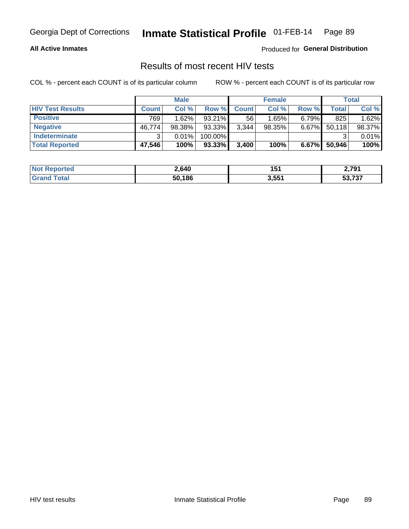#### **All Active Inmates**

Produced for **General Distribution**

#### Results of most recent HIV tests

|                         | <b>Male</b>  |        |           | <b>Female</b> |           |          | Total  |        |
|-------------------------|--------------|--------|-----------|---------------|-----------|----------|--------|--------|
| <b>HIV Test Results</b> | <b>Count</b> | Col%   | Row %I    | <b>Count</b>  | Col %     | Row %    | Total  | Col %  |
| <b>Positive</b>         | 769          | 1.62%  | $93.21\%$ | 56            | 1.65%     | $6.79\%$ | 825    | 1.62%  |
| <b>Negative</b>         | 46,774       | 98.38% | 93.33%    | 3,344         | $98.35\%$ | 6.67%    | 50,118 | 98.37% |
| <b>Indeterminate</b>    | ີ            | 0.01%  | 100.00%   |               |           |          |        | 0.01%  |
| <b>Total Reported</b>   | 47,546       | 100%   | $93.33\%$ | 3,400         | 100%      | 6.67%    | 50,946 | 100%   |

| <b>Not Reported</b> | 2,640  | 151   | 2,791            |
|---------------------|--------|-------|------------------|
| Total               | 50,186 | 3,551 | E2 727<br>33,73. |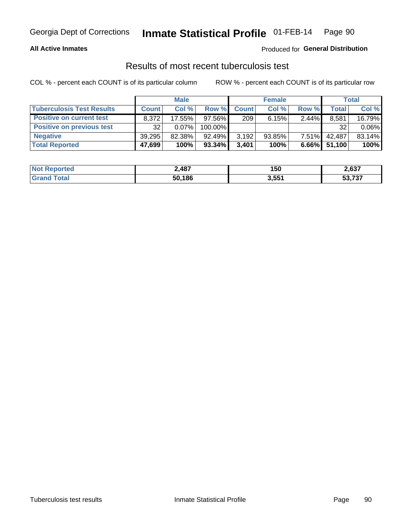#### **All Active Inmates**

#### Produced for **General Distribution**

#### Results of most recent tuberculosis test

|                                  | <b>Male</b>  |          |           | <b>Female</b> |           |          | Total  |          |
|----------------------------------|--------------|----------|-----------|---------------|-----------|----------|--------|----------|
| <b>Tuberculosis Test Results</b> | <b>Count</b> | Col%     | Row %I    | <b>Count</b>  | Col%      | Row %    | Total  | Col %    |
| <b>Positive on current test</b>  | 8.372        | 17.55%   | $97.56\%$ | 209           | 6.15%     | 2.44%    | 8,581  | 16.79%   |
| <b>Positive on previous test</b> | 32           | $0.07\%$ | 100.00%   |               |           |          | 32     | $0.06\%$ |
| <b>Negative</b>                  | 39,295       | 82.38%   | 92.49%    | 3,192         | $93.85\%$ | $7.51\%$ | 42.487 | 83.14%   |
| <b>Total Reported</b>            | 47,699       | 100%     | 93.34%    | 3.401         | 100%      | $6.66\%$ | 51,100 | 100%     |

| <b>Not Reported</b> | ∠,487  | 150   | 2,637            |
|---------------------|--------|-------|------------------|
| Total<br>' Grano    | 50,186 | 3,551 | よっ フクフ<br>33.731 |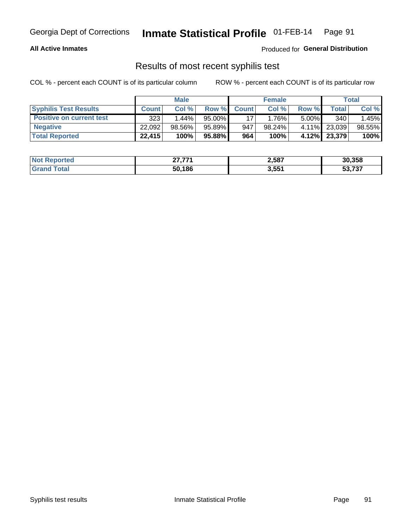#### **All Active Inmates**

Produced for **General Distribution**

#### Results of most recent syphilis test

|                                 | <b>Male</b>  |           |           | <b>Female</b> |        |          | Total  |        |
|---------------------------------|--------------|-----------|-----------|---------------|--------|----------|--------|--------|
| <b>Syphilis Test Results</b>    | <b>Count</b> | Col%      | Row %     | <b>Count</b>  | Col %  | Row %    | Total  | Col %  |
| <b>Positive on current test</b> | 323          | $1.44\%$  | $95.00\%$ |               | 1.76%  | $5.00\%$ | 340    | 1.45%  |
| <b>Negative</b>                 | 22.092       | $98.56\%$ | 95.89%    | 947           | 98.24% | $4.11\%$ | 23,039 | 98.55% |
| <b>Total Reported</b>           | 22,415       | 100%      | 95.88%    | 964           | 100%   | 4.12%    | 23,379 | 100%   |

| <b>Not Reported</b> | 27.774 | 2,587 | 30,358                                      |
|---------------------|--------|-------|---------------------------------------------|
| <b>Grand Total</b>  | 50,186 | 3,551 | $F^{\alpha}$ 707<br>วว. <i>เ</i> ว <i>เ</i> |